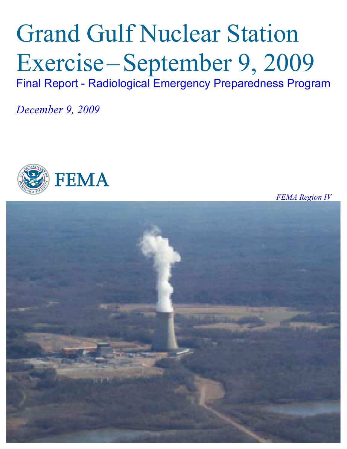# Grand Gulf Nuclear Station Exercise–September 9, 2009 Final Report - Radiological Emergency Preparedness Program

*December 9, 2009* 



*FEMA Region IV*

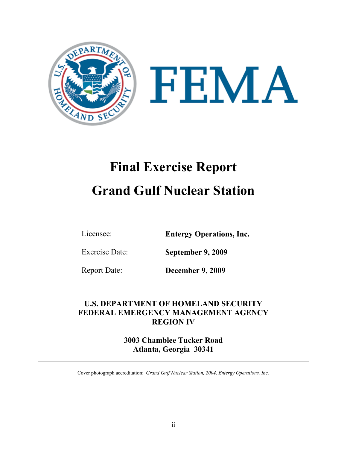

# **Final Exercise Report Grand Gulf Nuclear Station**

Licensee: **Entergy Operations, Inc.** 

Exercise Date: **September 9, 2009** 

Report Date: **December 9, 2009** 

# **U.S. DEPARTMENT OF HOMELAND SECURITY FEDERAL EMERGENCY MANAGEMENT AGENCY REGION IV**

**3003 Chamblee Tucker Road Atlanta, Georgia 30341** 

Cover photograph accreditation: *Grand Gulf Nuclear Station, 2004, Entergy Operations, Inc.*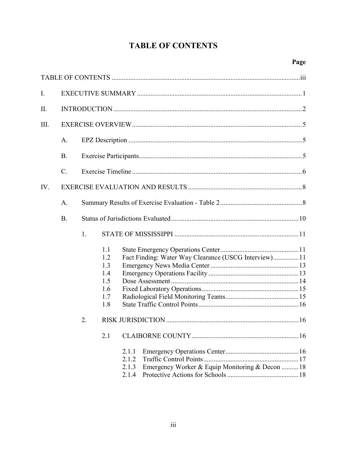# **TABLE OF CONTENTS**

| $I_{\cdot}$ |                 |    |                                                      |                                                                                     |  |  |  |  |  |
|-------------|-----------------|----|------------------------------------------------------|-------------------------------------------------------------------------------------|--|--|--|--|--|
| II.         |                 |    |                                                      |                                                                                     |  |  |  |  |  |
| III.        |                 |    |                                                      |                                                                                     |  |  |  |  |  |
|             | A.              |    |                                                      |                                                                                     |  |  |  |  |  |
|             | <b>B</b> .      |    |                                                      |                                                                                     |  |  |  |  |  |
|             | $\mathcal{C}$ . |    |                                                      |                                                                                     |  |  |  |  |  |
| IV.         |                 |    |                                                      |                                                                                     |  |  |  |  |  |
|             | A.              |    |                                                      |                                                                                     |  |  |  |  |  |
|             | <b>B</b> .      |    |                                                      |                                                                                     |  |  |  |  |  |
|             |                 | 1. |                                                      |                                                                                     |  |  |  |  |  |
|             |                 |    | 1.1<br>1.2<br>1.3<br>1.4<br>1.5<br>1.6<br>1.7<br>1.8 | Fact Finding: Water Way Clearance (USCG Interview)11                                |  |  |  |  |  |
|             |                 | 2. |                                                      |                                                                                     |  |  |  |  |  |
|             |                 |    | 2.1                                                  |                                                                                     |  |  |  |  |  |
|             |                 |    |                                                      | 2.1.1<br>2.1.2<br>Emergency Worker & Equip Monitoring & Decon  18<br>2.1.3<br>2.1.4 |  |  |  |  |  |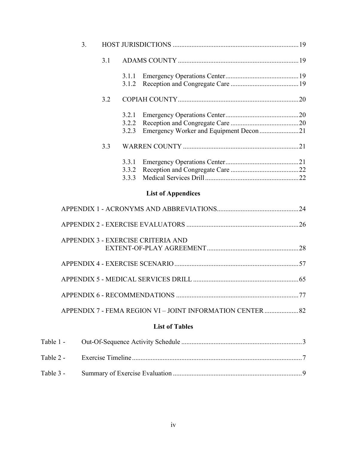| 3 <sub>1</sub> |     |                         |                                                            |  |
|----------------|-----|-------------------------|------------------------------------------------------------|--|
|                | 3.1 |                         |                                                            |  |
|                |     | 3.1.1<br>3.1.2          |                                                            |  |
|                | 3.2 |                         |                                                            |  |
|                |     | 3.2.1<br>3.2.2<br>3.2.3 | Emergency Worker and Equipment Decon 21                    |  |
|                | 3.3 |                         |                                                            |  |
|                |     | 3.3.1<br>3.3.2<br>3.3.3 |                                                            |  |
|                |     |                         | <b>List of Appendices</b>                                  |  |
|                |     |                         |                                                            |  |
|                |     |                         |                                                            |  |
|                |     |                         | APPENDIX 3 - EXERCISE CRITERIA AND                         |  |
|                |     |                         |                                                            |  |
|                |     |                         |                                                            |  |
|                |     |                         |                                                            |  |
|                |     |                         | APPENDIX 7 - FEMA REGION VI - JOINT INFORMATION CENTER  82 |  |
|                |     |                         | <b>List of Tables</b>                                      |  |
| Table 1 -      |     |                         |                                                            |  |
| Table 2 -      |     |                         |                                                            |  |
| Table 3 -      |     |                         |                                                            |  |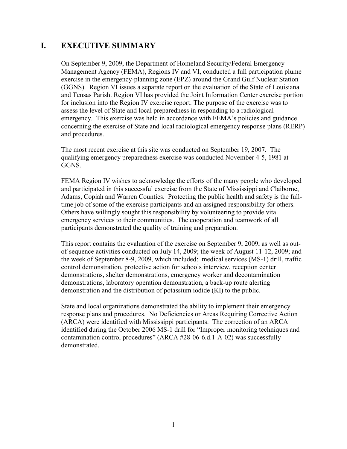## **I. EXECUTIVE SUMMARY**

On September 9, 2009, the Department of Homeland Security/Federal Emergency Management Agency (FEMA), Regions IV and VI, conducted a full participation plume exercise in the emergency-planning zone (EPZ) around the Grand Gulf Nuclear Station (GGNS). Region VI issues a separate report on the evaluation of the State of Louisiana and Tensas Parish. Region VI has provided the Joint Information Center exercise portion for inclusion into the Region IV exercise report. The purpose of the exercise was to assess the level of State and local preparedness in responding to a radiological emergency. This exercise was held in accordance with FEMA's policies and guidance concerning the exercise of State and local radiological emergency response plans (RERP) and procedures.

The most recent exercise at this site was conducted on September 19, 2007. The qualifying emergency preparedness exercise was conducted November 4-5, 1981 at GGNS.

FEMA Region IV wishes to acknowledge the efforts of the many people who developed and participated in this successful exercise from the State of Mississippi and Claiborne, Adams, Copiah and Warren Counties. Protecting the public health and safety is the fulltime job of some of the exercise participants and an assigned responsibility for others. Others have willingly sought this responsibility by volunteering to provide vital emergency services to their communities. The cooperation and teamwork of all participants demonstrated the quality of training and preparation.

This report contains the evaluation of the exercise on September 9, 2009, as well as outof-sequence activities conducted on July 14, 2009; the week of August 11-12, 2009; and the week of September 8-9, 2009, which included: medical services (MS-1) drill, traffic control demonstration, protective action for schools interview, reception center demonstrations, shelter demonstrations, emergency worker and decontamination demonstrations, laboratory operation demonstration, a back-up route alerting demonstration and the distribution of potassium iodide (KI) to the public.

State and local organizations demonstrated the ability to implement their emergency response plans and procedures. No Deficiencies or Areas Requiring Corrective Action (ARCA) were identified with Mississippi participants. The correction of an ARCA identified during the October 2006 MS-1 drill for "Improper monitoring techniques and contamination control procedures" (ARCA #28-06-6.d.1-A-02) was successfully demonstrated.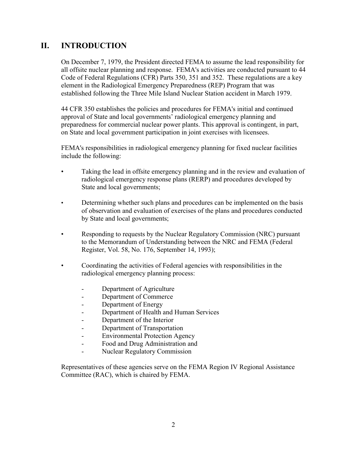# **II. INTRODUCTION**

On December 7, 1979, the President directed FEMA to assume the lead responsibility for all offsite nuclear planning and response. FEMA's activities are conducted pursuant to 44 Code of Federal Regulations (CFR) Parts 350, 351 and 352. These regulations are a key element in the Radiological Emergency Preparedness (REP) Program that was established following the Three Mile Island Nuclear Station accident in March 1979.

44 CFR 350 establishes the policies and procedures for FEMA's initial and continued approval of State and local governments' radiological emergency planning and preparedness for commercial nuclear power plants. This approval is contingent, in part, on State and local government participation in joint exercises with licensees.

FEMA's responsibilities in radiological emergency planning for fixed nuclear facilities include the following:

- Taking the lead in offsite emergency planning and in the review and evaluation of radiological emergency response plans (RERP) and procedures developed by State and local governments;
- Determining whether such plans and procedures can be implemented on the basis of observation and evaluation of exercises of the plans and procedures conducted by State and local governments;
- Responding to requests by the Nuclear Regulatory Commission (NRC) pursuant to the Memorandum of Understanding between the NRC and FEMA (Federal Register, Vol. 58, No. 176, September 14, 1993);
- Coordinating the activities of Federal agencies with responsibilities in the radiological emergency planning process:
	- Department of Agriculture
	- Department of Commerce
	- Department of Energy
	- Department of Health and Human Services
	- Department of the Interior
	- Department of Transportation
	- Environmental Protection Agency
	- Food and Drug Administration and
	- Nuclear Regulatory Commission

Representatives of these agencies serve on the FEMA Region IV Regional Assistance Committee (RAC), which is chaired by FEMA.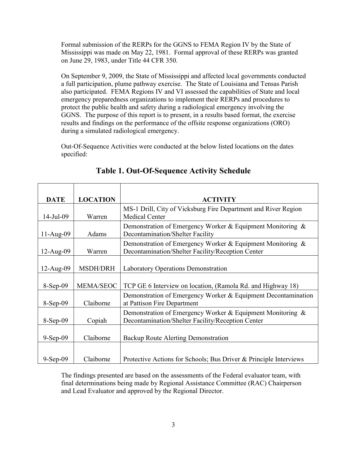Formal submission of the RERPs for the GGNS to FEMA Region IV by the State of Mississippi was made on May 22, 1981. Formal approval of these RERPs was granted on June 29, 1983, under Title 44 CFR 350.

On September 9, 2009, the State of Mississippi and affected local governments conducted a full participation, plume pathway exercise. The State of Louisiana and Tensas Parish also participated. FEMA Regions IV and VI assessed the capabilities of State and local emergency preparedness organizations to implement their RERPs and procedures to protect the public health and safety during a radiological emergency involving the GGNS. The purpose of this report is to present, in a results based format, the exercise results and findings on the performance of the offsite response organizations (ORO) during a simulated radiological emergency.

Out-Of-Sequence Activities were conducted at the below listed locations on the dates specified:

| <b>DATE</b>  | <b>LOCATION</b>  | <b>ACTIVITY</b>                                                                                                 |
|--------------|------------------|-----------------------------------------------------------------------------------------------------------------|
|              |                  |                                                                                                                 |
| $14$ -Jul-09 | Warren           | MS-1 Drill, City of Vicksburg Fire Department and River Region<br><b>Medical Center</b>                         |
| $11-Aug-09$  | Adams            | Demonstration of Emergency Worker & Equipment Monitoring $\&$<br>Decontamination/Shelter Facility               |
| $12-Aug-09$  | Warren           | Demonstration of Emergency Worker & Equipment Monitoring &<br>Decontamination/Shelter Facility/Reception Center |
| $12-Aug-09$  | <b>MSDH/DRH</b>  | Laboratory Operations Demonstration                                                                             |
| 8-Sep-09     | <b>MEMA/SEOC</b> | TCP GE 6 Interview on location, (Ramola Rd. and Highway 18)                                                     |
| $8-Sep-09$   | Claiborne        | Demonstration of Emergency Worker & Equipment Decontamination<br>at Pattison Fire Department                    |
| $8-Sep-09$   | Copiah           | Demonstration of Emergency Worker & Equipment Monitoring &<br>Decontamination/Shelter Facility/Reception Center |
| $9-Sep-09$   | Claiborne        | Backup Route Alerting Demonstration                                                                             |
| $9-Sep-09$   | Claiborne        | Protective Actions for Schools; Bus Driver & Principle Interviews                                               |

# **Table 1. Out-Of-Sequence Activity Schedule**

The findings presented are based on the assessments of the Federal evaluator team, with final determinations being made by Regional Assistance Committee (RAC) Chairperson and Lead Evaluator and approved by the Regional Director.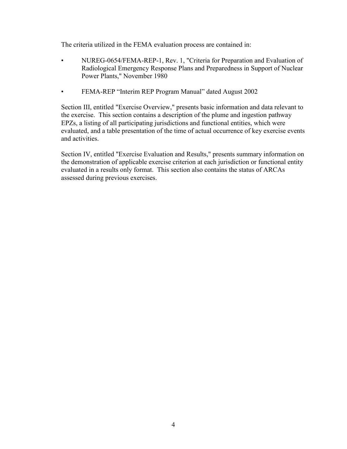The criteria utilized in the FEMA evaluation process are contained in:

- NUREG-0654/FEMA-REP-1, Rev. 1, "Criteria for Preparation and Evaluation of Radiological Emergency Response Plans and Preparedness in Support of Nuclear Power Plants," November 1980
- FEMA-REP "Interim REP Program Manual" dated August 2002

Section III, entitled "Exercise Overview," presents basic information and data relevant to the exercise. This section contains a description of the plume and ingestion pathway EPZs, a listing of all participating jurisdictions and functional entities, which were evaluated, and a table presentation of the time of actual occurrence of key exercise events and activities.

Section IV, entitled "Exercise Evaluation and Results," presents summary information on the demonstration of applicable exercise criterion at each jurisdiction or functional entity evaluated in a results only format. This section also contains the status of ARCAs assessed during previous exercises.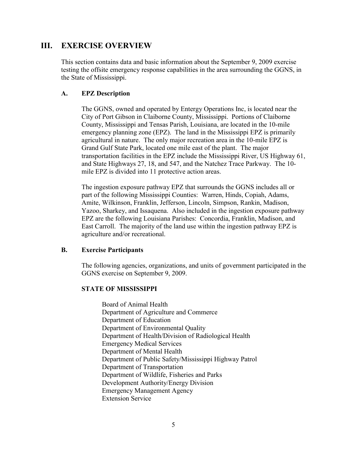## **III. EXERCISE OVERVIEW**

This section contains data and basic information about the September 9, 2009 exercise testing the offsite emergency response capabilities in the area surrounding the GGNS, in the State of Mississippi.

#### **A. EPZ Description**

The GGNS, owned and operated by Entergy Operations Inc, is located near the City of Port Gibson in Claiborne County, Mississippi. Portions of Claiborne County, Mississippi and Tensas Parish, Louisiana, are located in the 10-mile emergency planning zone (EPZ). The land in the Mississippi EPZ is primarily agricultural in nature. The only major recreation area in the 10-mile EPZ is Grand Gulf State Park, located one mile east of the plant. The major transportation facilities in the EPZ include the Mississippi River, US Highway 61, and State Highways 27, 18, and 547, and the Natchez Trace Parkway. The 10 mile EPZ is divided into 11 protective action areas.

The ingestion exposure pathway EPZ that surrounds the GGNS includes all or part of the following Mississippi Counties: Warren, Hinds, Copiah, Adams, Amite, Wilkinson, Franklin, Jefferson, Lincoln, Simpson, Rankin, Madison, Yazoo, Sharkey, and Issaquena. Also included in the ingestion exposure pathway EPZ are the following Louisiana Parishes: Concordia, Franklin, Madison, and East Carroll. The majority of the land use within the ingestion pathway EPZ is agriculture and/or recreational.

#### **B. Exercise Participants**

The following agencies, organizations, and units of government participated in the GGNS exercise on September 9, 2009.

#### **STATE OF MISSISSIPPI**

Board of Animal Health Department of Agriculture and Commerce Department of Education Department of Environmental Quality Department of Health/Division of Radiological Health Emergency Medical Services Department of Mental Health Department of Public Safety/Mississippi Highway Patrol Department of Transportation Department of Wildlife, Fisheries and Parks Development Authority/Energy Division Emergency Management Agency Extension Service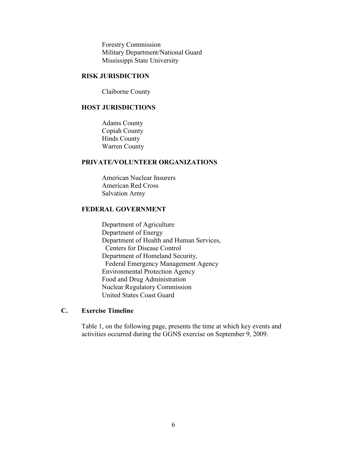Forestry Commission Military Department/National Guard Mississippi State University

#### **RISK JURISDICTION**

Claiborne County

#### **HOST JURISDICTIONS**

Adams County Copiah County Hinds County Warren County

#### **PRIVATE/VOLUNTEER ORGANIZATIONS**

American Nuclear Insurers American Red Cross Salvation Army

#### **FEDERAL GOVERNMENT**

Department of Agriculture Department of Energy Department of Health and Human Services, Centers for Disease Control Department of Homeland Security, Federal Emergency Management Agency Environmental Protection Agency Food and Drug Administration Nuclear Regulatory Commission United States Coast Guard

#### **C. Exercise Timeline**

Table 1, on the following page, presents the time at which key events and activities occurred during the GGNS exercise on September 9, 2009.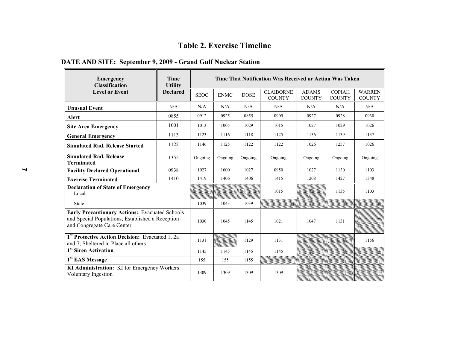#### **Table 2. Exercise Timeline**

# **DATE AND SITE: September 9, 2009 - Grand Gulf Nuclear Station**

| Emergency<br><b>Classification</b>                                                                                                      | <b>Time</b><br><b>Utility</b><br><b>Declared</b> | Time That Notification Was Received or Action Was Taken |             |             |                                   |                               |                                |                                |  |
|-----------------------------------------------------------------------------------------------------------------------------------------|--------------------------------------------------|---------------------------------------------------------|-------------|-------------|-----------------------------------|-------------------------------|--------------------------------|--------------------------------|--|
| <b>Level or Event</b>                                                                                                                   |                                                  | <b>SEOC</b>                                             | <b>ENMC</b> | <b>DOSE</b> | <b>CLAIBORNE</b><br><b>COUNTY</b> | <b>ADAMS</b><br><b>COUNTY</b> | <b>COPIAH</b><br><b>COUNTY</b> | <b>WARREN</b><br><b>COUNTY</b> |  |
| <b>Unusual Event</b>                                                                                                                    | N/A                                              | N/A                                                     | N/A         | N/A         | N/A                               | N/A                           | N/A                            | N/A                            |  |
| <b>Alert</b>                                                                                                                            | 0855                                             | 0912                                                    | 0925        | 0855        | 0909                              | 0927                          | 0928                           | 0930                           |  |
| <b>Site Area Emergency</b>                                                                                                              | 1001                                             | 1013                                                    | 1005        | 1029        | 1015                              | 1027                          | 1029                           | 1026                           |  |
| <b>General Emergency</b>                                                                                                                | 1113                                             | 1123                                                    | 1116        | 1118        | 1125                              | 1136                          | 1139                           | 1137                           |  |
| <b>Simulated Rad. Release Started</b>                                                                                                   | 1122                                             | 1146                                                    | 1125        | 1122        | 1122                              | 1026                          | 1257                           | 1026                           |  |
| <b>Simulated Rad. Release</b><br><b>Terminated</b>                                                                                      | 1355                                             | Ongoing                                                 | Ongoing     | Ongoing     | Ongoing                           | Ongoing                       | Ongoing                        | Ongoing                        |  |
| <b>Facility Declared Operational</b>                                                                                                    | 0938                                             | 1027                                                    | 1000        | 1027        | 0950                              | 1027                          | 1130                           | 1103                           |  |
| <b>Exercise Terminated</b>                                                                                                              | 1410                                             | 1419                                                    | 1406        | 1406        | 1415                              | 1208                          | 1427                           | 1348                           |  |
| <b>Declaration of State of Emergency</b><br>Local                                                                                       |                                                  |                                                         |             |             | 1015                              |                               | 1135                           | 1103                           |  |
| <b>State</b>                                                                                                                            |                                                  | 1039                                                    | 1043        | 1039        |                                   |                               |                                |                                |  |
| <b>Early Precautionary Actions: Evacuated Schools</b><br>and Special Populations; Established a Reception<br>and Congregate Care Center |                                                  | 1030                                                    | 1045        | 1145        | 1021                              | 1047                          | 1131                           |                                |  |
| 1 <sup>st</sup> Protective Action Decision: Evacuated 1, 2a<br>and 7; Sheltered in Place all others                                     |                                                  | 1131                                                    |             | 1129        | 1131                              |                               |                                | 1156                           |  |
| 1 <sup>st</sup> Siren Activation                                                                                                        |                                                  | 1145                                                    | 1145        | 1145        | 1145                              |                               |                                |                                |  |
| 1 <sup>st</sup> EAS Message                                                                                                             |                                                  | 155                                                     | 155         | 1155        |                                   |                               |                                |                                |  |
| KI Administration: KI for Emergency Workers -<br>Voluntary Ingestion                                                                    |                                                  | 1309                                                    | 1309        | 1309        | 1309                              |                               |                                |                                |  |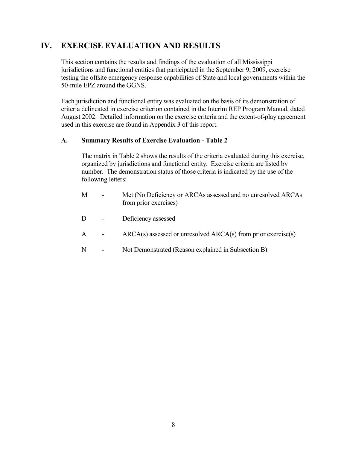# **IV. EXERCISE EVALUATION AND RESULTS**

This section contains the results and findings of the evaluation of all Mississippi jurisdictions and functional entities that participated in the September 9, 2009, exercise testing the offsite emergency response capabilities of State and local governments within the 50-mile EPZ around the GGNS.

Each jurisdiction and functional entity was evaluated on the basis of its demonstration of criteria delineated in exercise criterion contained in the Interim REP Program Manual, dated August 2002. Detailed information on the exercise criteria and the extent-of-play agreement used in this exercise are found in Appendix 3 of this report.

#### **A. Summary Results of Exercise Evaluation - Table 2**

The matrix in Table 2 shows the results of the criteria evaluated during this exercise, organized by jurisdictions and functional entity. Exercise criteria are listed by number. The demonstration status of those criteria is indicated by the use of the following letters:

- M Met (No Deficiency or ARCAs assessed and no unresolved ARCAs from prior exercises)
- D Deficiency assessed
- A ARCA(s) assessed or unresolved ARCA(s) from prior exercise(s)
- N Not Demonstrated (Reason explained in Subsection B)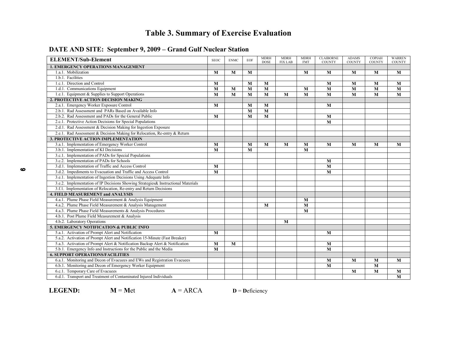# **Table 3. Summary of Exercise Evaluation**

| <b>ELEMENT/Sub-Element</b>                                                        | <b>SEOC</b> | <b>ENMC</b> | <b>EOF</b> | <b>MDRH</b><br><b>DOSE</b> | <b>MDRH</b><br><b>FIX LAB</b> | <b>MDRH</b><br>FMT | <b>CLAIBORNE</b><br>COUNTY | <b>ADAMS</b><br><b>COUNTY</b> | <b>COPIAH</b><br>COUNTY | <b>WARREN</b><br><b>COUNTY</b> |
|-----------------------------------------------------------------------------------|-------------|-------------|------------|----------------------------|-------------------------------|--------------------|----------------------------|-------------------------------|-------------------------|--------------------------------|
| <b>1. EMERGENCY OPERATIONS MANAGEMENT</b>                                         |             |             |            |                            |                               |                    |                            |                               |                         |                                |
| 1.a.1. Mobilization                                                               | M           | M           | M          |                            |                               | M                  | M                          | $\mathbf{M}$                  | M                       | M                              |
| 1.b.1. Facilities                                                                 |             |             |            |                            |                               |                    |                            |                               |                         |                                |
| 1.c.1. Direction and Control                                                      | M           |             | M          | M                          |                               |                    | M                          | M                             | M                       | M                              |
| 1.d.1. Communications Equipment                                                   | M           | M           | M          | M                          |                               | M                  | M                          | M                             | M                       | M                              |
| 1.e.1. Equipment & Supplies to Support Operations                                 | M           | M           | M          | M                          | M                             | M                  | M                          | $\overline{\mathbf{M}}$       | $\overline{\mathbf{M}}$ | M                              |
| 2. PROTECTIVE ACTION DECISION MAKING                                              |             |             |            |                            |                               |                    |                            |                               |                         |                                |
| 2.a.1. Emergency Worker Exposure Control                                          | M           |             | M          | M                          |                               |                    | M                          |                               |                         |                                |
| 2.b.1. Rad Assessment and PARs Based on Available Info                            |             |             | M          | M                          |                               |                    |                            |                               |                         |                                |
| 2.b.2. Rad Assessment and PADs for the General Public                             | M           |             | M          | $\overline{\mathbf{M}}$    |                               |                    | M                          |                               |                         |                                |
| 2.c.1. Protective Action Decisions for Special Populations                        |             |             |            |                            |                               |                    | M                          |                               |                         |                                |
| 2.d.1. Rad Assessment & Decision Making for Ingestion Exposure                    |             |             |            |                            |                               |                    |                            |                               |                         |                                |
| 2.e.1. Rad Assessment & Decision Making for Relocation, Re-entry & Return         |             |             |            |                            |                               |                    |                            |                               |                         |                                |
| 3. PROTECTIVE ACTION IMPLEMENTATION                                               |             |             |            |                            |                               |                    |                            |                               |                         |                                |
| 3.a.1. Implementation of Emergency Worker Control                                 | M           |             | M          | M                          | $\mathbf{M}$                  | M                  | $\mathbf{M}$               | M                             | M                       | M                              |
| 3.b.1. Implementation of KI Decisions                                             | M           |             | M          |                            |                               | M                  |                            |                               |                         |                                |
| 3.c.1. Implementation of PADs for Special Populations                             |             |             |            |                            |                               |                    |                            |                               |                         |                                |
| 3.c.2. Implementation of PADs for Schools                                         |             |             |            |                            |                               |                    | M                          |                               |                         |                                |
| 3.d.1. Implementation of Traffic and Access Control                               | M           |             |            |                            |                               |                    | M                          |                               |                         |                                |
| 3.d.2. Impediments to Evacuation and Traffic and Access Control                   | M           |             |            |                            |                               |                    | M                          |                               |                         |                                |
| 3.e.1. Implementation of Ingestion Decisions Using Adequate Info                  |             |             |            |                            |                               |                    |                            |                               |                         |                                |
| 3.e.2. Implementation of IP Decisions Showing Strategies& Instructional Materials |             |             |            |                            |                               |                    |                            |                               |                         |                                |
| 3.f.1. Implementation of Relocation, Re-entry and Return Decisions                |             |             |            |                            |                               |                    |                            |                               |                         |                                |
| <b>4. FIELD MEASUREMENT and ANALYSIS</b>                                          |             |             |            |                            |                               |                    |                            |                               |                         |                                |
| 4.a.1. Plume Phase Field Measurement & Analysis Equipment                         |             |             |            |                            |                               | M                  |                            |                               |                         |                                |
| 4.a.2. Plume Phase Field Measurement & Analysis Management                        |             |             |            | M                          |                               | M                  |                            |                               |                         |                                |
| 4.a.3. Plume Phase Field Measurements & Analysis Procedures                       |             |             |            |                            |                               | M                  |                            |                               |                         |                                |
| 4.b.1. Post Plume Field Measurement & Analysis                                    |             |             |            |                            |                               |                    |                            |                               |                         |                                |
| 4.b.2. Laboratory Operations                                                      |             |             |            |                            | M                             |                    |                            |                               |                         |                                |
| <b>5. EMERGENCY NOTIFICATION &amp; PUBLIC INFO</b>                                |             |             |            |                            |                               |                    |                            |                               |                         |                                |
| 5.a.1. Activation of Prompt Alert and Notification                                | M           |             |            |                            |                               |                    | $\mathbf{M}$               |                               |                         |                                |
| 5.a.2. Activation of Prompt Alert and Notification 15-Minute (Fast Breaker)       |             |             |            |                            |                               |                    |                            |                               |                         |                                |
| 5.a.3. Activation of Prompt Alert & Notification Backup Alert & Notification      | $\bf{M}$    | M           |            |                            |                               |                    | M                          |                               |                         |                                |
| 5.b.1. Emergency Info and Instructions for the Public and the Media               | M           |             |            |                            |                               |                    | M                          |                               |                         |                                |
| <b>6. SUPPORT OPERATIONS/FACILITIES</b>                                           |             |             |            |                            |                               |                    |                            |                               |                         |                                |
| 6.a.1. Monitoring and Decon of Evacuees and EWs and Registration Evacuees         |             |             |            |                            |                               |                    | M                          | M                             | M                       | M                              |
| 6.b.1. Monitoring and Decon of Emergency Worker Equipment                         |             |             |            |                            |                               |                    | $\mathbf{M}$               |                               | M                       |                                |
| 6.c.1. Temporary Care of Evacuees                                                 |             |             |            |                            |                               |                    |                            | M                             | M                       | M                              |
| 6.d.1. Transport and Treatment of Contaminated Injured Individuals                |             |             |            |                            |                               |                    |                            |                               |                         | $\overline{\mathbf{M}}$        |

#### **DATE AND SITE: September 9, 2009 – Grand Gulf Nuclear Station**

 $\bullet$ 

**LEGEND:**  $M = Met$   $A = ARCA$ 

**D** <sup>=</sup>**D**eficiency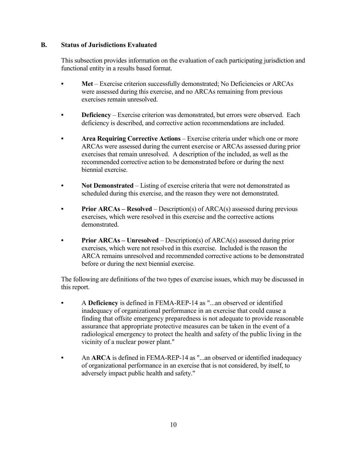#### **B. Status of Jurisdictions Evaluated**

This subsection provides information on the evaluation of each participating jurisdiction and functional entity in a results based format.

- Met Exercise criterion successfully demonstrated; No Deficiencies or ARCAs were assessed during this exercise, and no ARCAs remaining from previous exercises remain unresolved.
- **Deficiency** Exercise criterion was demonstrated, but errors were observed. Each deficiency is described, and corrective action recommendations are included.
- **Area Requiring Corrective Actions**  Exercise criteria under which one or more ARCAs were assessed during the current exercise or ARCAs assessed during prior exercises that remain unresolved. A description of the included, as well as the recommended corrective action to be demonstrated before or during the next biennial exercise.
- Not Demonstrated Listing of exercise criteria that were not demonstrated as scheduled during this exercise, and the reason they were not demonstrated.
- **Prior ARCAs Resolved** Description(s) of ARCA(s) assessed during previous exercises, which were resolved in this exercise and the corrective actions demonstrated.
- **Prior ARCAs Unresolved** Description(s) of ARCA(s) assessed during prior exercises, which were not resolved in this exercise. Included is the reason the ARCA remains unresolved and recommended corrective actions to be demonstrated before or during the next biennial exercise.

The following are definitions of the two types of exercise issues, which may be discussed in this report.

- **•** A **Deficiency** is defined in FEMA-REP-14 as "...an observed or identified inadequacy of organizational performance in an exercise that could cause a finding that offsite emergency preparedness is not adequate to provide reasonable assurance that appropriate protective measures can be taken in the event of a radiological emergency to protect the health and safety of the public living in the vicinity of a nuclear power plant."
- An **ARCA** is defined in FEMA-REP-14 as "...an observed or identified inadequacy of organizational performance in an exercise that is not considered, by itself, to adversely impact public health and safety."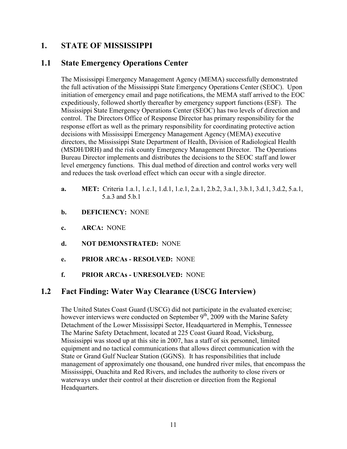## **1. STATE OF MISSISSIPPI**

## **1.1 State Emergency Operations Center**

The Mississippi Emergency Management Agency (MEMA) successfully demonstrated the full activation of the Mississippi State Emergency Operations Center (SEOC). Upon initiation of emergency email and page notifications, the MEMA staff arrived to the EOC expeditiously, followed shortly thereafter by emergency support functions (ESF). The Mississippi State Emergency Operations Center (SEOC) has two levels of direction and control. The Directors Office of Response Director has primary responsibility for the response effort as well as the primary responsibility for coordinating protective action decisions with Mississippi Emergency Management Agency (MEMA) executive directors, the Mississippi State Department of Health, Division of Radiological Health (MSDH/DRH) and the risk county Emergency Management Director. The Operations Bureau Director implements and distributes the decisions to the SEOC staff and lower level emergency functions. This dual method of direction and control works very well and reduces the task overload effect which can occur with a single director.

- **a. MET:** Criteria 1.a.1, 1.c.1, 1.d.1, 1.e.1, 2.a.1, 2.b.2, 3.a.1, 3.b.1, 3.d.1, 3.d.2, 5.a.1, 5.a.3 and 5.b.1
- **b. DEFICIENCY:** NONE
- **c. ARCA:** NONE
- **d. NOT DEMONSTRATED:** NONE
- **e. PRIOR ARCAs RESOLVED:** NONE
- **f. PRIOR ARCAs UNRESOLVED:** NONE

## **1.2 Fact Finding: Water Way Clearance (USCG Interview)**

The United States Coast Guard (USCG) did not participate in the evaluated exercise; however interviews were conducted on September 9<sup>th</sup>, 2009 with the Marine Safety Detachment of the Lower Mississippi Sector, Headquartered in Memphis, Tennessee The Marine Safety Detachment, located at 225 Coast Guard Road, Vicksburg, Mississippi was stood up at this site in 2007, has a staff of six personnel, limited equipment and no tactical communications that allows direct communication with the State or Grand Gulf Nuclear Station (GGNS). It has responsibilities that include management of approximately one thousand, one hundred river miles, that encompass the Mississippi, Ouachita and Red Rivers, and includes the authority to close rivers or waterways under their control at their discretion or direction from the Regional Headquarters.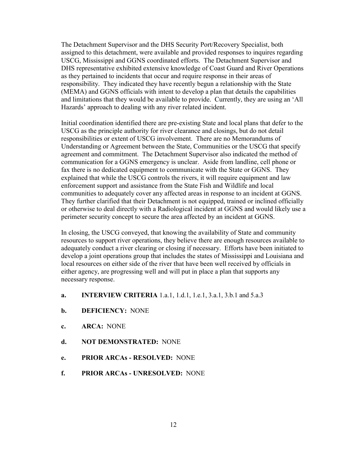The Detachment Supervisor and the DHS Security Port/Recovery Specialist, both assigned to this detachment, were available and provided responses to inquires regarding USCG, Mississippi and GGNS coordinated efforts. The Detachment Supervisor and DHS representative exhibited extensive knowledge of Coast Guard and River Operations as they pertained to incidents that occur and require response in their areas of responsibility. They indicated they have recently begun a relationship with the State (MEMA) and GGNS officials with intent to develop a plan that details the capabilities and limitations that they would be available to provide. Currently, they are using an 'All Hazards' approach to dealing with any river related incident.

Initial coordination identified there are pre-existing State and local plans that defer to the USCG as the principle authority for river clearance and closings, but do not detail responsibilities or extent of USCG involvement. There are no Memorandums of Understanding or Agreement between the State, Communities or the USCG that specify agreement and commitment. The Detachment Supervisor also indicated the method of communication for a GGNS emergency is unclear. Aside from landline, cell phone or fax there is no dedicated equipment to communicate with the State or GGNS. They explained that while the USCG controls the rivers, it will require equipment and law enforcement support and assistance from the State Fish and Wildlife and local communities to adequately cover any affected areas in response to an incident at GGNS. They further clarified that their Detachment is not equipped, trained or inclined officially or otherwise to deal directly with a Radiological incident at GGNS and would likely use a perimeter security concept to secure the area affected by an incident at GGNS.

In closing, the USCG conveyed, that knowing the availability of State and community resources to support river operations, they believe there are enough resources available to adequately conduct a river clearing or closing if necessary. Efforts have been initiated to develop a joint operations group that includes the states of Mississippi and Louisiana and local resources on either side of the river that have been well received by officials in either agency, are progressing well and will put in place a plan that supports any necessary response.

- **a. INTERVIEW CRITERIA** 1.a.1, 1.d.1, 1.e.1, 3.a.1, 3.b.1 and 5.a.3
- **b. DEFICIENCY:** NONE
- **c. ARCA:** NONE
- **d. NOT DEMONSTRATED:** NONE
- **e. PRIOR ARCAs RESOLVED:** NONE
- **f. PRIOR ARCAs UNRESOLVED:** NONE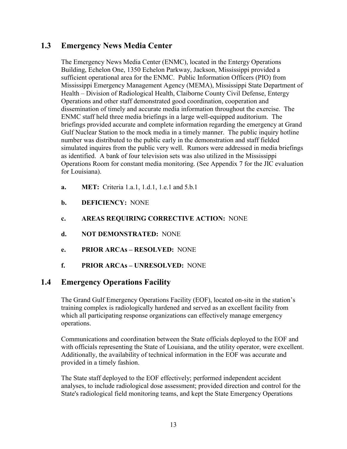# **1.3 Emergency News Media Center**

The Emergency News Media Center (ENMC), located in the Entergy Operations Building, Echelon One, 1350 Echelon Parkway, Jackson, Mississippi provided a sufficient operational area for the ENMC. Public Information Officers (PIO) from Mississippi Emergency Management Agency (MEMA), Mississippi State Department of Health – Division of Radiological Health, Claiborne County Civil Defense, Entergy Operations and other staff demonstrated good coordination, cooperation and dissemination of timely and accurate media information throughout the exercise. The ENMC staff held three media briefings in a large well-equipped auditorium. The briefings provided accurate and complete information regarding the emergency at Grand Gulf Nuclear Station to the mock media in a timely manner. The public inquiry hotline number was distributed to the public early in the demonstration and staff fielded simulated inquires from the public very well. Rumors were addressed in media briefings as identified. A bank of four television sets was also utilized in the Mississippi Operations Room for constant media monitoring. (See Appendix 7 for the JIC evaluation for Louisiana).

- **a. MET:** Criteria 1.a.1, 1.d.1, 1.e.1 and 5.b.1
- **b. DEFICIENCY:** NONE
- **c. AREAS REQUIRING CORRECTIVE ACTION:** NONE
- **d. NOT DEMONSTRATED:** NONE
- **e. PRIOR ARCAs RESOLVED:** NONE
- **f. PRIOR ARCAs UNRESOLVED:** NONE

## **1.4 Emergency Operations Facility**

The Grand Gulf Emergency Operations Facility (EOF), located on-site in the station's training complex is radiologically hardened and served as an excellent facility from which all participating response organizations can effectively manage emergency operations.

Communications and coordination between the State officials deployed to the EOF and with officials representing the State of Louisiana, and the utility operator, were excellent. Additionally, the availability of technical information in the EOF was accurate and provided in a timely fashion.

The State staff deployed to the EOF effectively; performed independent accident analyses, to include radiological dose assessment; provided direction and control for the State's radiological field monitoring teams, and kept the State Emergency Operations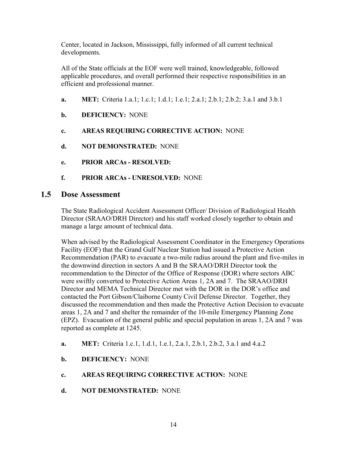Center, located in Jackson, Mississippi, fully informed of all current technical developments.

All of the State officials at the EOF were well trained, knowledgeable, followed applicable procedures, and overall performed their respective responsibilities in an efficient and professional manner.

- **a. MET:** Criteria 1.a.1; 1.c.1; 1.d.1; 1.e.1; 2.a.1; 2.b.1; 2.b.2; 3.a.1 and 3.b.1
- **b. DEFICIENCY:** NONE
- **c. AREAS REQUIRING CORRECTIVE ACTION:** NONE
- **d. NOT DEMONSTRATED:** NONE
- **e. PRIOR ARCAs RESOLVED:**
- **f. PRIOR ARCAs UNRESOLVED:** NONE

## **1.5 Dose Assessment**

The State Radiological Accident Assessment Officer/ Division of Radiological Health Director (SRAAO/DRH Director) and his staff worked closely together to obtain and manage a large amount of technical data.

When advised by the Radiological Assessment Coordinator in the Emergency Operations Facility (EOF) that the Grand Gulf Nuclear Station had issued a Protective Action Recommendation (PAR) to evacuate a two-mile radius around the plant and five-miles in the downwind direction in sectors A and B the SRAAO/DRH Director took the recommendation to the Director of the Office of Response (DOR) where sectors ABC were swiftly converted to Protective Action Areas 1, 2A and 7. The SRAAO/DRH Director and MEMA Technical Director met with the DOR in the DOR's office and contacted the Port Gibson/Claiborne County Civil Defense Director. Together, they discussed the recommendation and then made the Protective Action Decision to evacuate areas 1, 2A and 7 and shelter the remainder of the 10-mile Emergency Planning Zone (EPZ). Evacuation of the general public and special population in areas 1, 2A and 7 was reported as complete at 1245.

- **a. MET:** Criteria 1.c.1, 1.d.1, 1.e.1, 2.a.1, 2.b.1, 2.b.2, 3.a.1 and 4.a.2
- **b. DEFICIENCY:** NONE
- **c. AREAS REQUIRING CORRECTIVE ACTION:** NONE
- **d. NOT DEMONSTRATED:** NONE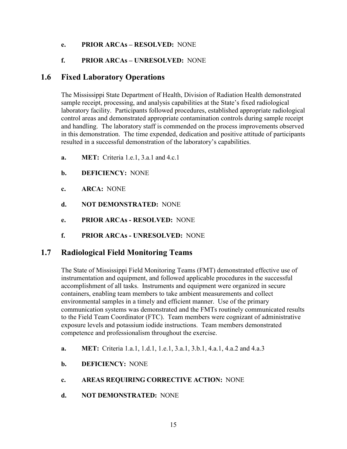#### **e. PRIOR ARCAs – RESOLVED:** NONE

### **f. PRIOR ARCAs – UNRESOLVED:** NONE

## **1.6 Fixed Laboratory Operations**

The Mississippi State Department of Health, Division of Radiation Health demonstrated sample receipt, processing, and analysis capabilities at the State's fixed radiological laboratory facility. Participants followed procedures, established appropriate radiological control areas and demonstrated appropriate contamination controls during sample receipt and handling. The laboratory staff is commended on the process improvements observed in this demonstration. The time expended, dedication and positive attitude of participants resulted in a successful demonstration of the laboratory's capabilities.

- **a. MET:** Criteria 1.e.1, 3.a.1 and 4.c.1
- **b. DEFICIENCY:** NONE
- **c. ARCA:** NONE
- **d. NOT DEMONSTRATED:** NONE
- **e. PRIOR ARCAs RESOLVED:** NONE
- **f. PRIOR ARCAs UNRESOLVED:** NONE

## **1.7 Radiological Field Monitoring Teams**

The State of Mississippi Field Monitoring Teams (FMT) demonstrated effective use of instrumentation and equipment, and followed applicable procedures in the successful accomplishment of all tasks. Instruments and equipment were organized in secure containers, enabling team members to take ambient measurements and collect environmental samples in a timely and efficient manner. Use of the primary communication systems was demonstrated and the FMTs routinely communicated results to the Field Team Coordinator (FTC). Team members were cognizant of administrative exposure levels and potassium iodide instructions. Team members demonstrated competence and professionalism throughout the exercise.

- **a. MET:** Criteria 1.a.1, 1.d.1, 1.e.1, 3.a.1, 3.b.1, 4.a.1, 4.a.2 and 4.a.3
- **b. DEFICIENCY:** NONE
- **c. AREAS REQUIRING CORRECTIVE ACTION:** NONE
- **d. NOT DEMONSTRATED:** NONE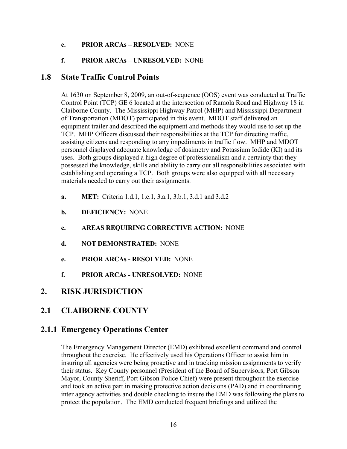#### **e. PRIOR ARCAs – RESOLVED:** NONE

### **f. PRIOR ARCAs – UNRESOLVED:** NONE

## **1.8 State Traffic Control Points**

At 1630 on September 8, 2009, an out-of-sequence (OOS) event was conducted at Traffic Control Point (TCP) GE 6 located at the intersection of Ramola Road and Highway 18 in Claiborne County. The Mississippi Highway Patrol (MHP) and Mississippi Department of Transportation (MDOT) participated in this event. MDOT staff delivered an equipment trailer and described the equipment and methods they would use to set up the TCP. MHP Officers discussed their responsibilities at the TCP for directing traffic, assisting citizens and responding to any impediments in traffic flow. MHP and MDOT personnel displayed adequate knowledge of dosimetry and Potassium Iodide (KI) and its uses. Both groups displayed a high degree of professionalism and a certainty that they possessed the knowledge, skills and ability to carry out all responsibilities associated with establishing and operating a TCP. Both groups were also equipped with all necessary materials needed to carry out their assignments.

- **a. MET:** Criteria 1.d.1, 1.e.1, 3.a.1, 3.b.1, 3.d.1 and 3.d.2
- **b. DEFICIENCY:** NONE
- **c. AREAS REQUIRING CORRECTIVE ACTION:** NONE
- **d. NOT DEMONSTRATED:** NONE
- **e. PRIOR ARCAs RESOLVED:** NONE
- **f. PRIOR ARCAs UNRESOLVED:** NONE

## **2. RISK JURISDICTION**

## **2.1 CLAIBORNE COUNTY**

## **2.1.1 Emergency Operations Center**

The Emergency Management Director (EMD) exhibited excellent command and control throughout the exercise. He effectively used his Operations Officer to assist him in insuring all agencies were being proactive and in tracking mission assignments to verify their status. Key County personnel (President of the Board of Supervisors, Port Gibson Mayor, County Sheriff, Port Gibson Police Chief) were present throughout the exercise and took an active part in making protective action decisions (PAD) and in coordinating inter agency activities and double checking to insure the EMD was following the plans to protect the population. The EMD conducted frequent briefings and utilized the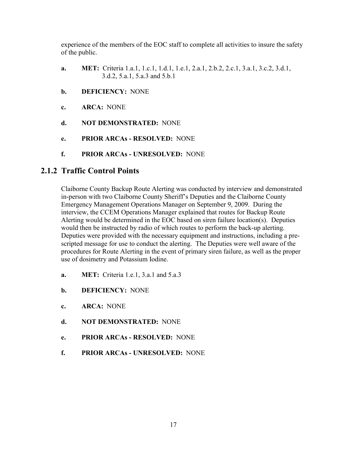experience of the members of the EOC staff to complete all activities to insure the safety of the public.

- **a. MET:** Criteria 1.a.1, 1.c.1, 1.d.1, 1.e.1, 2.a.1, 2.b.2, 2.c.1, 3.a.1, 3.c.2, 3.d.1, 3.d.2, 5.a.1, 5.a.3 and 5.b.1
- **b. DEFICIENCY:** NONE
- **c. ARCA:** NONE
- **d. NOT DEMONSTRATED:** NONE
- **e. PRIOR ARCAs RESOLVED:** NONE
- **f. PRIOR ARCAs UNRESOLVED:** NONE

## **2.1.2 Traffic Control Points**

Claiborne County Backup Route Alerting was conducted by interview and demonstrated in-person with two Claiborne County Sheriff's Deputies and the Claiborne County Emergency Management Operations Manager on September 9, 2009. During the interview, the CCEM Operations Manager explained that routes for Backup Route Alerting would be determined in the EOC based on siren failure location(s). Deputies would then be instructed by radio of which routes to perform the back-up alerting. Deputies were provided with the necessary equipment and instructions, including a prescripted message for use to conduct the alerting. The Deputies were well aware of the procedures for Route Alerting in the event of primary siren failure, as well as the proper use of dosimetry and Potassium Iodine.

- **a. MET:** Criteria 1.e.1, 3.a.1 and 5.a.3
- **b. DEFICIENCY:** NONE
- **c. ARCA:** NONE
- **d. NOT DEMONSTRATED:** NONE
- **e. PRIOR ARCAs RESOLVED:** NONE
- **f. PRIOR ARCAs UNRESOLVED:** NONE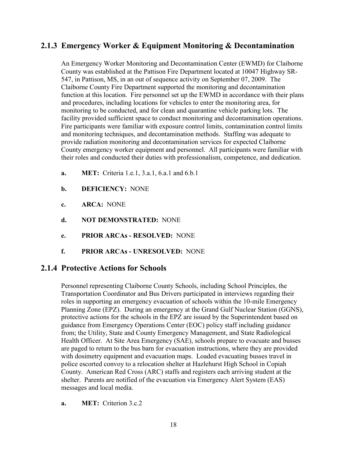# **2.1.3 Emergency Worker & Equipment Monitoring & Decontamination**

An Emergency Worker Monitoring and Decontamination Center (EWMD) for Claiborne County was established at the Pattison Fire Department located at 10047 Highway SR-547, in Pattison, MS, in an out of sequence activity on September 07, 2009. The Claiborne County Fire Department supported the monitoring and decontamination function at this location. Fire personnel set up the EWMD in accordance with their plans and procedures, including locations for vehicles to enter the monitoring area, for monitoring to be conducted, and for clean and quarantine vehicle parking lots. The facility provided sufficient space to conduct monitoring and decontamination operations. Fire participants were familiar with exposure control limits, contamination control limits and monitoring techniques, and decontamination methods. Staffing was adequate to provide radiation monitoring and decontamination services for expected Claiborne County emergency worker equipment and personnel. All participants were familiar with their roles and conducted their duties with professionalism, competence, and dedication.

- **a. MET:** Criteria 1.e.1, 3.a.1, 6.a.1 and 6.b.1
- **b. DEFICIENCY:** NONE
- **c. ARCA:** NONE
- **d. NOT DEMONSTRATED:** NONE
- **e. PRIOR ARCAs RESOLVED:** NONE
- **f. PRIOR ARCAs UNRESOLVED:** NONE

## **2.1.4 Protective Actions for Schools**

Personnel representing Claiborne County Schools, including School Principles, the Transportation Coordinator and Bus Drivers participated in interviews regarding their roles in supporting an emergency evacuation of schools within the 10-mile Emergency Planning Zone (EPZ). During an emergency at the Grand Gulf Nuclear Station (GGNS), protective actions for the schools in the EPZ are issued by the Superintendent based on guidance from Emergency Operations Center (EOC) policy staff including guidance from; the Utility, State and County Emergency Management, and State Radiological Health Officer. At Site Area Emergency (SAE), schools prepare to evacuate and busses are paged to return to the bus barn for evacuation instructions, where they are provided with dosimetry equipment and evacuation maps. Loaded evacuating busses travel in police escorted convoy to a relocation shelter at Hazlehurst High School in Copiah County. American Red Cross (ARC) staffs and registers each arriving student at the shelter. Parents are notified of the evacuation via Emergency Alert System (EAS) messages and local media.

**a. MET:** Criterion 3.c.2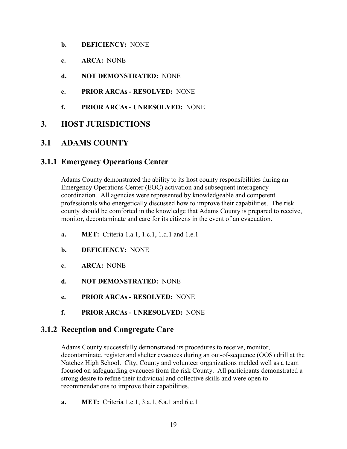- **b. DEFICIENCY:** NONE
- **c. ARCA:** NONE
- **d. NOT DEMONSTRATED:** NONE
- **e. PRIOR ARCAs RESOLVED:** NONE
- **f. PRIOR ARCAs UNRESOLVED:** NONE

# **3. HOST JURISDICTIONS**

# **3.1 ADAMS COUNTY**

## **3.1.1 Emergency Operations Center**

Adams County demonstrated the ability to its host county responsibilities during an Emergency Operations Center (EOC) activation and subsequent interagency coordination. All agencies were represented by knowledgeable and competent professionals who energetically discussed how to improve their capabilities. The risk county should be comforted in the knowledge that Adams County is prepared to receive, monitor, decontaminate and care for its citizens in the event of an evacuation.

- **a. MET:** Criteria 1.a.1, 1.c.1, 1.d.1 and 1.e.1
- **b. DEFICIENCY:** NONE
- **c. ARCA:** NONE
- **d. NOT DEMONSTRATED:** NONE
- **e. PRIOR ARCAs RESOLVED:** NONE
- **f. PRIOR ARCAs UNRESOLVED:** NONE

## **3.1.2 Reception and Congregate Care**

Adams County successfully demonstrated its procedures to receive, monitor, decontaminate, register and shelter evacuees during an out-of-sequence (OOS) drill at the Natchez High School. City, County and volunteer organizations melded well as a team focused on safeguarding evacuees from the risk County. All participants demonstrated a strong desire to refine their individual and collective skills and were open to recommendations to improve their capabilities.

**a. MET:** Criteria 1.e.1, 3.a.1, 6.a.1 and 6.c.1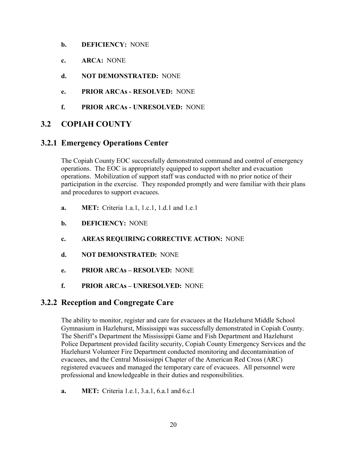- **b. DEFICIENCY:** NONE
- **c. ARCA:** NONE
- **d. NOT DEMONSTRATED:** NONE
- **e. PRIOR ARCAs RESOLVED:** NONE
- **f. PRIOR ARCAs UNRESOLVED:** NONE

## **3.2 COPIAH COUNTY**

## **3.2.1 Emergency Operations Center**

The Copiah County EOC successfully demonstrated command and control of emergency operations. The EOC is appropriately equipped to support shelter and evacuation operations. Mobilization of support staff was conducted with no prior notice of their participation in the exercise. They responded promptly and were familiar with their plans and procedures to support evacuees.

- **a. MET:** Criteria 1.a.1, 1.c.1, 1.d.1 and 1.e.1
- **b. DEFICIENCY:** NONE
- **c. AREAS REQUIRING CORRECTIVE ACTION:** NONE
- **d. NOT DEMONSTRATED:** NONE
- **e. PRIOR ARCAs RESOLVED:** NONE
- **f. PRIOR ARCAs UNRESOLVED:** NONE

## **3.2.2 Reception and Congregate Care**

The ability to monitor, register and care for evacuees at the Hazlehurst Middle School Gymnasium in Hazlehurst, Mississippi was successfully demonstrated in Copiah County. The Sheriff's Department the Mississippi Game and Fish Department and Hazlehurst Police Department provided facility security, Copiah County Emergency Services and the Hazlehurst Volunteer Fire Department conducted monitoring and decontamination of evacuees, and the Central Mississippi Chapter of the American Red Cross (ARC) registered evacuees and managed the temporary care of evacuees. All personnel were professional and knowledgeable in their duties and responsibilities.

**a. MET:** Criteria 1.e.1, 3.a.1, 6.a.1 and 6.c.1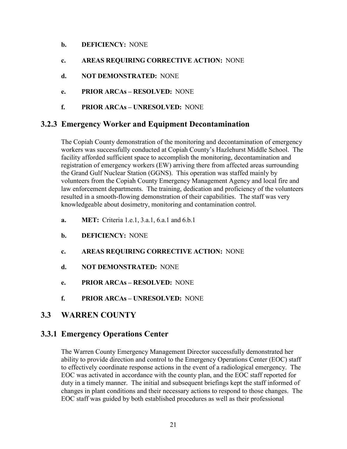- **b. DEFICIENCY:** NONE
- **c. AREAS REQUIRING CORRECTIVE ACTION:** NONE
- **d. NOT DEMONSTRATED:** NONE
- **e. PRIOR ARCAs RESOLVED:** NONE
- **f. PRIOR ARCAs UNRESOLVED:** NONE

## **3.2.3 Emergency Worker and Equipment Decontamination**

The Copiah County demonstration of the monitoring and decontamination of emergency workers was successfully conducted at Copiah County's Hazlehurst Middle School. The facility afforded sufficient space to accomplish the monitoring, decontamination and registration of emergency workers (EW) arriving there from affected areas surrounding the Grand Gulf Nuclear Station (GGNS). This operation was staffed mainly by volunteers from the Copiah County Emergency Management Agency and local fire and law enforcement departments. The training, dedication and proficiency of the volunteers resulted in a smooth-flowing demonstration of their capabilities. The staff was very knowledgeable about dosimetry, monitoring and contamination control.

- **a. MET:** Criteria 1.e.1, 3.a.1, 6.a.1 and 6.b.1
- **b. DEFICIENCY:** NONE
- **c. AREAS REQUIRING CORRECTIVE ACTION:** NONE
- **d. NOT DEMONSTRATED:** NONE
- **e. PRIOR ARCAs RESOLVED:** NONE
- **f. PRIOR ARCAs UNRESOLVED:** NONE

## **3.3 WARREN COUNTY**

## **3.3.1 Emergency Operations Center**

The Warren County Emergency Management Director successfully demonstrated her ability to provide direction and control to the Emergency Operations Center (EOC) staff to effectively coordinate response actions in the event of a radiological emergency. The EOC was activated in accordance with the county plan, and the EOC staff reported for duty in a timely manner. The initial and subsequent briefings kept the staff informed of changes in plant conditions and their necessary actions to respond to those changes. The EOC staff was guided by both established procedures as well as their professional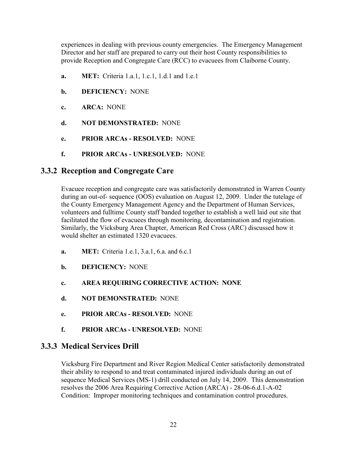experiences in dealing with previous county emergencies. The Emergency Management Director and her staff are prepared to carry out their host County responsibilities to provide Reception and Congregate Care (RCC) to evacuees from Claiborne County.

- **a. MET:** Criteria 1.a.1, 1.c.1, 1.d.1 and 1.e.1
- **b. DEFICIENCY:** NONE
- **c. ARCA:** NONE
- **d. NOT DEMONSTRATED:** NONE
- **e. PRIOR ARCAs RESOLVED:** NONE
- **f. PRIOR ARCAs UNRESOLVED:** NONE

## **3.3.2 Reception and Congregate Care**

Evacuee reception and congregate care was satisfactorily demonstrated in Warren County during an out-of- sequence (OOS) evaluation on August 12, 2009. Under the tutelage of the County Emergency Management Agency and the Department of Human Services, volunteers and fulltime County staff banded together to establish a well laid out site that facilitated the flow of evacuees through monitoring, decontamination and registration. Similarly, the Vicksburg Area Chapter, American Red Cross (ARC) discussed how it would shelter an estimated 1320 evacuees.

- **a. MET:** Criteria 1.e.1, 3.a.1, 6.a. and 6.c.1
- **b. DEFICIENCY:** NONE
- **c. AREA REQUIRING CORRECTIVE ACTION: NONE**
- **d. NOT DEMONSTRATED:** NONE
- **e. PRIOR ARCAs RESOLVED:** NONE
- **f. PRIOR ARCAs UNRESOLVED:** NONE

## **3.3.3 Medical Services Drill**

Vicksburg Fire Department and River Region Medical Center satisfactorily demonstrated their ability to respond to and treat contaminated injured individuals during an out of sequence Medical Services (MS-1) drill conducted on July 14, 2009. This demonstration resolves the 2006 Area Requiring Corrective Action (ARCA) - 28-06-6.d.1-A-02 Condition: Improper monitoring techniques and contamination control procedures.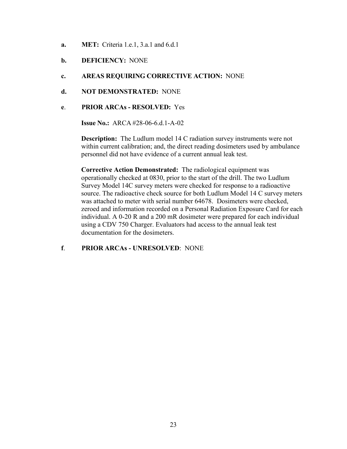- **a. MET:** Criteria 1.e.1, 3.a.1 and 6.d.1
- **b. DEFICIENCY:** NONE
- **c. AREAS REQUIRING CORRECTIVE ACTION:** NONE
- **d. NOT DEMONSTRATED:** NONE
- **e**. **PRIOR ARCAs RESOLVED:** Yes

**Issue No.:** ARCA #28-06-6 d 1-A-02

**Description:** The Ludlum model 14 C radiation survey instruments were not within current calibration; and, the direct reading dosimeters used by ambulance personnel did not have evidence of a current annual leak test.

**Corrective Action Demonstrated:** The radiological equipment was operationally checked at 0830, prior to the start of the drill. The two Ludlum Survey Model 14C survey meters were checked for response to a radioactive source. The radioactive check source for both Ludlum Model 14 C survey meters was attached to meter with serial number 64678. Dosimeters were checked, zeroed and information recorded on a Personal Radiation Exposure Card for each individual. A 0-20 R and a 200 mR dosimeter were prepared for each individual using a CDV 750 Charger. Evaluators had access to the annual leak test documentation for the dosimeters.

**f**. **PRIOR ARCAs - UNRESOLVED**: NONE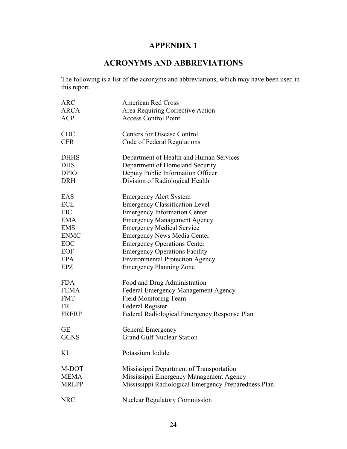# **APPENDIX 1**

# **ACRONYMS AND ABBREVIATIONS**

The following is a list of the acronyms and abbreviations, which may have been used in this report.

| <b>ARC</b>   | <b>American Red Cross</b>                            |
|--------------|------------------------------------------------------|
| <b>ARCA</b>  | Area Requiring Corrective Action                     |
| <b>ACP</b>   | <b>Access Control Point</b>                          |
| <b>CDC</b>   | <b>Centers for Disease Control</b>                   |
| <b>CFR</b>   | Code of Federal Regulations                          |
| <b>DHHS</b>  | Department of Health and Human Services              |
| <b>DHS</b>   | Department of Homeland Security                      |
| <b>DPIO</b>  | Deputy Public Information Officer                    |
| <b>DRH</b>   | Division of Radiological Health                      |
| EAS          | <b>Emergency Alert System</b>                        |
| <b>ECL</b>   | <b>Emergency Classification Level</b>                |
| EIC          | <b>Emergency Information Center</b>                  |
| <b>EMA</b>   | <b>Emergency Management Agency</b>                   |
| <b>EMS</b>   | <b>Emergency Medical Service</b>                     |
| <b>ENMC</b>  | <b>Emergency News Media Center</b>                   |
| EOC          | <b>Emergency Operations Center</b>                   |
| EOF          | <b>Emergency Operations Facility</b>                 |
| <b>EPA</b>   | <b>Environmental Protection Agency</b>               |
| EPZ          | <b>Emergency Planning Zone</b>                       |
| <b>FDA</b>   | Food and Drug Administration                         |
| <b>FEMA</b>  | <b>Federal Emergency Management Agency</b>           |
| <b>FMT</b>   | <b>Field Monitoring Team</b>                         |
| <b>FR</b>    | Federal Register                                     |
| <b>FRERP</b> | Federal Radiological Emergency Response Plan         |
| <b>GE</b>    | General Emergency                                    |
| <b>GGNS</b>  | <b>Grand Gulf Nuclear Station</b>                    |
| ΚI           | Potassium Iodide                                     |
| M-DOT        | Mississippi Department of Transportation             |
| <b>MEMA</b>  | Mississippi Emergency Management Agency              |
| <b>MREPP</b> | Mississippi Radiological Emergency Preparedness Plan |
| <b>NRC</b>   | <b>Nuclear Regulatory Commission</b>                 |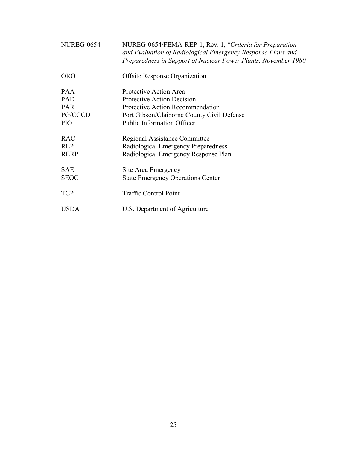| <b>NUREG-0654</b>                                                      | NUREG-0654/FEMA-REP-1, Rev. 1, "Criteria for Preparation<br>and Evaluation of Radiological Emergency Response Plans and<br>Preparedness in Support of Nuclear Power Plants, November 1980 |
|------------------------------------------------------------------------|-------------------------------------------------------------------------------------------------------------------------------------------------------------------------------------------|
| <b>ORO</b>                                                             | <b>Offsite Response Organization</b>                                                                                                                                                      |
| <b>PAA</b><br><b>PAD</b><br><b>PAR</b><br><b>PG/CCCD</b><br><b>PIO</b> | Protective Action Area<br>Protective Action Decision<br>Protective Action Recommendation<br>Port Gibson/Claiborne County Civil Defense<br><b>Public Information Officer</b>               |
| <b>RAC</b><br><b>REP</b><br><b>RERP</b>                                | Regional Assistance Committee<br>Radiological Emergency Preparedness<br>Radiological Emergency Response Plan                                                                              |
| <b>SAE</b><br><b>SEOC</b>                                              | Site Area Emergency<br><b>State Emergency Operations Center</b>                                                                                                                           |
| <b>TCP</b>                                                             | <b>Traffic Control Point</b>                                                                                                                                                              |
| <b>USDA</b>                                                            | U.S. Department of Agriculture                                                                                                                                                            |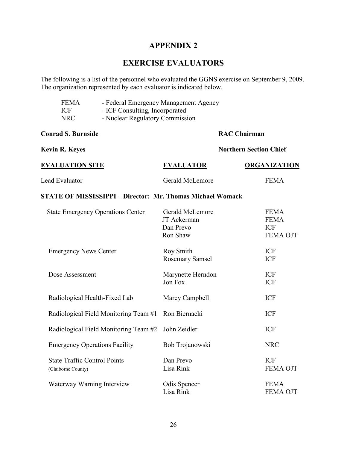## **APPENDIX 2**

# **EXERCISE EVALUATORS**

The following is a list of the personnel who evaluated the GGNS exercise on September 9, 2009. The organization represented by each evaluator is indicated below.

| <b>FEMA</b><br><b>ICF</b><br><b>NRC</b>                   | - Federal Emergency Management Agency<br>- ICF Consulting, Incorporated<br>- Nuclear Regulatory Commission |                                                         |                               |                                                             |  |  |  |
|-----------------------------------------------------------|------------------------------------------------------------------------------------------------------------|---------------------------------------------------------|-------------------------------|-------------------------------------------------------------|--|--|--|
| <b>Conrad S. Burnside</b>                                 |                                                                                                            | <b>RAC Chairman</b>                                     |                               |                                                             |  |  |  |
| <b>Kevin R. Keyes</b>                                     |                                                                                                            |                                                         | <b>Northern Section Chief</b> |                                                             |  |  |  |
| <b>EVALUATION SITE</b>                                    |                                                                                                            | <b>EVALUATOR</b>                                        |                               | <b>ORGANIZATION</b>                                         |  |  |  |
| Lead Evaluator                                            |                                                                                                            | Gerald McLemore                                         |                               | <b>FEMA</b>                                                 |  |  |  |
|                                                           | <b>STATE OF MISSISSIPPI - Director: Mr. Thomas Michael Womack</b>                                          |                                                         |                               |                                                             |  |  |  |
|                                                           | <b>State Emergency Operations Center</b>                                                                   | Gerald McLemore<br>JT Ackerman<br>Dan Prevo<br>Ron Shaw |                               | <b>FEMA</b><br><b>FEMA</b><br><b>ICF</b><br><b>FEMA OJT</b> |  |  |  |
| <b>Emergency News Center</b>                              |                                                                                                            | <b>Roy Smith</b><br><b>Rosemary Samsel</b>              |                               | <b>ICF</b><br><b>ICF</b>                                    |  |  |  |
| Dose Assessment                                           |                                                                                                            | Marynette Herndon<br>Jon Fox                            |                               | <b>ICF</b><br><b>ICF</b>                                    |  |  |  |
| Radiological Health-Fixed Lab                             |                                                                                                            | Marcy Campbell                                          |                               | <b>ICF</b>                                                  |  |  |  |
|                                                           | Radiological Field Monitoring Team #1                                                                      | Ron Biernacki                                           |                               | <b>ICF</b>                                                  |  |  |  |
|                                                           | Radiological Field Monitoring Team #2                                                                      | John Zeidler                                            |                               | <b>ICF</b>                                                  |  |  |  |
| <b>Emergency Operations Facility</b>                      |                                                                                                            | Bob Trojanowski                                         |                               | <b>NRC</b>                                                  |  |  |  |
| <b>State Traffic Control Points</b><br>(Claiborne County) |                                                                                                            | Dan Prevo<br>Lisa Rink                                  |                               | <b>ICF</b><br><b>FEMA OJT</b>                               |  |  |  |

Waterway Warning Interview Odis Spencer FEMA Lisa Rink FEMA OJT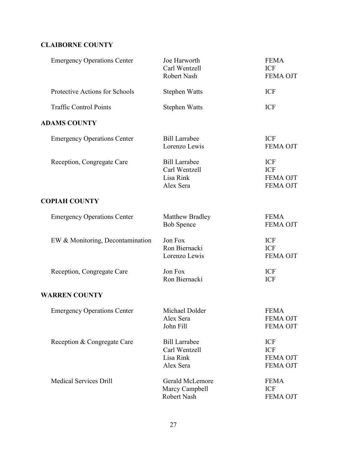## **CLAIBORNE COUNTY**

| <b>Emergency Operations Center</b> | Joe Harworth<br>Carl Wentzell<br>Robert Nash                    | <b>FEMA</b><br><b>ICF</b><br><b>FEMA OJT</b>                   |
|------------------------------------|-----------------------------------------------------------------|----------------------------------------------------------------|
| Protective Actions for Schools     | <b>Stephen Watts</b>                                            | <b>ICF</b>                                                     |
| <b>Traffic Control Points</b>      | <b>Stephen Watts</b>                                            | <b>ICF</b>                                                     |
| <b>ADAMS COUNTY</b>                |                                                                 |                                                                |
| <b>Emergency Operations Center</b> | <b>Bill Larrabee</b><br>Lorenzo Lewis                           | <b>ICF</b><br>FEMA OJT                                         |
| Reception, Congregate Care         | <b>Bill Larrabee</b><br>Carl Wentzell<br>Lisa Rink<br>Alex Sera | <b>ICF</b><br><b>ICF</b><br><b>FEMA OJT</b><br><b>FEMA OJT</b> |
| <b>COPIAH COUNTY</b>               |                                                                 |                                                                |
| <b>Emergency Operations Center</b> | Matthew Bradley<br><b>Bob Spence</b>                            | <b>FEMA</b><br><b>FEMA OJT</b>                                 |
| EW & Monitoring, Decontamination   | Jon Fox<br>Ron Biernacki<br>Lorenzo Lewis                       | <b>ICF</b><br><b>ICF</b><br><b>FEMA OJT</b>                    |
| Reception, Congregate Care         | Jon Fox<br>Ron Biernacki                                        | <b>ICF</b><br><b>ICF</b>                                       |
| <b>WARREN COUNTY</b>               |                                                                 |                                                                |
| <b>Emergency Operations Center</b> | Michael Dolder<br>Alex Sera<br>John Fill                        | <b>FEMA</b><br><b>FEMA OJT</b><br>FEMA OJT                     |
| Reception & Congregate Care        | <b>Bill Larrabee</b><br>Carl Wentzell<br>Lisa Rink<br>Alex Sera | <b>ICF</b><br><b>ICF</b><br><b>FEMA OJT</b><br><b>FEMA OJT</b> |
| <b>Medical Services Drill</b>      | Gerald McLemore<br>Marcy Campbell<br>Robert Nash                | <b>FEMA</b><br><b>ICF</b><br>FEMA OJT                          |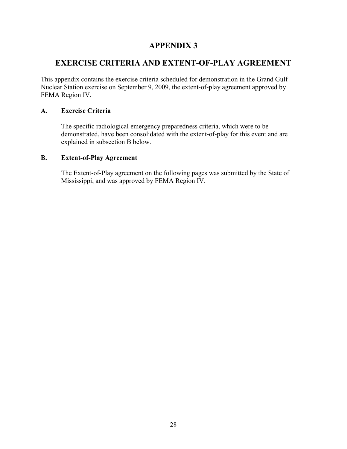## **APPENDIX 3**

## **EXERCISE CRITERIA AND EXTENT-OF-PLAY AGREEMENT**

This appendix contains the exercise criteria scheduled for demonstration in the Grand Gulf Nuclear Station exercise on September 9, 2009, the extent-of-play agreement approved by FEMA Region IV.

#### **A. Exercise Criteria**

The specific radiological emergency preparedness criteria, which were to be demonstrated, have been consolidated with the extent-of-play for this event and are explained in subsection B below.

#### **B. Extent-of-Play Agreement**

The Extent-of-Play agreement on the following pages was submitted by the State of Mississippi, and was approved by FEMA Region IV.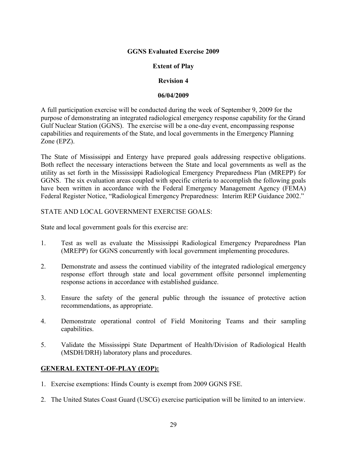#### **GGNS Evaluated Exercise 2009**

#### **Extent of Play**

#### **Revision 4**

#### **06/04/2009**

A full participation exercise will be conducted during the week of September 9, 2009 for the purpose of demonstrating an integrated radiological emergency response capability for the Grand Gulf Nuclear Station (GGNS). The exercise will be a one-day event, encompassing response capabilities and requirements of the State, and local governments in the Emergency Planning Zone (EPZ).

The State of Mississippi and Entergy have prepared goals addressing respective obligations. Both reflect the necessary interactions between the State and local governments as well as the utility as set forth in the Mississippi Radiological Emergency Preparedness Plan (MREPP) for GGNS. The six evaluation areas coupled with specific criteria to accomplish the following goals have been written in accordance with the Federal Emergency Management Agency (FEMA) Federal Register Notice, "Radiological Emergency Preparedness: Interim REP Guidance 2002."

#### STATE AND LOCAL GOVERNMENT EXERCISE GOALS:

State and local government goals for this exercise are:

- 1. Test as well as evaluate the Mississippi Radiological Emergency Preparedness Plan (MREPP) for GGNS concurrently with local government implementing procedures.
- 2. Demonstrate and assess the continued viability of the integrated radiological emergency response effort through state and local government offsite personnel implementing response actions in accordance with established guidance.
- 3. Ensure the safety of the general public through the issuance of protective action recommendations, as appropriate.
- 4. Demonstrate operational control of Field Monitoring Teams and their sampling capabilities.
- 5. Validate the Mississippi State Department of Health/Division of Radiological Health (MSDH/DRH) laboratory plans and procedures.

#### **GENERAL EXTENT-OF-PLAY (EOP):**

- 1. Exercise exemptions: Hinds County is exempt from 2009 GGNS FSE.
- 2. The United States Coast Guard (USCG) exercise participation will be limited to an interview.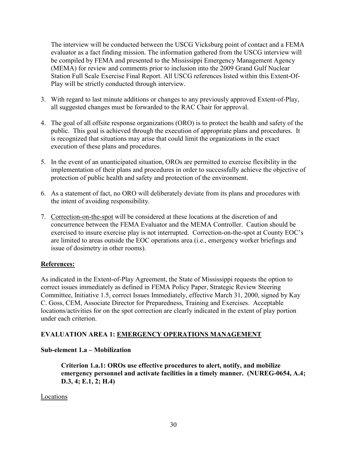The interview will be conducted between the USCG Vicksburg point of contact and a FEMA evaluator as a fact finding mission. The information gathered from the USCG interview will be compiled by FEMA and presented to the Mississippi Emergency Management Agency (MEMA) for review and comments prior to inclusion into the 2009 Grand Gulf Nuclear Station Full Scale Exercise Final Report. All USCG references listed within this Extent-Of-Play will be strictly conducted through interview.

- 3. With regard to last minute additions or changes to any previously approved Extent-of-Play, all suggested changes must be forwarded to the RAC Chair for approval.
- 4. The goal of all offsite response organizations (ORO) is to protect the health and safety of the public. This goal is achieved through the execution of appropriate plans and procedures. It is recognized that situations may arise that could limit the organizations in the exact execution of these plans and procedures.
- 5. In the event of an unanticipated situation, OROs are permitted to exercise flexibility in the implementation of their plans and procedures in order to successfully achieve the objective of protection of public health and safety and protection of the environment.
- 6. As a statement of fact, no ORO will deliberately deviate from its plans and procedures with the intent of avoiding responsibility.
- 7. Correction-on-the-spot will be considered at these locations at the discretion of and concurrence between the FEMA Evaluator and the MEMA Controller. Caution should be exercised to insure exercise play is not interrupted. Correction-on-the-spot at County EOC's are limited to areas outside the EOC operations area (i.e., emergency worker briefings and issue of dosimetry in other rooms).

## **References:**

As indicated in the Extent-of-Play Agreement, the State of Mississippi requests the option to correct issues immediately as defined in FEMA Policy Paper, Strategic Review Steering Committee, Initiative 1.5, correct Issues Immediately, effective March 31, 2000, signed by Kay C. Goss, CEM, Associate Director for Preparedness, Training and Exercises. Acceptable locations/activities for on the spot correction are clearly indicated in the extent of play portion under each criterion.

## **EVALUATION AREA 1: EMERGENCY OPERATIONS MANAGEMENT**

## **Sub-element 1.a – Mobilization**

**Criterion 1.a.1: OROs use effective procedures to alert, notify, and mobilize emergency personnel and activate facilities in a timely manner. (NUREG-0654, A.4; D.3, 4; E.1, 2; H.4)** 

#### Locations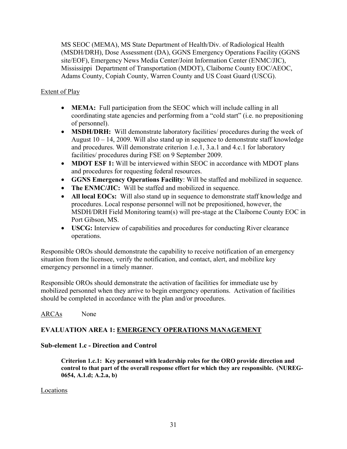MS SEOC (MEMA), MS State Department of Health/Div. of Radiological Health (MSDH/DRH), Dose Assessment (DA), GGNS Emergency Operations Facility (GGNS site/EOF), Emergency News Media Center/Joint Information Center (ENMC/JIC), Mississippi Department of Transportation (MDOT), Claiborne County EOC/AEOC, Adams County, Copiah County, Warren County and US Coast Guard (USCG).

### Extent of Play

- **MEMA:** Full participation from the SEOC which will include calling in all coordinating state agencies and performing from a "cold start" (i.e. no prepositioning of personnel).
- **MSDH/DRH:** Will demonstrate laboratory facilities/ procedures during the week of August  $10 - 14$ , 2009. Will also stand up in sequence to demonstrate staff knowledge and procedures. Will demonstrate criterion 1.e.1, 3.a.1 and 4.c.1 for laboratory facilities/ procedures during FSE on 9 September 2009.
- **MDOT ESF 1:** Will be interviewed within SEOC in accordance with MDOT plans and procedures for requesting federal resources.
- **GGNS Emergency Operations Facility**: Will be staffed and mobilized in sequence.
- **The ENMC/JIC:** Will be staffed and mobilized in sequence.
- **All local EOCs:** Will also stand up in sequence to demonstrate staff knowledge and procedures. Local response personnel will not be prepositioned, however, the MSDH/DRH Field Monitoring team(s) will pre-stage at the Claiborne County EOC in Port Gibson, MS.
- **USCG:** Interview of capabilities and procedures for conducting River clearance operations.

Responsible OROs should demonstrate the capability to receive notification of an emergency situation from the licensee, verify the notification, and contact, alert, and mobilize key emergency personnel in a timely manner.

Responsible OROs should demonstrate the activation of facilities for immediate use by mobilized personnel when they arrive to begin emergency operations. Activation of facilities should be completed in accordance with the plan and/or procedures.

#### ARCAs None

## **EVALUATION AREA 1: EMERGENCY OPERATIONS MANAGEMENT**

#### **Sub-element 1.c - Direction and Control**

**Criterion 1.c.1: Key personnel with leadership roles for the ORO provide direction and control to that part of the overall response effort for which they are responsible. (NUREG-0654, A.1.d; A.2.a, b)** 

#### Locations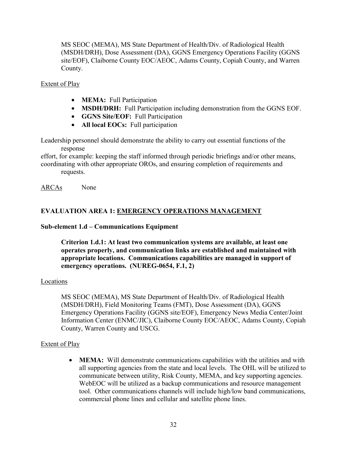MS SEOC (MEMA), MS State Department of Health/Div. of Radiological Health (MSDH/DRH), Dose Assessment (DA), GGNS Emergency Operations Facility (GGNS site/EOF), Claiborne County EOC/AEOC, Adams County, Copiah County, and Warren County.

#### Extent of Play

- **MEMA:** Full Participation
- **MSDH/DRH:** Full Participation including demonstration from the GGNS EOF.
- **GGNS Site/EOF:** Full Participation
- **All local EOCs:** Full participation

Leadership personnel should demonstrate the ability to carry out essential functions of the response

effort, for example: keeping the staff informed through periodic briefings and/or other means, coordinating with other appropriate OROs, and ensuring completion of requirements and requests.

ARCAs None

#### **EVALUATION AREA 1: EMERGENCY OPERATIONS MANAGEMENT**

#### **Sub-element 1.d – Communications Equipment**

**Criterion 1.d.1: At least two communication systems are available, at least one operates properly, and communication links are established and maintained with appropriate locations. Communications capabilities are managed in support of emergency operations. (NUREG-0654, F.1, 2)** 

#### Locations

 MS SEOC (MEMA), MS State Department of Health/Div. of Radiological Health (MSDH/DRH), Field Monitoring Teams (FMT), Dose Assessment (DA), GGNS Emergency Operations Facility (GGNS site/EOF), Emergency News Media Center/Joint Information Center (ENMC/JIC), Claiborne County EOC/AEOC, Adams County, Copiah County, Warren County and USCG.

#### Extent of Play

• **MEMA:** Will demonstrate communications capabilities with the utilities and with all supporting agencies from the state and local levels. The OHL will be utilized to communicate between utility, Risk County, MEMA, and key supporting agencies. WebEOC will be utilized as a backup communications and resource management tool. Other communications channels will include high/low band communications, commercial phone lines and cellular and satellite phone lines.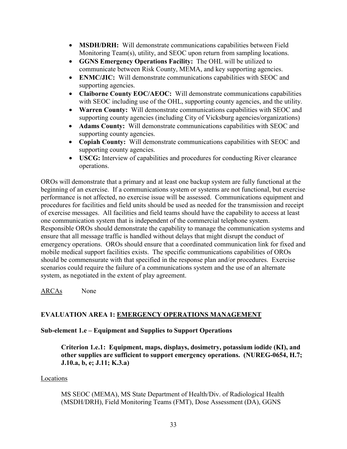- **MSDH/DRH:** Will demonstrate communications capabilities between Field Monitoring Team(s), utility, and SEOC upon return from sampling locations.
- **GGNS Emergency Operations Facility:** The OHL will be utilized to communicate between Risk County, MEMA, and key supporting agencies.
- **ENMC/JIC:** Will demonstrate communications capabilities with SEOC and supporting agencies.
- **Claiborne County EOC/AEOC:** Will demonstrate communications capabilities with SEOC including use of the OHL, supporting county agencies, and the utility.
- **Warren County:** Will demonstrate communications capabilities with SEOC and supporting county agencies (including City of Vicksburg agencies/organizations)
- **Adams County:** Will demonstrate communications capabilities with SEOC and supporting county agencies.
- **Copiah County:** Will demonstrate communications capabilities with SEOC and supporting county agencies.
- **USCG:** Interview of capabilities and procedures for conducting River clearance operations.

OROs will demonstrate that a primary and at least one backup system are fully functional at the beginning of an exercise. If a communications system or systems are not functional, but exercise performance is not affected, no exercise issue will be assessed. Communications equipment and procedures for facilities and field units should be used as needed for the transmission and receipt of exercise messages. All facilities and field teams should have the capability to access at least one communication system that is independent of the commercial telephone system. Responsible OROs should demonstrate the capability to manage the communication systems and ensure that all message traffic is handled without delays that might disrupt the conduct of emergency operations. OROs should ensure that a coordinated communication link for fixed and mobile medical support facilities exists. The specific communications capabilities of OROs should be commensurate with that specified in the response plan and/or procedures. Exercise scenarios could require the failure of a communications system and the use of an alternate system, as negotiated in the extent of play agreement.

ARCAs None

## **EVALUATION AREA 1: EMERGENCY OPERATIONS MANAGEMENT**

## **Sub-element 1.e – Equipment and Supplies to Support Operations**

**Criterion 1.e.1: Equipment, maps, displays, dosimetry, potassium iodide (KI), and other supplies are sufficient to support emergency operations. (NUREG-0654, H.7; J.10.a, b, e; J.11; K.3.a)** 

## Locations

 MS SEOC (MEMA), MS State Department of Health/Div. of Radiological Health (MSDH/DRH), Field Monitoring Teams (FMT), Dose Assessment (DA), GGNS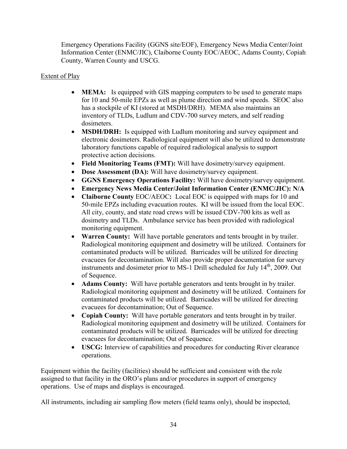Emergency Operations Facility (GGNS site/EOF), Emergency News Media Center/Joint Information Center (ENMC/JIC), Claiborne County EOC/AEOC, Adams County, Copiah County, Warren County and USCG.

# Extent of Play

- **MEMA:** Is equipped with GIS mapping computers to be used to generate maps for 10 and 50-mile EPZs as well as plume direction and wind speeds. SEOC also has a stockpile of KI (stored at MSDH/DRH). MEMA also maintains an inventory of TLDs, Ludlum and CDV-700 survey meters, and self reading dosimeters.
- **MSDH/DRH:** Is equipped with Ludlum monitoring and survey equipment and electronic dosimeters. Radiological equipment will also be utilized to demonstrate laboratory functions capable of required radiological analysis to support protective action decisions.
- **Field Monitoring Teams (FMT):** Will have dosimetry/survey equipment.
- **Dose Assessment (DA):** Will have dosimetry/survey equipment.
- **GGNS Emergency Operations Facility:** Will have dosimetry/survey equipment.
- **Emergency News Media Center/Joint Information Center (ENMC/JIC): N/A**
- **Claiborne County EOC/AEOC:** Local EOC is equipped with maps for 10 and 50-mile EPZs including evacuation routes. KI will be issued from the local EOC. All city, county, and state road crews will be issued CDV-700 kits as well as dosimetry and TLDs. Ambulance service has been provided with radiological monitoring equipment.
- **Warren County:** Will have portable generators and tents brought in by trailer. Radiological monitoring equipment and dosimetry will be utilized. Containers for contaminated products will be utilized. Barricades will be utilized for directing evacuees for decontamination. Will also provide proper documentation for survey instruments and dosimeter prior to MS-1 Drill scheduled for July 14<sup>th</sup>, 2009. Out of Sequence.
- **Adams County:** Will have portable generators and tents brought in by trailer. Radiological monitoring equipment and dosimetry will be utilized. Containers for contaminated products will be utilized. Barricades will be utilized for directing evacuees for decontamination; Out of Sequence.
- **Copiah County:** Will have portable generators and tents brought in by trailer. Radiological monitoring equipment and dosimetry will be utilized. Containers for contaminated products will be utilized. Barricades will be utilized for directing evacuees for decontamination; Out of Sequence.
- **USCG:** Interview of capabilities and procedures for conducting River clearance operations.

Equipment within the facility (facilities) should be sufficient and consistent with the role assigned to that facility in the ORO's plans and/or procedures in support of emergency operations. Use of maps and displays is encouraged.

All instruments, including air sampling flow meters (field teams only), should be inspected,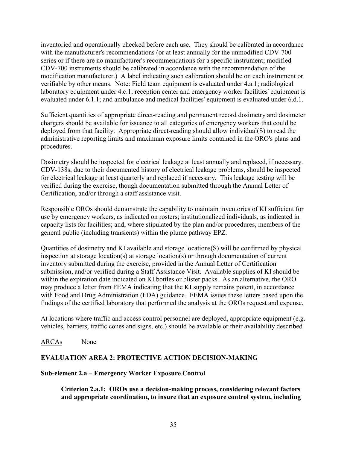inventoried and operationally checked before each use. They should be calibrated in accordance with the manufacturer's recommendations (or at least annually for the unmodified CDV-700 series or if there are no manufacturer's recommendations for a specific instrument; modified CDV-700 instruments should be calibrated in accordance with the recommendation of the modification manufacturer.) A label indicating such calibration should be on each instrument or verifiable by other means. Note: Field team equipment is evaluated under 4.a.1; radiological laboratory equipment under 4.c.1; reception center and emergency worker facilities' equipment is evaluated under 6.1.1; and ambulance and medical facilities' equipment is evaluated under 6.d.1.

Sufficient quantities of appropriate direct-reading and permanent record dosimetry and dosimeter chargers should be available for issuance to all categories of emergency workers that could be deployed from that facility. Appropriate direct-reading should allow individual(S) to read the administrative reporting limits and maximum exposure limits contained in the ORO's plans and procedures.

Dosimetry should be inspected for electrical leakage at least annually and replaced, if necessary. CDV-138s, due to their documented history of electrical leakage problems, should be inspected for electrical leakage at least quarterly and replaced if necessary. This leakage testing will be verified during the exercise, though documentation submitted through the Annual Letter of Certification, and/or through a staff assistance visit.

Responsible OROs should demonstrate the capability to maintain inventories of KI sufficient for use by emergency workers, as indicated on rosters; institutionalized individuals, as indicated in capacity lists for facilities; and, where stipulated by the plan and/or procedures, members of the general public (including transients) within the plume pathway EPZ.

Quantities of dosimetry and KI available and storage locations(S) will be confirmed by physical inspection at storage location(s) at storage location(s) or through documentation of current inventory submitted during the exercise, provided in the Annual Letter of Certification submission, and/or verified during a Staff Assistance Visit. Available supplies of KI should be within the expiration date indicated on KI bottles or blister packs. As an alternative, the ORO may produce a letter from FEMA indicating that the KI supply remains potent, in accordance with Food and Drug Administration (FDA) guidance. FEMA issues these letters based upon the findings of the certified laboratory that performed the analysis at the OROs request and expense.

At locations where traffic and access control personnel are deployed, appropriate equipment (e.g. vehicles, barriers, traffic cones and signs, etc.) should be available or their availability described

## ARCAs None

# **EVALUATION AREA 2: PROTECTIVE ACTION DECISION-MAKING**

## **Sub-element 2.a – Emergency Worker Exposure Control**

**Criterion 2.a.1: OROs use a decision-making process, considering relevant factors and appropriate coordination, to insure that an exposure control system, including**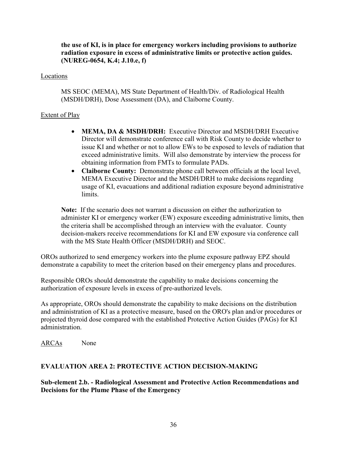**the use of KI, is in place for emergency workers including provisions to authorize radiation exposure in excess of administrative limits or protective action guides. (NUREG-0654, K.4; J.10.e, f)** 

#### Locations

 MS SEOC (MEMA), MS State Department of Health/Div. of Radiological Health (MSDH/DRH), Dose Assessment (DA), and Claiborne County.

## Extent of Play

- **MEMA, DA & MSDH/DRH:** Executive Director and MSDH/DRH Executive Director will demonstrate conference call with Risk County to decide whether to issue KI and whether or not to allow EWs to be exposed to levels of radiation that exceed administrative limits. Will also demonstrate by interview the process for obtaining information from FMTs to formulate PADs.
- **Claiborne County:** Demonstrate phone call between officials at the local level, MEMA Executive Director and the MSDH/DRH to make decisions regarding usage of KI, evacuations and additional radiation exposure beyond administrative limits.

**Note:** If the scenario does not warrant a discussion on either the authorization to administer KI or emergency worker (EW) exposure exceeding administrative limits, then the criteria shall be accomplished through an interview with the evaluator. County decision-makers receive recommendations for KI and EW exposure via conference call with the MS State Health Officer (MSDH/DRH) and SEOC.

OROs authorized to send emergency workers into the plume exposure pathway EPZ should demonstrate a capability to meet the criterion based on their emergency plans and procedures.

Responsible OROs should demonstrate the capability to make decisions concerning the authorization of exposure levels in excess of pre-authorized levels.

As appropriate, OROs should demonstrate the capability to make decisions on the distribution and administration of KI as a protective measure, based on the ORO's plan and/or procedures or projected thyroid dose compared with the established Protective Action Guides (PAGs) for KI administration.

ARCAs None

## **EVALUATION AREA 2: PROTECTIVE ACTION DECISION-MAKING**

**Sub-element 2.b. - Radiological Assessment and Protective Action Recommendations and Decisions for the Plume Phase of the Emergency**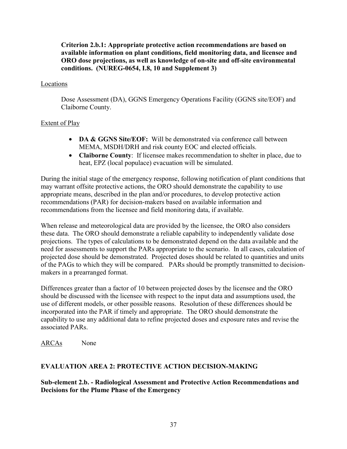**Criterion 2.b.1: Appropriate protective action recommendations are based on available information on plant conditions, field monitoring data, and licensee and ORO dose projections, as well as knowledge of on-site and off-site environmental conditions. (NUREG-0654, I.8, 10 and Supplement 3)** 

#### Locations

 Dose Assessment (DA), GGNS Emergency Operations Facility (GGNS site/EOF) and Claiborne County.

## Extent of Play

- **DA & GGNS Site/EOF:** Will be demonstrated via conference call between MEMA, MSDH/DRH and risk county EOC and elected officials.
- **Claiborne County**: If licensee makes recommendation to shelter in place, due to heat, EPZ (local populace) evacuation will be simulated.

During the initial stage of the emergency response, following notification of plant conditions that may warrant offsite protective actions, the ORO should demonstrate the capability to use appropriate means, described in the plan and/or procedures, to develop protective action recommendations (PAR) for decision-makers based on available information and recommendations from the licensee and field monitoring data, if available.

When release and meteorological data are provided by the licensee, the ORO also considers these data. The ORO should demonstrate a reliable capability to independently validate dose projections. The types of calculations to be demonstrated depend on the data available and the need for assessments to support the PARs appropriate to the scenario. In all cases, calculation of projected dose should be demonstrated. Projected doses should be related to quantities and units of the PAGs to which they will be compared. PARs should be promptly transmitted to decisionmakers in a prearranged format.

Differences greater than a factor of 10 between projected doses by the licensee and the ORO should be discussed with the licensee with respect to the input data and assumptions used, the use of different models, or other possible reasons. Resolution of these differences should be incorporated into the PAR if timely and appropriate. The ORO should demonstrate the capability to use any additional data to refine projected doses and exposure rates and revise the associated PARs.

ARCAs None

## **EVALUATION AREA 2: PROTECTIVE ACTION DECISION-MAKING**

**Sub-element 2.b. - Radiological Assessment and Protective Action Recommendations and Decisions for the Plume Phase of the Emergency**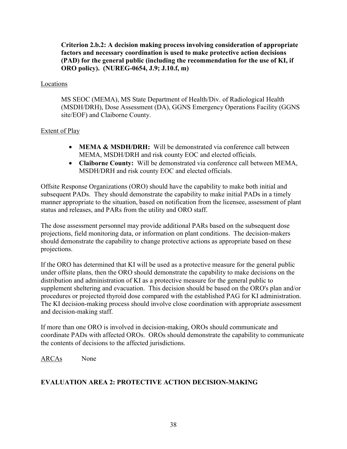**Criterion 2.b.2: A decision making process involving consideration of appropriate factors and necessary coordination is used to make protective action decisions (PAD) for the general public (including the recommendation for the use of KI, if ORO policy). (NUREG-0654, J.9; J.10.f, m)** 

## Locations

 MS SEOC (MEMA), MS State Department of Health/Div. of Radiological Health (MSDH/DRH), Dose Assessment (DA), GGNS Emergency Operations Facility (GGNS site/EOF) and Claiborne County.

## Extent of Play

- **MEMA & MSDH/DRH:** Will be demonstrated via conference call between MEMA, MSDH/DRH and risk county EOC and elected officials.
- **Claiborne County:** Will be demonstrated via conference call between MEMA, MSDH/DRH and risk county EOC and elected officials.

Offsite Response Organizations (ORO) should have the capability to make both initial and subsequent PADs. They should demonstrate the capability to make initial PADs in a timely manner appropriate to the situation, based on notification from the licensee, assessment of plant status and releases, and PARs from the utility and ORO staff.

The dose assessment personnel may provide additional PARs based on the subsequent dose projections, field monitoring data, or information on plant conditions. The decision-makers should demonstrate the capability to change protective actions as appropriate based on these projections.

If the ORO has determined that KI will be used as a protective measure for the general public under offsite plans, then the ORO should demonstrate the capability to make decisions on the distribution and administration of KI as a protective measure for the general public to supplement sheltering and evacuation. This decision should be based on the ORO's plan and/or procedures or projected thyroid dose compared with the established PAG for KI administration. The KI decision-making process should involve close coordination with appropriate assessment and decision-making staff.

If more than one ORO is involved in decision-making, OROs should communicate and coordinate PADs with affected OROs. OROs should demonstrate the capability to communicate the contents of decisions to the affected jurisdictions.

ARCAs None

# **EVALUATION AREA 2: PROTECTIVE ACTION DECISION-MAKING**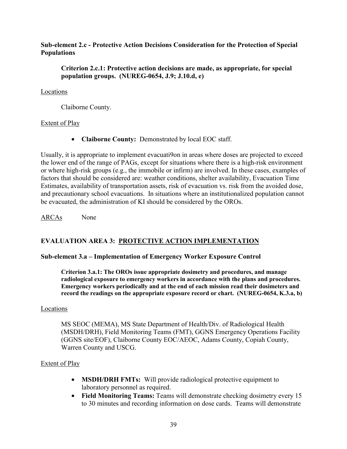#### **Sub-element 2.c - Protective Action Decisions Consideration for the Protection of Special Populations**

#### **Criterion 2.c.1: Protective action decisions are made, as appropriate, for special population groups. (NUREG-0654, J.9; J.10.d, e)**

#### Locations

Claiborne County.

## Extent of Play

• **Claiborne County:** Demonstrated by local EOC staff.

Usually, it is appropriate to implement evacuati9on in areas where doses are projected to exceed the lower end of the range of PAGs, except for situations where there is a high-risk environment or where high-risk groups (e.g., the immobile or infirm) are involved. In these cases, examples of factors that should be considered are: weather conditions, shelter availability, Evacuation Time Estimates, availability of transportation assets, risk of evacuation vs. risk from the avoided dose, and precautionary school evacuations. In situations where an institutionalized population cannot be evacuated, the administration of KI should be considered by the OROs.

ARCAs None

# **EVALUATION AREA 3: PROTECTIVE ACTION IMPLEMENTATION**

## **Sub-element 3.a – Implementation of Emergency Worker Exposure Control**

**Criterion 3.a.1: The OROs issue appropriate dosimetry and procedures, and manage radiological exposure to emergency workers in accordance with the plans and procedures. Emergency workers periodically and at the end of each mission read their dosimeters and record the readings on the appropriate exposure record or chart. (NUREG-0654, K.3.a, b)** 

#### **Locations**

MS SEOC (MEMA), MS State Department of Health/Div. of Radiological Health (MSDH/DRH), Field Monitoring Teams (FMT), GGNS Emergency Operations Facility (GGNS site/EOF), Claiborne County EOC/AEOC, Adams County, Copiah County, Warren County and USCG.

#### Extent of Play

- **MSDH/DRH FMTs:** Will provide radiological protective equipment to laboratory personnel as required.
- **Field Monitoring Teams:** Teams will demonstrate checking dosimetry every 15 to 30 minutes and recording information on dose cards. Teams will demonstrate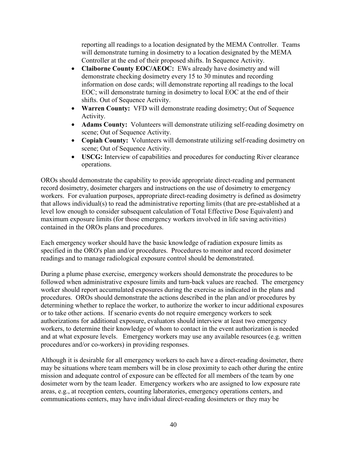reporting all readings to a location designated by the MEMA Controller. Teams will demonstrate turning in dosimetry to a location designated by the MEMA Controller at the end of their proposed shifts. In Sequence Activity.

- **Claiborne County EOC/AEOC:** EWs already have dosimetry and will demonstrate checking dosimetry every 15 to 30 minutes and recording information on dose cards; will demonstrate reporting all readings to the local EOC; will demonstrate turning in dosimetry to local EOC at the end of their shifts. Out of Sequence Activity.
- **Warren County:** VFD will demonstrate reading dosimetry; Out of Sequence Activity.
- **Adams County:** Volunteers will demonstrate utilizing self-reading dosimetry on scene; Out of Sequence Activity.
- **Copiah County:** Volunteers will demonstrate utilizing self-reading dosimetry on scene; Out of Sequence Activity.
- **USCG:** Interview of capabilities and procedures for conducting River clearance operations.

OROs should demonstrate the capability to provide appropriate direct-reading and permanent record dosimetry, dosimeter chargers and instructions on the use of dosimetry to emergency workers. For evaluation purposes, appropriate direct-reading dosimetry is defined as dosimetry that allows individual(s) to read the administrative reporting limits (that are pre-established at a level low enough to consider subsequent calculation of Total Effective Dose Equivalent) and maximum exposure limits (for those emergency workers involved in life saving activities) contained in the OROs plans and procedures.

Each emergency worker should have the basic knowledge of radiation exposure limits as specified in the ORO's plan and/or procedures. Procedures to monitor and record dosimeter readings and to manage radiological exposure control should be demonstrated.

During a plume phase exercise, emergency workers should demonstrate the procedures to be followed when administrative exposure limits and turn-back values are reached. The emergency worker should report accumulated exposures during the exercise as indicated in the plans and procedures. OROs should demonstrate the actions described in the plan and/or procedures by determining whether to replace the worker, to authorize the worker to incur additional exposures or to take other actions. If scenario events do not require emergency workers to seek authorizations for additional exposure, evaluators should interview at least two emergency workers, to determine their knowledge of whom to contact in the event authorization is needed and at what exposure levels. Emergency workers may use any available resources (e.g. written procedures and/or co-workers) in providing responses.

Although it is desirable for all emergency workers to each have a direct-reading dosimeter, there may be situations where team members will be in close proximity to each other during the entire mission and adequate control of exposure can be effected for all members of the team by one dosimeter worn by the team leader. Emergency workers who are assigned to low exposure rate areas, e.g., at reception centers, counting laboratories, emergency operations centers, and communications centers, may have individual direct-reading dosimeters or they may be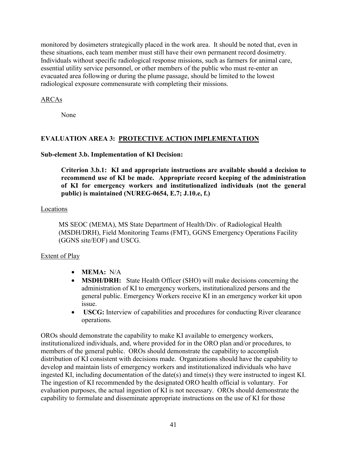monitored by dosimeters strategically placed in the work area. It should be noted that, even in these situations, each team member must still have their own permanent record dosimetry. Individuals without specific radiological response missions, such as farmers for animal care, essential utility service personnel, or other members of the public who must re-enter an evacuated area following or during the plume passage, should be limited to the lowest radiological exposure commensurate with completing their missions.

## ARCAs

None

# **EVALUATION AREA 3: PROTECTIVE ACTION IMPLEMENTATION**

## **Sub-element 3.b. Implementation of KI Decision:**

**Criterion 3.b.1: KI and appropriate instructions are available should a decision to recommend use of KI be made. Appropriate record keeping of the administration of KI for emergency workers and institutionalized individuals (not the general public) is maintained (NUREG-0654, E.7; J.10.e, f.)** 

## Locations

MS SEOC (MEMA), MS State Department of Health/Div. of Radiological Health (MSDH/DRH), Field Monitoring Teams (FMT), GGNS Emergency Operations Facility (GGNS site/EOF) and USCG.

# Extent of Play

- **MEMA:** N/A
- **MSDH/DRH:** State Health Officer (SHO) will make decisions concerning the administration of KI to emergency workers, institutionalized persons and the general public. Emergency Workers receive KI in an emergency worker kit upon issue.
- **USCG:** Interview of capabilities and procedures for conducting River clearance operations.

OROs should demonstrate the capability to make KI available to emergency workers, institutionalized individuals, and, where provided for in the ORO plan and/or procedures, to members of the general public. OROs should demonstrate the capability to accomplish distribution of KI consistent with decisions made. Organizations should have the capability to develop and maintain lists of emergency workers and institutionalized individuals who have ingested KI, including documentation of the date(s) and time(s) they were instructed to ingest KI. The ingestion of KI recommended by the designated ORO health official is voluntary. For evaluation purposes, the actual ingestion of KI is not necessary. OROs should demonstrate the capability to formulate and disseminate appropriate instructions on the use of KI for those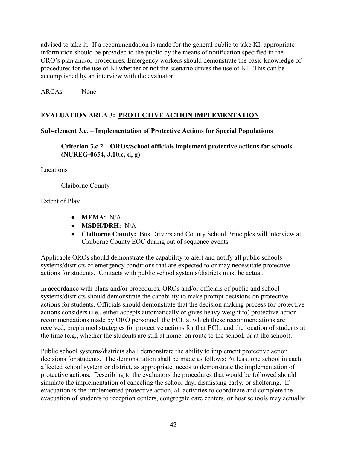advised to take it. If a recommendation is made for the general public to take KI, appropriate information should be provided to the public by the means of notification specified in the ORO's plan and/or procedures. Emergency workers should demonstrate the basic knowledge of procedures for the use of KI whether or not the scenario drives the use of KI. This can be accomplished by an interview with the evaluator.

ARCAs None

# **EVALUATION AREA 3: PROTECTIVE ACTION IMPLEMENTATION**

#### **Sub-element 3.c. – Implementation of Protective Actions for Special Populations**

**Criterion 3.c.2 – OROs/School officials implement protective actions for schools. (NUREG-0654, J.10.c, d, g)** 

#### Locations

Claiborne County

#### Extent of Play

- **MEMA:** N/A
- **MSDH/DRH:** N/A
- **Claiborne County:** Bus Drivers and County School Principles will interview at Claiborne County EOC during out of sequence events.

Applicable OROs should demonstrate the capability to alert and notify all public schools systems/districts of emergency conditions that are expected to or may necessitate protective actions for students. Contacts with public school systems/districts must be actual.

In accordance with plans and/or procedures, OROs and/or officials of public and school systems/districts should demonstrate the capability to make prompt decisions on protective actions for students. Officials should demonstrate that the decision making process for protective actions considers (i.e., either accepts automatically or gives heavy weight to) protective action recommendations made by ORO personnel, the ECL at which these recommendations are received, preplanned strategies for protective actions for that ECL, and the location of students at the time (e.g., whether the students are still at home, en route to the school, or at the school).

Public school systems/districts shall demonstrate the ability to implement protective action decisions for students. The demonstration shall be made as follows: At least one school in each affected school system or district, as appropriate, needs to demonstrate the implementation of protective actions. Describing to the evaluators the procedures that would be followed should simulate the implementation of canceling the school day, dismissing early, or sheltering. If evacuation is the implemented protective action, all activities to coordinate and complete the evacuation of students to reception centers, congregate care centers, or host schools may actually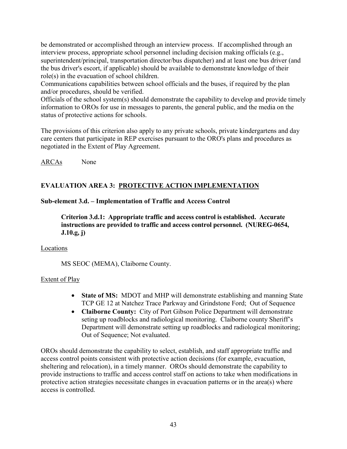be demonstrated or accomplished through an interview process. If accomplished through an interview process, appropriate school personnel including decision making officials (e.g., superintendent/principal, transportation director/bus dispatcher) and at least one bus driver (and the bus driver's escort, if applicable) should be available to demonstrate knowledge of their role(s) in the evacuation of school children.

Communications capabilities between school officials and the buses, if required by the plan and/or procedures, should be verified.

Officials of the school system(s) should demonstrate the capability to develop and provide timely information to OROs for use in messages to parents, the general public, and the media on the status of protective actions for schools.

The provisions of this criterion also apply to any private schools, private kindergartens and day care centers that participate in REP exercises pursuant to the ORO's plans and procedures as negotiated in the Extent of Play Agreement.

ARCAs None

# **EVALUATION AREA 3: PROTECTIVE ACTION IMPLEMENTATION**

## **Sub-element 3.d. – Implementation of Traffic and Access Control**

**Criterion 3.d.1: Appropriate traffic and access control is established. Accurate instructions are provided to traffic and access control personnel. (NUREG-0654, J.10.g, j)** 

## Locations

MS SEOC (MEMA), Claiborne County.

# Extent of Play

- **State of MS:** MDOT and MHP will demonstrate establishing and manning State TCP GE 12 at Natchez Trace Parkway and Grindstone Ford; Out of Sequence
- **Claiborne County:** City of Port Gibson Police Department will demonstrate seting up roadblocks and radiological monitoring. Claiborne county Sheriff's Department will demonstrate setting up roadblocks and radiological monitoring; Out of Sequence; Not evaluated.

OROs should demonstrate the capability to select, establish, and staff appropriate traffic and access control points consistent with protective action decisions (for example, evacuation, sheltering and relocation), in a timely manner. OROs should demonstrate the capability to provide instructions to traffic and access control staff on actions to take when modifications in protective action strategies necessitate changes in evacuation patterns or in the area(s) where access is controlled.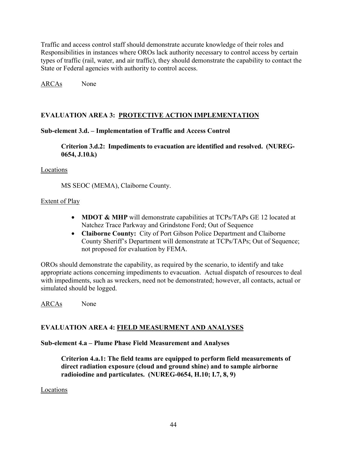Traffic and access control staff should demonstrate accurate knowledge of their roles and Responsibilities in instances where OROs lack authority necessary to control access by certain types of traffic (rail, water, and air traffic), they should demonstrate the capability to contact the State or Federal agencies with authority to control access.

ARCAs None

# **EVALUATION AREA 3: PROTECTIVE ACTION IMPLEMENTATION**

## **Sub-element 3.d. – Implementation of Traffic and Access Control**

**Criterion 3.d.2: Impediments to evacuation are identified and resolved. (NUREG-0654, J.10.k)** 

#### Locations

MS SEOC (MEMA), Claiborne County.

## Extent of Play

- **MDOT & MHP** will demonstrate capabilities at TCPs/TAPs GE 12 located at Natchez Trace Parkway and Grindstone Ford; Out of Sequence
- **Claiborne County:** City of Port Gibson Police Department and Claiborne County Sheriff's Department will demonstrate at TCPs/TAPs; Out of Sequence; not proposed for evaluation by FEMA.

OROs should demonstrate the capability, as required by the scenario, to identify and take appropriate actions concerning impediments to evacuation. Actual dispatch of resources to deal with impediments, such as wreckers, need not be demonstrated; however, all contacts, actual or simulated should be logged.

ARCAs None

# **EVALUATION AREA 4: FIELD MEASURMENT AND ANALYSES**

## **Sub-element 4.a – Plume Phase Field Measurement and Analyses**

**Criterion 4.a.1: The field teams are equipped to perform field measurements of direct radiation exposure (cloud and ground shine) and to sample airborne radioiodine and particulates. (NUREG-0654, H.10; I.7, 8, 9)** 

## Locations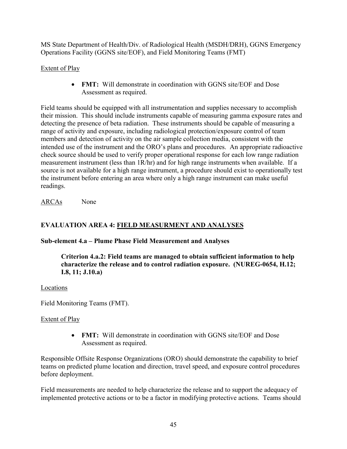MS State Department of Health/Div. of Radiological Health (MSDH/DRH), GGNS Emergency Operations Facility (GGNS site/EOF), and Field Monitoring Teams (FMT)

# Extent of Play

• **FMT:** Will demonstrate in coordination with GGNS site/EOF and Dose Assessment as required.

Field teams should be equipped with all instrumentation and supplies necessary to accomplish their mission. This should include instruments capable of measuring gamma exposure rates and detecting the presence of beta radiation. These instruments should be capable of measuring a range of activity and exposure, including radiological protection/exposure control of team members and detection of activity on the air sample collection media, consistent with the intended use of the instrument and the ORO's plans and procedures. An appropriate radioactive check source should be used to verify proper operational response for each low range radiation measurement instrument (less than 1R/hr) and for high range instruments when available. If a source is not available for a high range instrument, a procedure should exist to operationally test the instrument before entering an area where only a high range instrument can make useful readings.

ARCAs None

# **EVALUATION AREA 4: FIELD MEASURMENT AND ANALYSES**

# **Sub-element 4.a – Plume Phase Field Measurement and Analyses**

**Criterion 4.a.2: Field teams are managed to obtain sufficient information to help characterize the release and to control radiation exposure. (NUREG-0654, H.12; I.8, 11; J.10.a)** 

## Locations

Field Monitoring Teams (FMT).

## Extent of Play

• **FMT:** Will demonstrate in coordination with GGNS site/EOF and Dose Assessment as required.

Responsible Offsite Response Organizations (ORO) should demonstrate the capability to brief teams on predicted plume location and direction, travel speed, and exposure control procedures before deployment.

Field measurements are needed to help characterize the release and to support the adequacy of implemented protective actions or to be a factor in modifying protective actions. Teams should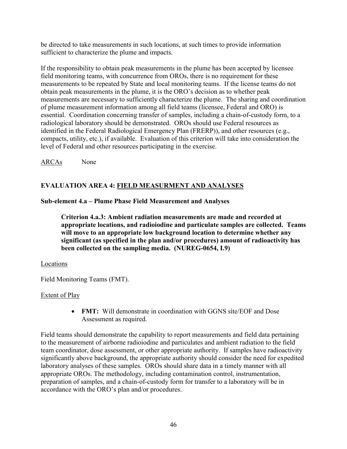be directed to take measurements in such locations, at such times to provide information sufficient to characterize the plume and impacts.

If the responsibility to obtain peak measurements in the plume has been accepted by licensee field monitoring teams, with concurrence from OROs, there is no requirement for these measurements to be repeated by State and local monitoring teams. If the license teams do not obtain peak measurements in the plume, it is the ORO's decision as to whether peak measurements are necessary to sufficiently characterize the plume. The sharing and coordination of plume measurement information among all field teams (licensee, Federal and ORO) is essential. Coordination concerning transfer of samples, including a chain-of-custody form, to a radiological laboratory should be demonstrated. OROs should use Federal resources as identified in the Federal Radiological Emergency Plan (FRERP)), and other resources (e.g., compacts, utility, etc.), if available. Evaluation of this criterion will take into consideration the level of Federal and other resources participating in the exercise.

ARCAs None

# **EVALUATION AREA 4: FIELD MEASURMENT AND ANALYSES**

## **Sub-element 4.a – Plume Phase Field Measurement and Analyses**

**Criterion 4.a.3: Ambient radiation measurements are made and recorded at appropriate locations, and radioiodine and particulate samples are collected. Teams will move to an appropriate low background location to determine whether any significant (as specified in the plan and/or procedures) amount of radioactivity has been collected on the sampling media. (NUREG-0654, I.9)** 

## Locations

Field Monitoring Teams (FMT).

# Extent of Play

• **FMT:** Will demonstrate in coordination with GGNS site/EOF and Dose Assessment as required.

Field teams should demonstrate the capability to report measurements and field data pertaining to the measurement of airborne radioiodine and particulates and ambient radiation to the field team coordinator, dose assessment, or other appropriate authority. If samples have radioactivity significantly above background, the appropriate authority should consider the need for expedited laboratory analyses of these samples. OROs should share data in a timely manner with all appropriate OROs. The methodology, including contamination control, instrumentation, preparation of samples, and a chain-of-custody form for transfer to a laboratory will be in accordance with the ORO's plan and/or procedures.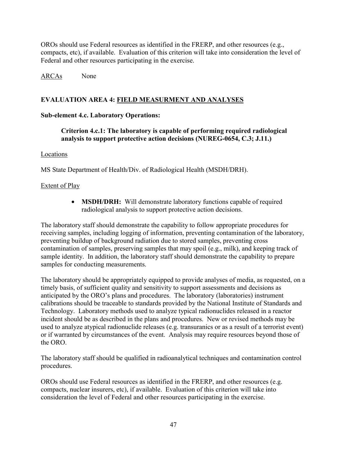OROs should use Federal resources as identified in the FRERP, and other resources (e.g., compacts, etc), if available. Evaluation of this criterion will take into consideration the level of Federal and other resources participating in the exercise.

## ARCAs None

## **EVALUATION AREA 4: FIELD MEASURMENT AND ANALYSES**

## **Sub-element 4.c. Laboratory Operations:**

**Criterion 4.c.1: The laboratory is capable of performing required radiological analysis to support protective action decisions (NUREG-0654, C.3; J.11.)** 

#### Locations

MS State Department of Health/Div. of Radiological Health (MSDH/DRH).

## Extent of Play

• **MSDH/DRH:** Will demonstrate laboratory functions capable of required radiological analysis to support protective action decisions.

The laboratory staff should demonstrate the capability to follow appropriate procedures for receiving samples, including logging of information, preventing contamination of the laboratory, preventing buildup of background radiation due to stored samples, preventing cross contamination of samples, preserving samples that may spoil (e.g., milk), and keeping track of sample identity. In addition, the laboratory staff should demonstrate the capability to prepare samples for conducting measurements.

The laboratory should be appropriately equipped to provide analyses of media, as requested, on a timely basis, of sufficient quality and sensitivity to support assessments and decisions as anticipated by the ORO's plans and procedures. The laboratory (laboratories) instrument calibrations should be traceable to standards provided by the National Institute of Standards and Technology. Laboratory methods used to analyze typical radionuclides released in a reactor incident should be as described in the plans and procedures. New or revised methods may be used to analyze atypical radionuclide releases (e.g. transuranics or as a result of a terrorist event) or if warranted by circumstances of the event. Analysis may require resources beyond those of the ORO.

The laboratory staff should be qualified in radioanalytical techniques and contamination control procedures.

OROs should use Federal resources as identified in the FRERP, and other resources (e.g. compacts, nuclear insurers, etc), if available. Evaluation of this criterion will take into consideration the level of Federal and other resources participating in the exercise.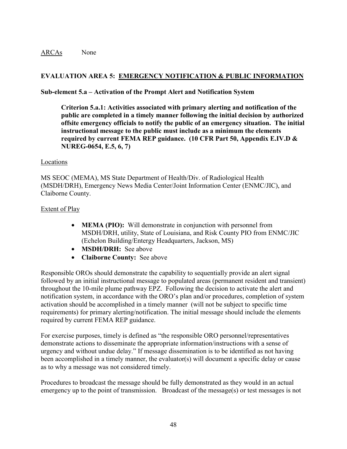#### ARCAs None

## **EVALUATION AREA 5: EMERGENCY NOTIFICATION & PUBLIC INFORMATION**

#### **Sub-element 5.a – Activation of the Prompt Alert and Notification System**

**Criterion 5.a.1: Activities associated with primary alerting and notification of the public are completed in a timely manner following the initial decision by authorized offsite emergency officials to notify the public of an emergency situation. The initial instructional message to the public must include as a minimum the elements required by current FEMA REP guidance. (10 CFR Part 50, Appendix E.IV.D & NUREG-0654, E.5, 6, 7)** 

#### Locations

MS SEOC (MEMA), MS State Department of Health/Div. of Radiological Health (MSDH/DRH), Emergency News Media Center/Joint Information Center (ENMC/JIC), and Claiborne County.

#### Extent of Play

- **MEMA (PIO):** Will demonstrate in conjunction with personnel from MSDH/DRH, utility, State of Louisiana, and Risk County PIO from ENMC/JIC (Echelon Building/Entergy Headquarters, Jackson, MS)
- **MSDH/DRH:** See above
- **Claiborne County:** See above

Responsible OROs should demonstrate the capability to sequentially provide an alert signal followed by an initial instructional message to populated areas (permanent resident and transient) throughout the 10-mile plume pathway EPZ. Following the decision to activate the alert and notification system, in accordance with the ORO's plan and/or procedures, completion of system activation should be accomplished in a timely manner (will not be subject to specific time requirements) for primary alerting/notification. The initial message should include the elements required by current FEMA REP guidance.

For exercise purposes, timely is defined as "the responsible ORO personnel/representatives demonstrate actions to disseminate the appropriate information/instructions with a sense of urgency and without undue delay." If message dissemination is to be identified as not having been accomplished in a timely manner, the evaluator(s) will document a specific delay or cause as to why a message was not considered timely.

Procedures to broadcast the message should be fully demonstrated as they would in an actual emergency up to the point of transmission. Broadcast of the message(s) or test messages is not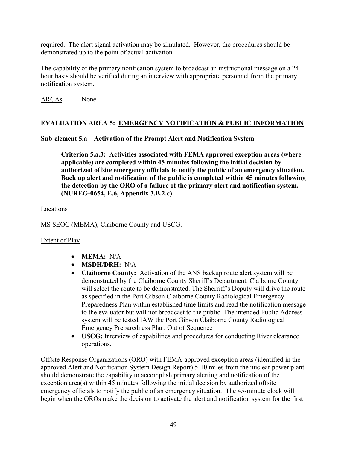required. The alert signal activation may be simulated. However, the procedures should be demonstrated up to the point of actual activation.

The capability of the primary notification system to broadcast an instructional message on a 24 hour basis should be verified during an interview with appropriate personnel from the primary notification system.

ARCAs None

# **EVALUATION AREA 5: EMERGENCY NOTIFICATION & PUBLIC INFORMATION**

# **Sub-element 5.a – Activation of the Prompt Alert and Notification System**

**Criterion 5.a.3: Activities associated with FEMA approved exception areas (where applicable) are completed within 45 minutes following the initial decision by authorized offsite emergency officials to notify the public of an emergency situation. Back up alert and notification of the public is completed within 45 minutes following the detection by the ORO of a failure of the primary alert and notification system. (NUREG-0654, E.6, Appendix 3.B.2.c)** 

## Locations

MS SEOC (MEMA), Claiborne County and USCG.

# Extent of Play

- **MEMA:** N/A
- **MSDH/DRH:** N/A
- **Claiborne County:** Activation of the ANS backup route alert system will be demonstrated by the Claiborne County Sheriff's Department. Claiborne County will select the route to be demonstrated. The Sherriff's Deputy will drive the route as specified in the Port Gibson Claiborne County Radiological Emergency Preparedness Plan within established time limits and read the notification message to the evaluator but will not broadcast to the public. The intended Public Address system will be tested IAW the Port Gibson Claiborne County Radiological Emergency Preparedness Plan. Out of Sequence
- **USCG:** Interview of capabilities and procedures for conducting River clearance operations.

Offsite Response Organizations (ORO) with FEMA-approved exception areas (identified in the approved Alert and Notification System Design Report) 5-10 miles from the nuclear power plant should demonstrate the capability to accomplish primary alerting and notification of the exception area(s) within 45 minutes following the initial decision by authorized offsite emergency officials to notify the public of an emergency situation. The 45-minute clock will begin when the OROs make the decision to activate the alert and notification system for the first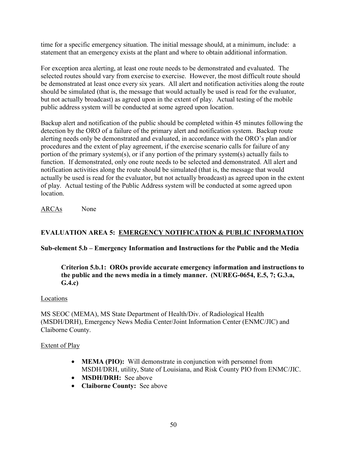time for a specific emergency situation. The initial message should, at a minimum, include: a statement that an emergency exists at the plant and where to obtain additional information.

For exception area alerting, at least one route needs to be demonstrated and evaluated. The selected routes should vary from exercise to exercise. However, the most difficult route should be demonstrated at least once every six years. All alert and notification activities along the route should be simulated (that is, the message that would actually be used is read for the evaluator, but not actually broadcast) as agreed upon in the extent of play. Actual testing of the mobile public address system will be conducted at some agreed upon location.

Backup alert and notification of the public should be completed within 45 minutes following the detection by the ORO of a failure of the primary alert and notification system. Backup route alerting needs only be demonstrated and evaluated, in accordance with the ORO's plan and/or procedures and the extent of play agreement, if the exercise scenario calls for failure of any portion of the primary system(s), or if any portion of the primary system(s) actually fails to function. If demonstrated, only one route needs to be selected and demonstrated. All alert and notification activities along the route should be simulated (that is, the message that would actually be used is read for the evaluator, but not actually broadcast) as agreed upon in the extent of play. Actual testing of the Public Address system will be conducted at some agreed upon **location** 

ARCAs None

# **EVALUATION AREA 5: EMERGENCY NOTIFICATION & PUBLIC INFORMATION**

## **Sub-element 5.b – Emergency Information and Instructions for the Public and the Media**

**Criterion 5.b.1: OROs provide accurate emergency information and instructions to the public and the news media in a timely manner. (NUREG-0654, E.5, 7; G.3.a, G.4.c)** 

#### Locations

MS SEOC (MEMA), MS State Department of Health/Div. of Radiological Health (MSDH/DRH), Emergency News Media Center/Joint Information Center (ENMC/JIC) and Claiborne County.

#### Extent of Play

- **MEMA (PIO):** Will demonstrate in conjunction with personnel from MSDH/DRH, utility, State of Louisiana, and Risk County PIO from ENMC/JIC.
- **MSDH/DRH:** See above
- **Claiborne County:** See above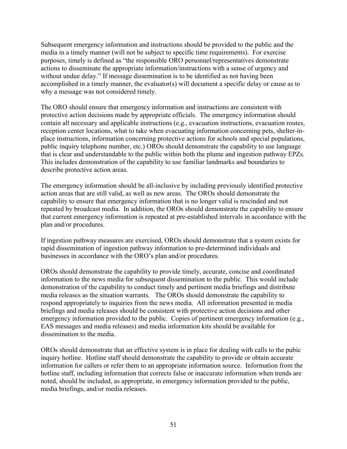Subsequent emergency information and instructions should be provided to the public and the media in a timely manner (will not be subject to specific time requirements). For exercise purposes, timely is defined as "the responsible ORO personnel/representatives demonstrate actions to disseminate the appropriate information/instructions with a sense of urgency and without undue delay." If message dissemination is to be identified as not having been accomplished in a timely manner, the evaluator(s) will document a specific delay or cause as to why a message was not considered timely.

The ORO should ensure that emergency information and instructions are consistent with protective action decisions made by appropriate officials. The emergency information should contain all necessary and applicable instructions (e.g., evacuation instructions, evacuation routes, reception center locations, what to take when evacuating information concerning pets, shelter-inplace instructions, information concerning protective actions for schools and special populations, public inquiry telephone number, etc.) OROs should demonstrate the capability to use language that is clear and understandable to the public within both the plume and ingestion pathway EPZs. This includes demonstration of the capability to use familiar landmarks and boundaries to describe protective action areas.

The emergency information should be all-inclusive by including previously identified protective action areas that are still valid, as well as new areas. The OROs should demonstrate the capability to ensure that emergency information that is no longer valid is rescinded and not repeated by broadcast media. In addition, the OROs should demonstrate the capability to ensure that current emergency information is repeated at pre-established intervals in accordance with the plan and/or procedures.

If ingestion pathway measures are exercised, OROs should demonstrate that a system exists for rapid dissemination of ingestion pathway information to pre-determined individuals and businesses in accordance with the ORO's plan and/or procedures.

OROs should demonstrate the capability to provide timely, accurate, concise and coordinated information to the news media for subsequent dissemination to the public. This would include demonstration of the capability to conduct timely and pertinent media briefings and distribute media releases as the situation warrants. The OROs should demonstrate the capability to respond appropriately to inquiries from the news media. All information presented in media briefings and media releases should be consistent with protective action decisions and other emergency information provided to the public. Copies of pertinent emergency information (e.g., EAS messages and media releases) and media information kits should be available for dissemination to the media.

OROs should demonstrate that an effective system is in place for dealing with calls to the pubic inquiry hotline. Hotline staff should demonstrate the capability to provide or obtain accurate information for callers or refer them to an appropriate information source. Information from the hotline staff, including information that corrects false or inaccurate information when trends are noted, should be included, as appropriate, in emergency information provided to the public, media briefings, and/or media releases.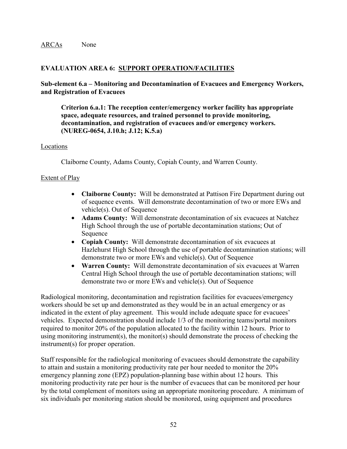## **EVALUATION AREA 6: SUPPORT OPERATION/FACILITIES**

#### **Sub-element 6.a – Monitoring and Decontamination of Evacuees and Emergency Workers, and Registration of Evacuees**

**Criterion 6.a.1: The reception center/emergency worker facility has appropriate space, adequate resources, and trained personnel to provide monitoring, decontamination, and registration of evacuees and/or emergency workers. (NUREG-0654, J.10.h; J.12; K.5.a)** 

#### Locations

Claiborne County, Adams County, Copiah County, and Warren County.

## Extent of Play

- **Claiborne County:** Will be demonstrated at Pattison Fire Department during out of sequence events. Will demonstrate decontamination of two or more EWs and vehicle(s). Out of Sequence
- **Adams County:** Will demonstrate decontamination of six evacuees at Natchez High School through the use of portable decontamination stations; Out of Sequence
- **Copiah County:** Will demonstrate decontamination of six evacuees at Hazlehurst High School through the use of portable decontamination stations; will demonstrate two or more EWs and vehicle(s). Out of Sequence
- **Warren County:** Will demonstrate decontamination of six evacuees at Warren Central High School through the use of portable decontamination stations; will demonstrate two or more EWs and vehicle(s). Out of Sequence

Radiological monitoring, decontamination and registration facilities for evacuees/emergency workers should be set up and demonstrated as they would be in an actual emergency or as indicated in the extent of play agreement. This would include adequate space for evacuees' vehicles. Expected demonstration should include 1/3 of the monitoring teams/portal monitors required to monitor 20% of the population allocated to the facility within 12 hours. Prior to using monitoring instrument(s), the monitor(s) should demonstrate the process of checking the instrument(s) for proper operation.

Staff responsible for the radiological monitoring of evacuees should demonstrate the capability to attain and sustain a monitoring productivity rate per hour needed to monitor the 20% emergency planning zone (EPZ) population-planning base within about 12 hours. This monitoring productivity rate per hour is the number of evacuees that can be monitored per hour by the total complement of monitors using an appropriate monitoring procedure. A minimum of six individuals per monitoring station should be monitored, using equipment and procedures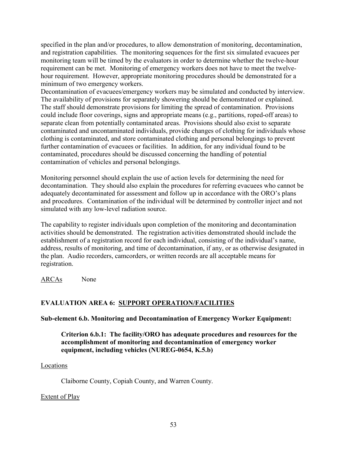specified in the plan and/or procedures, to allow demonstration of monitoring, decontamination, and registration capabilities. The monitoring sequences for the first six simulated evacuees per monitoring team will be timed by the evaluators in order to determine whether the twelve-hour requirement can be met. Monitoring of emergency workers does not have to meet the twelvehour requirement. However, appropriate monitoring procedures should be demonstrated for a minimum of two emergency workers.

Decontamination of evacuees/emergency workers may be simulated and conducted by interview. The availability of provisions for separately showering should be demonstrated or explained. The staff should demonstrate provisions for limiting the spread of contamination. Provisions could include floor coverings, signs and appropriate means (e.g., partitions, roped-off areas) to separate clean from potentially contaminated areas. Provisions should also exist to separate contaminated and uncontaminated individuals, provide changes of clothing for individuals whose clothing is contaminated, and store contaminated clothing and personal belongings to prevent further contamination of evacuees or facilities. In addition, for any individual found to be contaminated, procedures should be discussed concerning the handling of potential contamination of vehicles and personal belongings.

Monitoring personnel should explain the use of action levels for determining the need for decontamination. They should also explain the procedures for referring evacuees who cannot be adequately decontaminated for assessment and follow up in accordance with the ORO's plans and procedures. Contamination of the individual will be determined by controller inject and not simulated with any low-level radiation source.

The capability to register individuals upon completion of the monitoring and decontamination activities should be demonstrated. The registration activities demonstrated should include the establishment of a registration record for each individual, consisting of the individual's name, address, results of monitoring, and time of decontamination, if any, or as otherwise designated in the plan. Audio recorders, camcorders, or written records are all acceptable means for registration.

ARCAs None

# **EVALUATION AREA 6: SUPPORT OPERATION/FACILITIES**

**Sub-element 6.b. Monitoring and Decontamination of Emergency Worker Equipment:** 

**Criterion 6.b.1: The facility/ORO has adequate procedures and resources for the accomplishment of monitoring and decontamination of emergency worker equipment, including vehicles (NUREG-0654, K.5.b)** 

#### Locations

Claiborne County, Copiah County, and Warren County.

## Extent of Play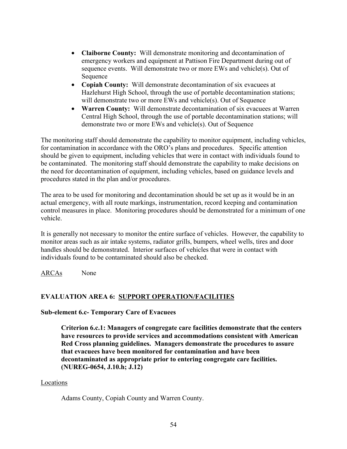- **Claiborne County:** Will demonstrate monitoring and decontamination of emergency workers and equipment at Pattison Fire Department during out of sequence events. Will demonstrate two or more EWs and vehicle(s). Out of Sequence
- **Copiah County:** Will demonstrate decontamination of six evacuees at Hazlehurst High School, through the use of portable decontamination stations; will demonstrate two or more EWs and vehicle(s). Out of Sequence
- **Warren County:** Will demonstrate decontamination of six evacuees at Warren Central High School, through the use of portable decontamination stations; will demonstrate two or more EWs and vehicle(s). Out of Sequence

The monitoring staff should demonstrate the capability to monitor equipment, including vehicles, for contamination in accordance with the ORO's plans and procedures. Specific attention should be given to equipment, including vehicles that were in contact with individuals found to be contaminated. The monitoring staff should demonstrate the capability to make decisions on the need for decontamination of equipment, including vehicles, based on guidance levels and procedures stated in the plan and/or procedures.

The area to be used for monitoring and decontamination should be set up as it would be in an actual emergency, with all route markings, instrumentation, record keeping and contamination control measures in place. Monitoring procedures should be demonstrated for a minimum of one vehicle.

It is generally not necessary to monitor the entire surface of vehicles. However, the capability to monitor areas such as air intake systems, radiator grills, bumpers, wheel wells, tires and door handles should be demonstrated. Interior surfaces of vehicles that were in contact with individuals found to be contaminated should also be checked.

ARCAs None

# **EVALUATION AREA 6: SUPPORT OPERATION/FACILITIES**

**Sub-element 6.c- Temporary Care of Evacuees** 

**Criterion 6.c.1: Managers of congregate care facilities demonstrate that the centers have resources to provide services and accommodations consistent with American Red Cross planning guidelines. Managers demonstrate the procedures to assure that evacuees have been monitored for contamination and have been decontaminated as appropriate prior to entering congregate care facilities. (NUREG-0654, J.10.h; J.12)** 

#### **Locations**

Adams County, Copiah County and Warren County.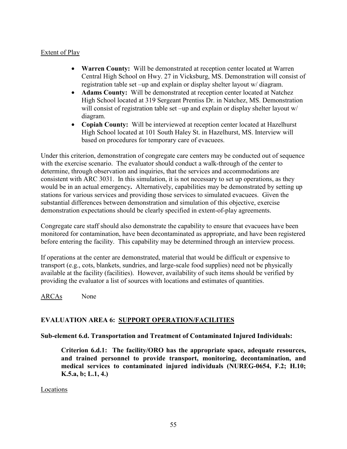## Extent of Play

- **Warren County:** Will be demonstrated at reception center located at Warren Central High School on Hwy. 27 in Vicksburg, MS. Demonstration will consist of registration table set –up and explain or display shelter layout w/ diagram.
- **Adams County:** Will be demonstrated at reception center located at Natchez High School located at 319 Sergeant Prentiss Dr. in Natchez, MS. Demonstration will consist of registration table set –up and explain or display shelter layout w/ diagram.
- **Copiah County:** Will be interviewed at reception center located at Hazelhurst High School located at 101 South Haley St. in Hazelhurst, MS. Interview will based on procedures for temporary care of evacuees.

Under this criterion, demonstration of congregate care centers may be conducted out of sequence with the exercise scenario. The evaluator should conduct a walk-through of the center to determine, through observation and inquiries, that the services and accommodations are consistent with ARC 3031. In this simulation, it is not necessary to set up operations, as they would be in an actual emergency**.** Alternatively, capabilities may be demonstrated by setting up stations for various services and providing those services to simulated evacuees. Given the substantial differences between demonstration and simulation of this objective, exercise demonstration expectations should be clearly specified in extent-of-play agreements.

Congregate care staff should also demonstrate the capability to ensure that evacuees have been monitored for contamination, have been decontaminated as appropriate, and have been registered before entering the facility. This capability may be determined through an interview process.

If operations at the center are demonstrated, material that would be difficult or expensive to transport (e.g., cots, blankets, sundries, and large-scale food supplies) need not be physically available at the facility (facilities). However, availability of such items should be verified by providing the evaluator a list of sources with locations and estimates of quantities.

ARCAs None

# **EVALUATION AREA 6: SUPPORT OPERATION/FACILITIES**

#### **Sub-element 6.d. Transportation and Treatment of Contaminated Injured Individuals:**

**Criterion 6.d.1: The facility/ORO has the appropriate space, adequate resources, and trained personnel to provide transport, monitoring, decontamination, and medical services to contaminated injured individuals (NUREG-0654, F.2; H.10; K.5.a, b; L.1, 4.)** 

**Locations**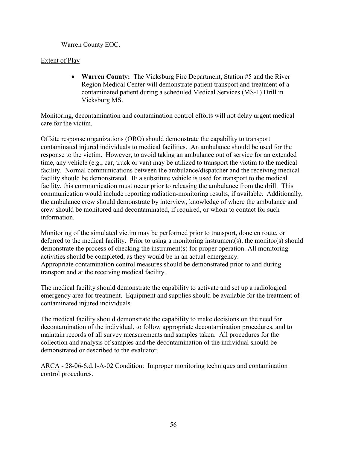Warren County EOC.

## Extent of Play

• **Warren County:** The Vicksburg Fire Department, Station #5 and the River Region Medical Center will demonstrate patient transport and treatment of a contaminated patient during a scheduled Medical Services (MS-1) Drill in Vicksburg MS.

Monitoring, decontamination and contamination control efforts will not delay urgent medical care for the victim.

Offsite response organizations (ORO) should demonstrate the capability to transport contaminated injured individuals to medical facilities. An ambulance should be used for the response to the victim. However, to avoid taking an ambulance out of service for an extended time, any vehicle (e.g., car, truck or van) may be utilized to transport the victim to the medical facility. Normal communications between the ambulance/dispatcher and the receiving medical facility should be demonstrated. IF a substitute vehicle is used for transport to the medical facility, this communication must occur prior to releasing the ambulance from the drill. This communication would include reporting radiation-monitoring results, if available. Additionally, the ambulance crew should demonstrate by interview, knowledge of where the ambulance and crew should be monitored and decontaminated, if required, or whom to contact for such information.

Monitoring of the simulated victim may be performed prior to transport, done en route, or deferred to the medical facility. Prior to using a monitoring instrument(s), the monitor(s) should demonstrate the process of checking the instrument(s) for proper operation. All monitoring activities should be completed, as they would be in an actual emergency. Appropriate contamination control measures should be demonstrated prior to and during transport and at the receiving medical facility.

The medical facility should demonstrate the capability to activate and set up a radiological emergency area for treatment. Equipment and supplies should be available for the treatment of contaminated injured individuals.

The medical facility should demonstrate the capability to make decisions on the need for decontamination of the individual, to follow appropriate decontamination procedures, and to maintain records of all survey measurements and samples taken. All procedures for the collection and analysis of samples and the decontamination of the individual should be demonstrated or described to the evaluator.

ARCA - 28-06-6.d.1-A-02 Condition: Improper monitoring techniques and contamination control procedures.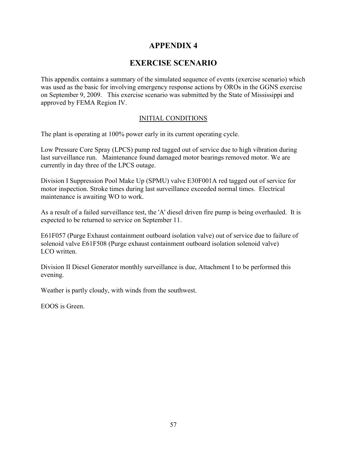# **APPENDIX 4**

# **EXERCISE SCENARIO**

This appendix contains a summary of the simulated sequence of events (exercise scenario) which was used as the basic for involving emergency response actions by OROs in the GGNS exercise on September 9, 2009. This exercise scenario was submitted by the State of Mississippi and approved by FEMA Region IV.

## INITIAL CONDITIONS

The plant is operating at 100% power early in its current operating cycle.

Low Pressure Core Spray (LPCS) pump red tagged out of service due to high vibration during last surveillance run. Maintenance found damaged motor bearings removed motor. We are currently in day three of the LPCS outage.

Division I Suppression Pool Make Up (SPMU) valve E30F001A red tagged out of service for motor inspection. Stroke times during last surveillance exceeded normal times. Electrical maintenance is awaiting WO to work.

As a result of a failed surveillance test, the 'A' diesel driven fire pump is being overhauled. It is expected to be returned to service on September 11.

E61F057 (Purge Exhaust containment outboard isolation valve) out of service due to failure of solenoid valve E61F508 (Purge exhaust containment outboard isolation solenoid valve) LCO written.

Division II Diesel Generator monthly surveillance is due, Attachment I to be performed this evening.

Weather is partly cloudy, with winds from the southwest.

EOOS is Green.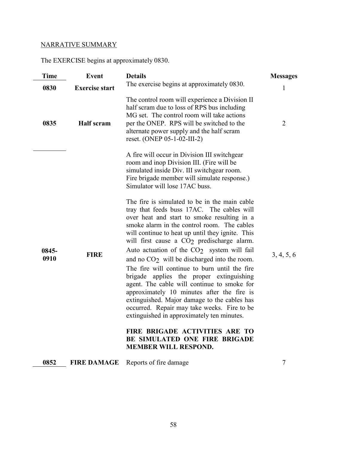# NARRATIVE SUMMARY

The EXERCISE begins at approximately 0830.

| <b>Time</b>   | Event                 | <b>Details</b>                                                                                                                                                                                                                                                                                                                                                                                                                                                                                                                                                                                                                                                                                                                                                                                                                                                                                                                                                                                                                                                                            | <b>Messages</b> |
|---------------|-----------------------|-------------------------------------------------------------------------------------------------------------------------------------------------------------------------------------------------------------------------------------------------------------------------------------------------------------------------------------------------------------------------------------------------------------------------------------------------------------------------------------------------------------------------------------------------------------------------------------------------------------------------------------------------------------------------------------------------------------------------------------------------------------------------------------------------------------------------------------------------------------------------------------------------------------------------------------------------------------------------------------------------------------------------------------------------------------------------------------------|-----------------|
| 0830          | <b>Exercise start</b> | The exercise begins at approximately 0830.                                                                                                                                                                                                                                                                                                                                                                                                                                                                                                                                                                                                                                                                                                                                                                                                                                                                                                                                                                                                                                                | $\mathbf{1}$    |
| 0835          | <b>Half</b> scram     | The control room will experience a Division II<br>half scram due to loss of RPS bus including<br>MG set. The control room will take actions<br>per the ONEP. RPS will be switched to the<br>alternate power supply and the half scram<br>reset. (ONEP 05-1-02-III-2)                                                                                                                                                                                                                                                                                                                                                                                                                                                                                                                                                                                                                                                                                                                                                                                                                      | $\overline{2}$  |
| 0845-<br>0910 | <b>FIRE</b>           | A fire will occur in Division III switchgear<br>room and inop Division III. (Fire will be<br>simulated inside Div. III switchgear room.<br>Fire brigade member will simulate response.)<br>Simulator will lose 17AC buss.<br>The fire is simulated to be in the main cable<br>tray that feeds buss 17AC. The cables will<br>over heat and start to smoke resulting in a<br>smoke alarm in the control room. The cables<br>will continue to heat up until they ignite. This<br>will first cause a CO <sub>2</sub> predischarge alarm.<br>Auto actuation of the CO <sub>2</sub> system will fail<br>and no $CO2$ will be discharged into the room.<br>The fire will continue to burn until the fire<br>brigade applies the proper extinguishing<br>agent. The cable will continue to smoke for<br>approximately 10 minutes after the fire is<br>extinguished. Major damage to the cables has<br>occurred. Repair may take weeks. Fire to be<br>extinguished in approximately ten minutes.<br>FIRE BRIGADE ACTIVITIES ARE TO<br>BE SIMULATED ONE FIRE BRIGADE<br><b>MEMBER WILL RESPOND.</b> | 3, 4, 5, 6      |

**0852 FIRE DAMAGE** Reports of fire damage 7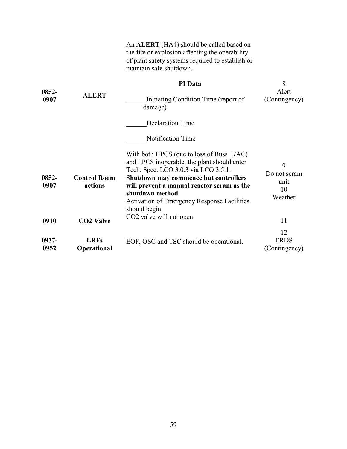|               |                                | An <b>ALERT</b> (HA4) should be called based on<br>the fire or explosion affecting the operability<br>of plant safety systems required to establish or<br>maintain safe shutdown.                                                                                                                                 |                                            |
|---------------|--------------------------------|-------------------------------------------------------------------------------------------------------------------------------------------------------------------------------------------------------------------------------------------------------------------------------------------------------------------|--------------------------------------------|
|               |                                | PI Data                                                                                                                                                                                                                                                                                                           | 8                                          |
| 0852-<br>0907 | <b>ALERT</b>                   | Initiating Condition Time (report of<br>damage)                                                                                                                                                                                                                                                                   | Alert<br>(Contingency)                     |
|               |                                | <b>Declaration Time</b>                                                                                                                                                                                                                                                                                           |                                            |
|               |                                | Notification Time                                                                                                                                                                                                                                                                                                 |                                            |
| 0852-<br>0907 | <b>Control Room</b><br>actions | With both HPCS (due to loss of Buss 17AC)<br>and LPCS inoperable, the plant should enter<br>Tech. Spec. LCO 3.0.3 via LCO 3.5.1.<br>Shutdown may commence but controllers<br>will prevent a manual reactor scram as the<br>shutdown method<br><b>Activation of Emergency Response Facilities</b><br>should begin. | 9<br>Do not scram<br>unit<br>10<br>Weather |
| 0910          | <b>CO2 Valve</b>               | CO <sub>2</sub> valve will not open                                                                                                                                                                                                                                                                               | 11                                         |
| 0937-<br>0952 | <b>ERFs</b><br>Operational     | EOF, OSC and TSC should be operational.                                                                                                                                                                                                                                                                           | 12<br><b>ERDS</b><br>(Contingency)         |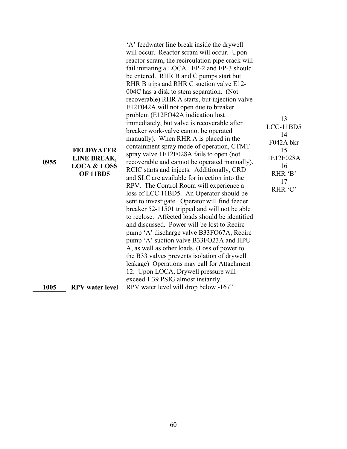| ٧<br>۰.<br>۰.<br>v<br>×<br>v |
|------------------------------|
|------------------------------|

**FEEDWATER LINE BREAK, LOCA & LOSS**  'A' feedwater line break inside the drywell will occur. Reactor scram will occur. Upon reactor scram, the recirculation pipe crack will fail initiating a LOCA. EP-2 and EP-3 should be entered. RHR B and C pumps start but RHR B trips and RHR C suction valve E12- 004C has a disk to stem separation. (Not recoverable) RHR A starts, but injection valve E12F042A will not open due to breaker problem (E12FO42A indication lost immediately, but valve is recoverable after breaker work-valve cannot be operated manually). When RHR A is placed in the containment spray mode of operation, CTMT spray valve 1E12F028A fails to open (not recoverable and cannot be operated manually). RCIC starts and injects. Additionally, CRD and SLC are available for injection into the RPV. The Control Room will experience a loss of LCC 11BD5. An Operator should be sent to investigate. Operator will find feeder breaker 52-11501 tripped and will not be able to reclose. Affected loads should be identified and discussed. Power will be lost to Recirc pump 'A' discharge valve B33FO67A, Recirc pump 'A' suction valve B33FO23A and HPU A, as well as other loads. (Loss of power to the B33 valves prevents isolation of drywell leakage) Operations may call for Attachment 12. Upon LOCA, Drywell pressure will exceed 1.39 PSIG almost instantly. **1005 RPV water level** RPV water level will drop below -167"

13 LCC-11BD5 14 F042A bkr 15 1E12F028A 16 RHR 'B' 17 RHR 'C'

**OF 11BD5** 

60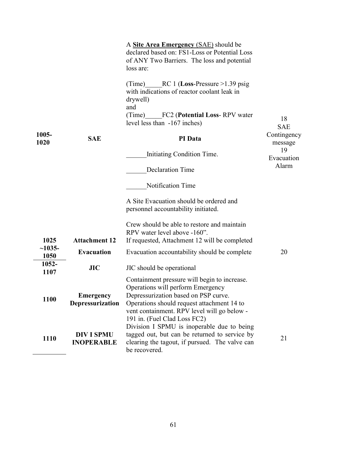| 1005-<br>1020    | <b>SAE</b>                             | A <b>Site Area Emergency</b> (SAE) should be<br>declared based on: FS1-Loss or Potential Loss<br>of ANY Two Barriers. The loss and potential<br>loss are:<br>RC 1 (Loss-Pressure $>1.39$ psig<br>(Time)<br>with indications of reactor coolant leak in<br>drywell)<br>and<br>(Time)<br>FC2 ( <b>Potential Loss-RPV</b> water<br>level less than -167 inches)<br>PI Data<br>Initiating Condition Time.<br><b>Declaration Time</b><br>Notification Time<br>A Site Evacuation should be ordered and<br>personnel accountability initiated. | 18<br><b>SAE</b><br>Contingency<br>message<br>19<br>Evacuation<br>Alarm |
|------------------|----------------------------------------|-----------------------------------------------------------------------------------------------------------------------------------------------------------------------------------------------------------------------------------------------------------------------------------------------------------------------------------------------------------------------------------------------------------------------------------------------------------------------------------------------------------------------------------------|-------------------------------------------------------------------------|
| 1025             | <b>Attachment 12</b>                   | Crew should be able to restore and maintain<br>RPV water level above -160".<br>If requested, Attachment 12 will be completed                                                                                                                                                                                                                                                                                                                                                                                                            |                                                                         |
| $~1035-$<br>1050 | <b>Evacuation</b>                      | Evacuation accountability should be complete                                                                                                                                                                                                                                                                                                                                                                                                                                                                                            | 20                                                                      |
| 1052-<br>1107    | JIC                                    | JIC should be operational                                                                                                                                                                                                                                                                                                                                                                                                                                                                                                               |                                                                         |
| 1100             | <b>Emergency</b><br>Depressurization   | Containment pressure will begin to increase.<br>Operations will perform Emergency<br>Depressurization based on PSP curve.<br>Operations should request attachment 14 to<br>vent containment. RPV level will go below -<br>191 in. (Fuel Clad Loss FC2)                                                                                                                                                                                                                                                                                  |                                                                         |
| 1110             | <b>DIV I SPMU</b><br><b>INOPERABLE</b> | Division I SPMU is inoperable due to being<br>tagged out, but can be returned to service by<br>clearing the tagout, if pursued. The valve can<br>be recovered.                                                                                                                                                                                                                                                                                                                                                                          | 21                                                                      |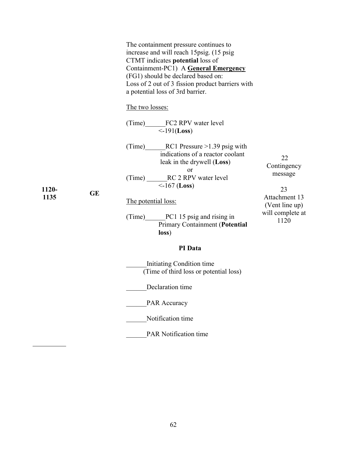|       |           | The containment pressure continues to<br>increase and will reach 15psig. (15 psig<br>CTMT indicates potential loss of<br>Containment-PC1) A <b>General Emergency</b><br>(FG1) should be declared based on:<br>Loss of 2 out of 3 fission product barriers with<br>a potential loss of 3rd barrier. |                                                                       |
|-------|-----------|----------------------------------------------------------------------------------------------------------------------------------------------------------------------------------------------------------------------------------------------------------------------------------------------------|-----------------------------------------------------------------------|
|       |           | The two losses:                                                                                                                                                                                                                                                                                    |                                                                       |
|       | <b>GE</b> | (Time) FC2 RPV water level<br>$\leq$ -191( <b>Loss</b> )                                                                                                                                                                                                                                           | 22<br>Contingency<br>message<br>23<br>Attachment 13<br>(Vent line up) |
|       |           | (Time) RC1 Pressure $>1.39$ psig with<br>indications of a reactor coolant<br>leak in the drywell (Loss)                                                                                                                                                                                            |                                                                       |
| 1120- |           | or<br>(Time) ______RC 2 RPV water level<br>$\leq$ -167 (Loss)                                                                                                                                                                                                                                      |                                                                       |
| 1135  |           | The potential loss:                                                                                                                                                                                                                                                                                |                                                                       |
|       |           | (Time) PC1 15 psig and rising in<br>Primary Containment (Potential<br>loss)                                                                                                                                                                                                                        | will complete at<br>1120                                              |
|       |           | PI Data                                                                                                                                                                                                                                                                                            |                                                                       |
|       |           | Initiating Condition time<br>(Time of third loss or potential loss)                                                                                                                                                                                                                                |                                                                       |
|       |           | Declaration time                                                                                                                                                                                                                                                                                   |                                                                       |
|       |           | <b>PAR Accuracy</b>                                                                                                                                                                                                                                                                                |                                                                       |
|       |           | Notification time                                                                                                                                                                                                                                                                                  |                                                                       |
|       |           | <b>PAR Notification time</b>                                                                                                                                                                                                                                                                       |                                                                       |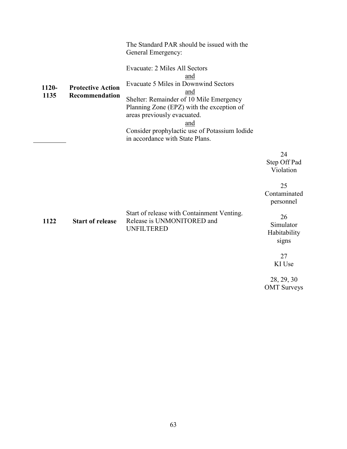| 1120-<br>1135 | <b>Protective Action</b><br>Recommendation | The Standard PAR should be issued with the<br>General Emergency:<br>Evacuate: 2 Miles All Sectors<br>and<br>Evacuate 5 Miles in Downwind Sectors<br>and<br>Shelter: Remainder of 10 Mile Emergency<br>Planning Zone (EPZ) with the exception of<br>areas previously evacuated.<br>and<br>Consider prophylactic use of Potassium Iodide<br>in accordance with State Plans. |                                                                                                                |
|---------------|--------------------------------------------|---------------------------------------------------------------------------------------------------------------------------------------------------------------------------------------------------------------------------------------------------------------------------------------------------------------------------------------------------------------------------|----------------------------------------------------------------------------------------------------------------|
| 1122          | <b>Start of release</b>                    | Start of release with Containment Venting.<br>Release is UNMONITORED and<br><b>UNFILTERED</b>                                                                                                                                                                                                                                                                             | 24<br>Step Off Pad<br>Violation<br>25<br>Contaminated<br>personnel<br>26<br>Simulator<br>Habitability<br>signs |
|               |                                            |                                                                                                                                                                                                                                                                                                                                                                           | 27<br>KI Use                                                                                                   |

28, 29, 30 OMT Surveys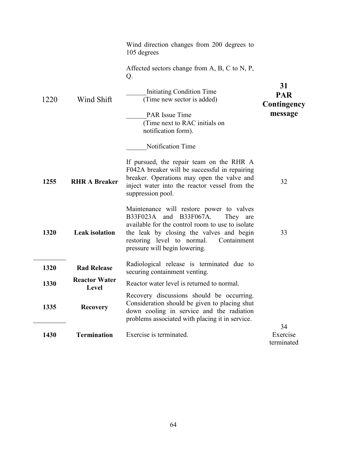|      |                               | Wind direction changes from 200 degrees to<br>105 degrees<br>Affected sectors change from $A$ , $B$ , $C$ to $N$ , $P$ ,<br>Q.                                                                                                                               | 31                           |
|------|-------------------------------|--------------------------------------------------------------------------------------------------------------------------------------------------------------------------------------------------------------------------------------------------------------|------------------------------|
| 1220 | Wind Shift                    | Initiating Condition Time<br>(Time new sector is added)                                                                                                                                                                                                      | <b>PAR</b><br>Contingency    |
|      |                               | <b>PAR</b> Issue Time<br>(Time next to RAC initials on<br>notification form).                                                                                                                                                                                | message                      |
|      |                               | Notification Time                                                                                                                                                                                                                                            |                              |
| 1255 | <b>RHR A Breaker</b>          | If pursued, the repair team on the RHR A<br>F042A breaker will be successful in repairing<br>breaker. Operations may open the valve and<br>inject water into the reactor vessel from the<br>suppression pool.                                                | 32                           |
| 1320 | <b>Leak</b> isolation         | Maintenance will restore power to valves<br>B33F023A and B33F067A.<br>They are<br>available for the control room to use to isolate<br>the leak by closing the valves and begin<br>restoring level to normal.<br>Containment<br>pressure will begin lowering. | 33                           |
| 1320 | <b>Rad Release</b>            | Radiological release is terminated due to<br>securing containment venting.                                                                                                                                                                                   |                              |
| 1330 | <b>Reactor Water</b><br>Level | Reactor water level is returned to normal.                                                                                                                                                                                                                   |                              |
| 1335 | <b>Recovery</b>               | Recovery discussions should be occurring.<br>Consideration should be given to placing shut<br>down cooling in service and the radiation<br>problems associated with placing it in service.                                                                   |                              |
| 1430 | <b>Termination</b>            | Exercise is terminated.                                                                                                                                                                                                                                      | 34<br>Exercise<br>terminated |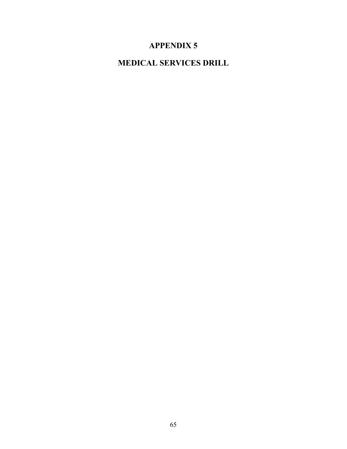# **APPENDIX 5**

# **MEDICAL SERVICES DRILL**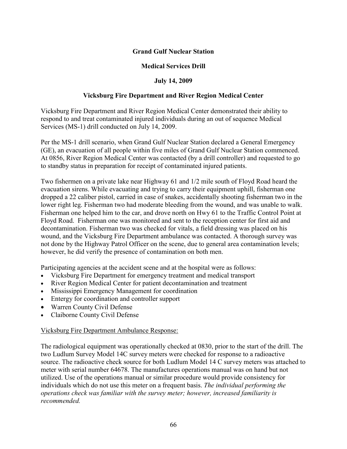## **Grand Gulf Nuclear Station**

## **Medical Services Drill**

## **July 14, 2009**

## **Vicksburg Fire Department and River Region Medical Center**

Vicksburg Fire Department and River Region Medical Center demonstrated their ability to respond to and treat contaminated injured individuals during an out of sequence Medical Services (MS-1) drill conducted on July 14, 2009.

Per the MS-1 drill scenario, when Grand Gulf Nuclear Station declared a General Emergency (GE), an evacuation of all people within five miles of Grand Gulf Nuclear Station commenced. At 0856, River Region Medical Center was contacted (by a drill controller) and requested to go to standby status in preparation for receipt of contaminated injured patients.

Two fishermen on a private lake near Highway 61 and 1/2 mile south of Floyd Road heard the evacuation sirens. While evacuating and trying to carry their equipment uphill, fisherman one dropped a 22 caliber pistol, carried in case of snakes, accidentally shooting fisherman two in the lower right leg. Fisherman two had moderate bleeding from the wound, and was unable to walk. Fisherman one helped him to the car, and drove north on Hwy 61 to the Traffic Control Point at Floyd Road. Fisherman one was monitored and sent to the reception center for first aid and decontamination. Fisherman two was checked for vitals, a field dressing was placed on his wound, and the Vicksburg Fire Department ambulance was contacted. A thorough survey was not done by the Highway Patrol Officer on the scene, due to general area contamination levels; however, he did verify the presence of contamination on both men.

Participating agencies at the accident scene and at the hospital were as follows:

- Vicksburg Fire Department for emergency treatment and medical transport
- River Region Medical Center for patient decontamination and treatment
- Mississippi Emergency Management for coordination
- Entergy for coordination and controller support
- Warren County Civil Defense
- Claiborne County Civil Defense

## Vicksburg Fire Department Ambulance Response:

The radiological equipment was operationally checked at 0830, prior to the start of the drill. The two Ludlum Survey Model 14C survey meters were checked for response to a radioactive source. The radioactive check source for both Ludlum Model 14 C survey meters was attached to meter with serial number 64678. The manufactures operations manual was on hand but not utilized. Use of the operations manual or similar procedure would provide consistency for individuals which do not use this meter on a frequent basis. *The individual performing the operations check was familiar with the survey meter; however, increased familiarity is recommended.*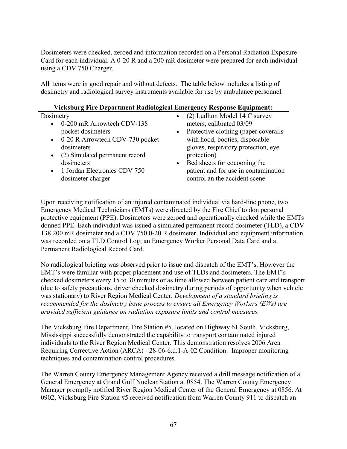Dosimeters were checked, zeroed and information recorded on a Personal Radiation Exposure Card for each individual. A 0-20 R and a 200 mR dosimeter were prepared for each individual using a CDV 750 Charger.

All items were in good repair and without defects. The table below includes a listing of dosimetry and radiological survey instruments available for use by ambulance personnel.

#### **Vicksburg Fire Department Radiological Emergency Response Equipment:**

## **Dosimetry**

- 0-200 mR Arrowtech CDV-138 pocket dosimeters
- 0-20 R Arrowtech CDV-730 pocket dosimeters
- (2) Simulated permanent record dosimeters
- 1 Jordan Electronics CDV 750 dosimeter charger
- (2) Ludlum Model 14 C survey meters, calibrated 03/09
- Protective clothing (paper coveralls with hood, booties, disposable gloves, respiratory protection, eye protection)
- Bed sheets for cocooning the patient and for use in contamination control an the accident scene

Upon receiving notification of an injured contaminated individual via hard-line phone, two Emergency Medical Technicians (EMTs) were directed by the Fire Chief to don personal protective equipment (PPE). Dosimeters were zeroed and operationally checked while the EMTs donned PPE. Each individual was issued a simulated permanent record dosimeter (TLD), a CDV 138 200 mR dosimeter and a CDV 750 0-20 R dosimeter. Individual and equipment information was recorded on a TLD Control Log; an Emergency Worker Personal Data Card and a Permanent Radiological Record Card.

No radiological briefing was observed prior to issue and dispatch of the EMT's. However the EMT's were familiar with proper placement and use of TLDs and dosimeters. The EMT's checked dosimeters every 15 to 30 minutes or as time allowed between patient care and transport (due to safety precautions, driver checked dosimetry during periods of opportunity when vehicle was stationary) to River Region Medical Center. *Development of a standard briefing is recommended for the dosimetry issue process to ensure all Emergency Workers (EWs) are provided sufficient guidance on radiation exposure limits and control measures.* 

The Vicksburg Fire Department, Fire Station #5, located on Highway 61 South, Vicksburg, Mississippi successfully demonstrated the capability to transport contaminated injured individuals to the River Region Medical Center. This demonstration resolves 2006 Area Requiring Corrective Action (ARCA) - 28-06-6.d.1-A-02 Condition: Improper monitoring techniques and contamination control procedures.

The Warren County Emergency Management Agency received a drill message notification of a General Emergency at Grand Gulf Nuclear Station at 0854. The Warren County Emergency Manager promptly notified River Region Medical Center of the General Emergency at 0856. At 0902, Vicksburg Fire Station #5 received notification from Warren County 911 to dispatch an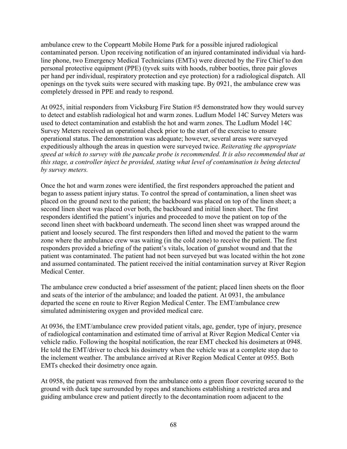ambulance crew to the Coppeartt Mobile Home Park for a possible injured radiological contaminated person. Upon receiving notification of an injured contaminated individual via hardline phone, two Emergency Medical Technicians (EMTs) were directed by the Fire Chief to don personal protective equipment (PPE) (tyvek suits with hoods, rubber booties, three pair gloves per hand per individual, respiratory protection and eye protection) for a radiological dispatch. All openings on the tyvek suits were secured with masking tape. By 0921, the ambulance crew was completely dressed in PPE and ready to respond.

At 0925, initial responders from Vicksburg Fire Station #5 demonstrated how they would survey to detect and establish radiological hot and warm zones. Ludlum Model 14C Survey Meters was used to detect contamination and establish the hot and warm zones. The Ludlum Model 14C Survey Meters received an operational check prior to the start of the exercise to ensure operational status. The demonstration was adequate; however, several areas were surveyed expeditiously although the areas in question were surveyed twice. *Reiterating the appropriate speed at which to survey with the pancake probe is recommended. It is also recommended that at this stage, a controller inject be provided, stating what level of contamination is being detected by survey meters.* 

Once the hot and warm zones were identified, the first responders approached the patient and began to assess patient injury status. To control the spread of contamination, a linen sheet was placed on the ground next to the patient; the backboard was placed on top of the linen sheet; a second linen sheet was placed over both, the backboard and initial linen sheet. The first responders identified the patient's injuries and proceeded to move the patient on top of the second linen sheet with backboard underneath. The second linen sheet was wrapped around the patient and loosely secured. The first responders then lifted and moved the patient to the warm zone where the ambulance crew was waiting (in the cold zone) to receive the patient. The first responders provided a briefing of the patient's vitals, location of gunshot wound and that the patient was contaminated. The patient had not been surveyed but was located within the hot zone and assumed contaminated. The patient received the initial contamination survey at River Region Medical Center.

The ambulance crew conducted a brief assessment of the patient; placed linen sheets on the floor and seats of the interior of the ambulance; and loaded the patient. At 0931, the ambulance departed the scene en route to River Region Medical Center. The EMT/ambulance crew simulated administering oxygen and provided medical care.

At 0936, the EMT/ambulance crew provided patient vitals, age, gender, type of injury, presence of radiological contamination and estimated time of arrival at River Region Medical Center via vehicle radio. Following the hospital notification, the rear EMT checked his dosimeters at 0948. He told the EMT/driver to check his dosimetry when the vehicle was at a complete stop due to the inclement weather. The ambulance arrived at River Region Medical Center at 0955. Both EMTs checked their dosimetry once again.

At 0958, the patient was removed from the ambulance onto a green floor covering secured to the ground with duck tape surrounded by ropes and stanchions establishing a restricted area and guiding ambulance crew and patient directly to the decontamination room adjacent to the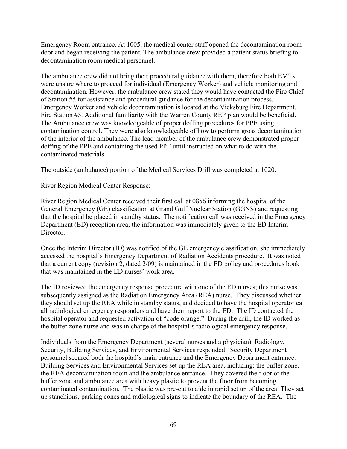Emergency Room entrance. At 1005, the medical center staff opened the decontamination room door and began receiving the patient. The ambulance crew provided a patient status briefing to decontamination room medical personnel.

The ambulance crew did not bring their procedural guidance with them, therefore both EMTs were unsure where to proceed for individual (Emergency Worker) and vehicle monitoring and decontamination. However, the ambulance crew stated they would have contacted the Fire Chief of Station #5 for assistance and procedural guidance for the decontamination process. Emergency Worker and vehicle decontamination is located at the Vicksburg Fire Department, Fire Station #5. Additional familiarity with the Warren County REP plan would be beneficial. The Ambulance crew was knowledgeable of proper doffing procedures for PPE using contamination control. They were also knowledgeable of how to perform gross decontamination of the interior of the ambulance. The lead member of the ambulance crew demonstrated proper doffing of the PPE and containing the used PPE until instructed on what to do with the contaminated materials.

The outside (ambulance) portion of the Medical Services Drill was completed at 1020.

### River Region Medical Center Response:

River Region Medical Center received their first call at 0856 informing the hospital of the General Emergency (GE) classification at Grand Gulf Nuclear Station (GGNS) and requesting that the hospital be placed in standby status. The notification call was received in the Emergency Department (ED) reception area; the information was immediately given to the ED Interim Director.

Once the Interim Director (ID) was notified of the GE emergency classification, she immediately accessed the hospital's Emergency Department of Radiation Accidents procedure. It was noted that a current copy (revision 2, dated 2/09) is maintained in the ED policy and procedures book that was maintained in the ED nurses' work area.

The ID reviewed the emergency response procedure with one of the ED nurses; this nurse was subsequently assigned as the Radiation Emergency Area (REA) nurse. They discussed whether they should set up the REA while in standby status, and decided to have the hospital operator call all radiological emergency responders and have them report to the ED. The ID contacted the hospital operator and requested activation of "code orange." During the drill, the ID worked as the buffer zone nurse and was in charge of the hospital's radiological emergency response.

Individuals from the Emergency Department (several nurses and a physician), Radiology, Security, Building Services, and Environmental Services responded. Security Department personnel secured both the hospital's main entrance and the Emergency Department entrance. Building Services and Environmental Services set up the REA area, including: the buffer zone, the REA decontamination room and the ambulance entrance. They covered the floor of the buffer zone and ambulance area with heavy plastic to prevent the floor from becoming contaminated contamination. The plastic was pre-cut to aide in rapid set up of the area. They set up stanchions, parking cones and radiological signs to indicate the boundary of the REA. The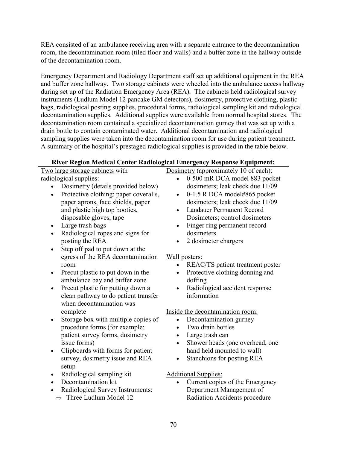REA consisted of an ambulance receiving area with a separate entrance to the decontamination room, the decontamination room (tiled floor and walls) and a buffer zone in the hallway outside of the decontamination room.

Emergency Department and Radiology Department staff set up additional equipment in the REA and buffer zone hallway. Two storage cabinets were wheeled into the ambulance access hallway during set up of the Radiation Emergency Area (REA). The cabinets held radiological survey instruments (Ludlum Model 12 pancake GM detectors), dosimetry, protective clothing, plastic bags, radiological posting supplies, procedural forms, radiological sampling kit and radiological decontamination supplies. Additional supplies were available from normal hospital stores. The decontamination room contained a specialized decontamination gurney that was set up with a drain bottle to contain contaminated water. Additional decontamination and radiological sampling supplies were taken into the decontamination room for use during patient treatment. A summary of the hospital's prestaged radiological supplies is provided in the table below.

### **River Region Medical Center Radiological Emergency Response Equipment:**

| Two large storage cabinets with                    | Dosimetry (approximately 10 of each):         |
|----------------------------------------------------|-----------------------------------------------|
| radiological supplies:                             | 0-500 mR DCA model 883 pocket<br>$\bullet$    |
| Dosimetry (details provided below)                 | dosimeters; leak check due 11/09              |
| Protective clothing: paper coveralls,<br>$\bullet$ | 0-1.5 R DCA model#865 pocket<br>$\bullet$     |
| paper aprons, face shields, paper                  | dosimeters; leak check due 11/09              |
| and plastic high top booties,                      | <b>Landauer Permanent Record</b><br>$\bullet$ |
| disposable gloves, tape                            | Dosimeters; control dosimeters                |
| Large trash bags<br>$\bullet$                      | Finger ring permanent record<br>٠             |
| Radiological ropes and signs for<br>$\bullet$      | dosimeters                                    |
| posting the REA                                    | 2 dosimeter chargers                          |
| Step off pad to put down at the<br>$\bullet$       |                                               |
| egress of the REA decontamination                  | Wall posters:                                 |
| room                                               | REAC/TS patient treatment poster              |
| Precut plastic to put down in the<br>$\bullet$     | Protective clothing donning and<br>$\bullet$  |
| ambulance bay and buffer zone                      | doffing                                       |
| Precut plastic for putting down a<br>$\bullet$     | Radiological accident response<br>$\bullet$   |
| clean pathway to do patient transfer               | information                                   |
| when decontamination was                           |                                               |
| complete                                           | Inside the decontamination room:              |
| Storage box with multiple copies of<br>$\bullet$   | Decontamination gurney<br>$\bullet$           |
| procedure forms (for example:                      | Two drain bottles<br>$\bullet$                |
| patient survey forms, dosimetry                    | Large trash can<br>$\bullet$                  |
| issue forms)                                       | Shower heads (one overhead, one<br>$\bullet$  |
| Clipboards with forms for patient<br>$\bullet$     | hand held mounted to wall)                    |
| survey, dosimetry issue and REA                    | Stanchions for posting REA<br>$\bullet$       |
| setup                                              |                                               |
| Radiological sampling kit<br>$\bullet$             | <b>Additional Supplies:</b>                   |
| Decontamination kit                                | Current copies of the Emergency               |
| Radiological Survey Instruments:                   | Department Management of                      |
| $\Rightarrow$ Three Ludlum Model 12                | Radiation Accidents procedure                 |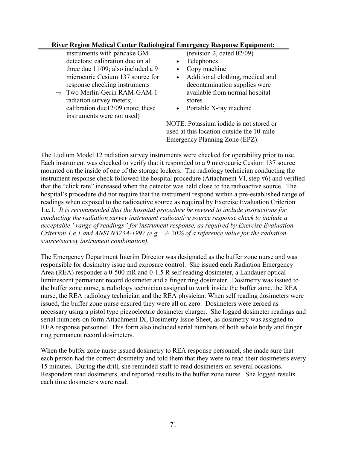#### **River Region Medical Center Radiological Emergency Response Equipment:**

instruments with pancake GM detectors; calibration due on all three due 11/09; also included a 9 microcurie Cesium 137 source for response checking instruments

- $\Rightarrow$  Two Merlin-Gerin RAM-GAM-1 radiation survey meters; calibration due12/09 (note; these instruments were not used)
- (revision 2, dated 02/09)
- **Telephones**
- Copy machine
- Additional clothing, medical and decontamination supplies were available from normal hospital stores
- Portable X-ray machine

NOTE: Potassium iodide is not stored or used at this location outside the 10-mile Emergency Planning Zone (EPZ).

The Ludlum Model 12 radiation survey instruments were checked for operability prior to use. Each instrument was checked to verify that it responded to a 9 microcurie Cesium 137 source mounted on the inside of one of the storage lockers. The radiology technician conducting the instrument response check followed the hospital procedure (Attachment VI, step #6) and verified that the "click rate" increased when the detector was held close to the radioactive source. The hospital's procedure did not require that the instrument respond within a pre-established range of readings when exposed to the radioactive source as required by Exercise Evaluation Criterion 1.e.1. *It is recommended that the hospital procedure be revised to include instructions for conducting the radiation survey instrument radioactive source response check to include a acceptable "range of readings" for instrument response, as required by Exercise Evaluation Criterion 1.e.1 and ANSI N323A-1997 (e.g. +/- 20% of a reference value for the radiation source/survey instrument combination).* 

The Emergency Department Interim Director was designated as the buffer zone nurse and was responsible for dosimetry issue and exposure control. She issued each Radiation Emergency Area (REA) responder a 0-500 mR and 0-1.5 R self reading dosimeter, a Landauer optical luminescent permanent record dosimeter and a finger ring dosimeter. Dosimetry was issued to the buffer zone nurse, a radiology technician assigned to work inside the buffer zone, the REA nurse, the REA radiology technician and the REA physician. When self reading dosimeters were issued, the buffer zone nurse ensured they were all on zero. Dosimeters were zeroed as necessary using a pistol type piezoelectric dosimeter charger. She logged dosimeter readings and serial numbers on form Attachment IX, Dosimetry Issue Sheet, as dosimetry was assigned to REA response personnel. This form also included serial numbers of both whole body and finger ring permanent record dosimeters.

When the buffer zone nurse issued dosimetry to REA response personnel, she made sure that each person had the correct dosimetry and told them that they were to read their dosimeters every 15 minutes. During the drill, she reminded staff to read dosimeters on several occasions. Responders read dosimeters, and reported results to the buffer zone nurse. She logged results each time dosimeters were read.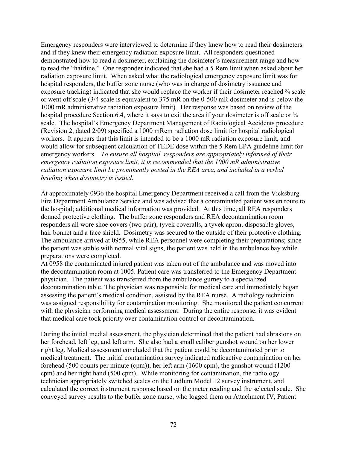Emergency responders were interviewed to determine if they knew how to read their dosimeters and if they knew their emergency radiation exposure limit. All responders questioned demonstrated how to read a dosimeter, explaining the dosimeter's measurement range and how to read the "hairline." One responder indicated that she had a 5 Rem limit when asked about her radiation exposure limit. When asked what the radiological emergency exposure limit was for hospital responders, the buffer zone nurse (who was in charge of dosimetry issuance and exposure tracking) indicated that she would replace the worker if their dosimeter reached  $\frac{3}{4}$  scale or went off scale (3/4 scale is equivalent to 375 mR on the 0-500 mR dosimeter and is below the 1000 mR administrative radiation exposure limit). Her response was based on review of the hospital procedure Section 6.4, where it says to exit the area if your dosimeter is off scale or  $\frac{3}{4}$ scale. The hospital's Emergency Department Management of Radiological Accidents procedure (Revision 2, dated 2/09) specified a 1000 mRem radiation dose limit for hospital radiological workers. It appears that this limit is intended to be a 1000 mR radiation exposure limit, and would allow for subsequent calculation of TEDE dose within the 5 Rem EPA guideline limit for emergency workers. *To ensure all hospital responders are appropriately informed of their emergency radiation exposure limit, it is recommended that the 1000 mR administrative radiation exposure limit be prominently posted in the REA area, and included in a verbal briefing when dosimetry is issued.* 

At approximately 0936 the hospital Emergency Department received a call from the Vicksburg Fire Department Ambulance Service and was advised that a contaminated patient was en route to the hospital; additional medical information was provided. At this time, all REA responders donned protective clothing. The buffer zone responders and REA decontamination room responders all wore shoe covers (two pair), tyvek coveralls, a tyvek apron, disposable gloves, hair bonnet and a face shield. Dosimetry was secured to the outside of their protective clothing. The ambulance arrived at 0955, while REA personnel were completing their preparations; since the patient was stable with normal vital signs, the patient was held in the ambulance bay while preparations were completed.

At 0958 the contaminated injured patient was taken out of the ambulance and was moved into the decontamination room at 1005. Patient care was transferred to the Emergency Department physician. The patient was transferred from the ambulance gurney to a specialized decontamination table. The physician was responsible for medical care and immediately began assessing the patient's medical condition, assisted by the REA nurse. A radiology technician was assigned responsibility for contamination monitoring. She monitored the patient concurrent with the physician performing medical assessment. During the entire response, it was evident that medical care took priority over contamination control or decontamination.

During the initial medial assessment, the physician determined that the patient had abrasions on her forehead, left leg, and left arm. She also had a small caliber gunshot wound on her lower right leg. Medical assessment concluded that the patient could be decontaminated prior to medical treatment. The initial contamination survey indicated radioactive contamination on her forehead (500 counts per minute (cpm)), her left arm (1600 cpm), the gunshot wound (1200 cpm) and her right hand (500 cpm). While monitoring for contamination, the radiology technician appropriately switched scales on the Ludlum Model 12 survey instrument, and calculated the correct instrument response based on the meter reading and the selected scale. She conveyed survey results to the buffer zone nurse, who logged them on Attachment IV, Patient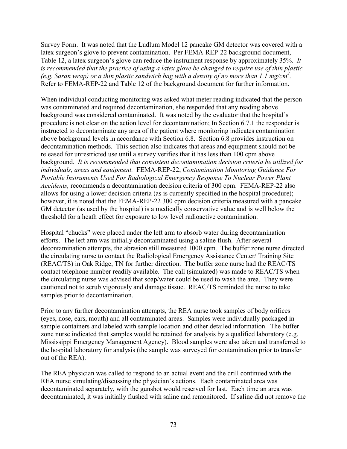Survey Form. It was noted that the Ludlum Model 12 pancake GM detector was covered with a latex surgeon's glove to prevent contamination. Per FEMA-REP-22 background document, Table 12, a latex surgeon's glove can reduce the instrument response by approximately 35%. *It is recommended that the practice of using a latex glove be changed to require use of thin plastic (e.g. Saran wrap) or a thin plastic sandwich bag with a density of no more than 1.1 mg/cm2 .* Refer to FEMA-REP-22 and Table 12 of the background document for further information.

When individual conducting monitoring was asked what meter reading indicated that the person was contaminated and required decontamination, she responded that any reading above background was considered contaminated. It was noted by the evaluator that the hospital's procedure is not clear on the action level for decontamination; In Section 6.7.1 the responder is instructed to decontaminate any area of the patient where monitoring indicates contamination above background levels in accordance with Section 6.8. Section 6.8 provides instruction on decontamination methods. This section also indicates that areas and equipment should not be released for unrestricted use until a survey verifies that it has less than 100 cpm above background. *It is recommended that consistent decontamination decision criteria be utilized for individuals, areas and equipment.* FEMA-REP-22, *Contamination Monitoring Guidance For Portable Instruments Used For Radiological Emergency Response To Nuclear Power Plant Accidents,* recommends a decontamination decision criteria of 300 cpm. FEMA-REP-22 also allows for using a lower decision criteria (as is currently specified in the hospital procedure); however, it is noted that the FEMA-REP-22 300 cpm decision criteria measured with a pancake GM detector (as used by the hospital) is a medically conservative value and is well below the threshold for a heath effect for exposure to low level radioactive contamination.

Hospital "chucks" were placed under the left arm to absorb water during decontamination efforts. The left arm was initially decontaminated using a saline flush. After several decontamination attempts, the abrasion still measured 1000 cpm. The buffer zone nurse directed the circulating nurse to contact the Radiological Emergency Assistance Center/ Training Site (REAC/TS) in Oak Ridge, TN for further direction. The buffer zone nurse had the REAC/TS contact telephone number readily available. The call (simulated) was made to REAC/TS when the circulating nurse was advised that soap/water could be used to wash the area. They were cautioned not to scrub vigorously and damage tissue. REAC/TS reminded the nurse to take samples prior to decontamination.

Prior to any further decontamination attempts, the REA nurse took samples of body orifices (eyes, nose, ears, mouth) and all contaminated areas. Samples were individually packaged in sample containers and labeled with sample location and other detailed information. The buffer zone nurse indicated that samples would be retained for analysis by a qualified laboratory (e.g. Mississippi Emergency Management Agency). Blood samples were also taken and transferred to the hospital laboratory for analysis (the sample was surveyed for contamination prior to transfer out of the REA).

The REA physician was called to respond to an actual event and the drill continued with the REA nurse simulating/discussing the physician's actions. Each contaminated area was decontaminated separately, with the gunshot would reserved for last. Each time an area was decontaminated, it was initially flushed with saline and remonitored. If saline did not remove the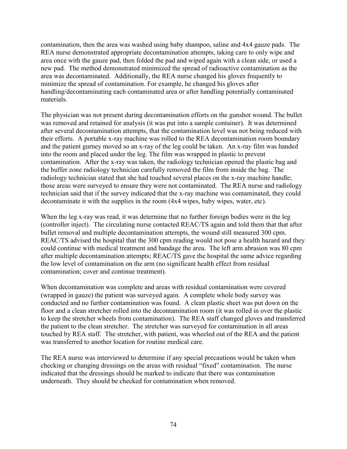contamination, then the area was washed using baby shampoo, saline and 4x4 gauze pads. The REA nurse demonstrated appropriate decontamination attempts, taking care to only wipe and area once with the gauze pad, then folded the pad and wiped again with a clean side, or used a new pad. The method demonstrated minimized the spread of radioactive contamination as the area was decontaminated. Additionally, the REA nurse changed his gloves frequently to minimize the spread of contamination. For example, he changed his gloves after handling/decontaminating each contaminated area or after handling potentially contaminated materials.

The physician was not present during decontamination efforts on the gunshot wound. The bullet was removed and retained for analysis (it was put into a sample container). It was determined after several decontamination attempts, that the contamination level was not being reduced with their efforts. A portable x-ray machine was rolled to the REA decontamination room boundary and the patient gurney moved so an x-ray of the leg could be taken. An x-ray film was handed into the room and placed under the leg. The film was wrapped in plastic to prevent contamination. After the x-ray was taken, the radiology technician opened the plastic bag and the buffer zone radiology technician carefully removed the film from inside the bag. The radiology technician stated that she had touched several places on the x-ray machine handle; those areas were surveyed to ensure they were not contaminated. The REA nurse and radiology technician said that if the survey indicated that the x-ray machine was contaminated, they could decontaminate it with the supplies in the room (4x4 wipes, baby wipes, water, etc).

When the leg x-ray was read, it was determine that no further foreign bodies were in the leg (controller inject). The circulating nurse contacted REAC/TS again and told them that that after bullet removal and multiple decontamination attempts, the wound still measured 300 cpm. REAC/TS advised the hospital that the 300 cpm reading would not pose a health hazard and they could continue with medical treatment and bandage the area. The left arm abrasion was 80 cpm after multiple decontamination attempts; REAC/TS gave the hospital the same advice regarding the low level of contamination on the arm (no significant health effect from residual contamination; cover and continue treatment).

When decontamination was complete and areas with residual contamination were covered (wrapped in gauze) the patient was surveyed again. A complete whole body survey was conducted and no further contamination was found. A clean plastic sheet was put down on the floor and a clean stretcher rolled into the decontamination room (it was rolled in over the plastic to keep the stretcher wheels from contamination). The REA staff changed gloves and transferred the patient to the clean stretcher. The stretcher was surveyed for contamination in all areas touched by REA staff. The stretcher, with patient, was wheeled out of the REA and the patient was transferred to another location for routine medical care.

The REA nurse was interviewed to determine if any special precautions would be taken when checking or changing dressings on the areas with residual "fixed" contamination. The nurse indicated that the dressings should be marked to indicate that there was contamination underneath. They should be checked for contamination when removed.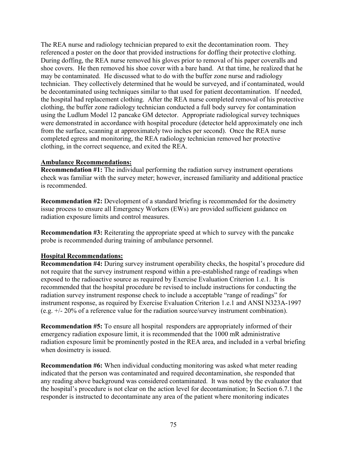The REA nurse and radiology technician prepared to exit the decontamination room. They referenced a poster on the door that provided instructions for doffing their protective clothing. During doffing, the REA nurse removed his gloves prior to removal of his paper coveralls and shoe covers. He then removed his shoe cover with a bare hand. At that time, he realized that he may be contaminated. He discussed what to do with the buffer zone nurse and radiology technician. They collectively determined that he would be surveyed, and if contaminated, would be decontaminated using techniques similar to that used for patient decontamination. If needed, the hospital had replacement clothing. After the REA nurse completed removal of his protective clothing, the buffer zone radiology technician conducted a full body survey for contamination using the Ludlum Model 12 pancake GM detector. Appropriate radiological survey techniques were demonstrated in accordance with hospital procedure (detector held approximately one inch from the surface, scanning at approximately two inches per second). Once the REA nurse completed egress and monitoring, the REA radiology technician removed her protective clothing, in the correct sequence, and exited the REA.

#### **Ambulance Recommendations:**

**Recommendation #1:** The individual performing the radiation survey instrument operations check was familiar with the survey meter; however, increased familiarity and additional practice is recommended.

**Recommendation #2:** Development of a standard briefing is recommended for the dosimetry issue process to ensure all Emergency Workers (EWs) are provided sufficient guidance on radiation exposure limits and control measures.

**Recommendation #3:** Reiterating the appropriate speed at which to survey with the pancake probe is recommended during training of ambulance personnel.

### **Hospital Recommendations:**

**Recommendation #4:** During survey instrument operability checks, the hospital's procedure did not require that the survey instrument respond within a pre-established range of readings when exposed to the radioactive source as required by Exercise Evaluation Criterion 1.e.1. It is recommended that the hospital procedure be revised to include instructions for conducting the radiation survey instrument response check to include a acceptable "range of readings" for instrument response, as required by Exercise Evaluation Criterion 1.e.1 and ANSI N323A-1997 (e.g. +/- 20% of a reference value for the radiation source/survey instrument combination).

**Recommendation #5:** To ensure all hospital responders are appropriately informed of their emergency radiation exposure limit, it is recommended that the 1000 mR administrative radiation exposure limit be prominently posted in the REA area, and included in a verbal briefing when dosimetry is issued.

**Recommendation #6:** When individual conducting monitoring was asked what meter reading indicated that the person was contaminated and required decontamination, she responded that any reading above background was considered contaminated. It was noted by the evaluator that the hospital's procedure is not clear on the action level for decontamination; In Section 6.7.1 the responder is instructed to decontaminate any area of the patient where monitoring indicates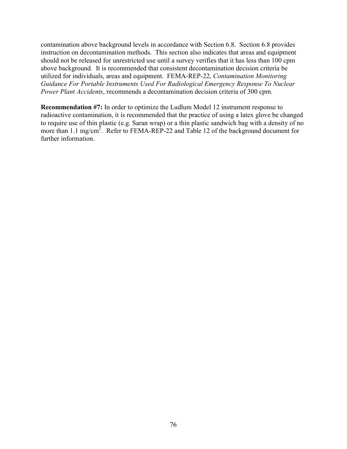contamination above background levels in accordance with Section 6.8. Section 6.8 provides instruction on decontamination methods. This section also indicates that areas and equipment should not be released for unrestricted use until a survey verifies that it has less than 100 cpm above background*.* It is recommended that consistent decontamination decision criteria be utilized for individuals, areas and equipment. FEMA-REP-22, *Contamination Monitoring Guidance For Portable Instruments Used For Radiological Emergency Response To Nuclear Power Plant Accidents*, recommends a decontamination decision criteria of 300 cpm.

**Recommendation #7:** In order to optimize the Ludlum Model 12 instrument response to radioactive contamination, it is recommended that the practice of using a latex glove be changed to require use of thin plastic (e.g. Saran wrap) or a thin plastic sandwich bag with a density of no more than 1.1 mg/cm<sup>2</sup>. Refer to FEMA-REP-22 and Table 12 of the background document for further information.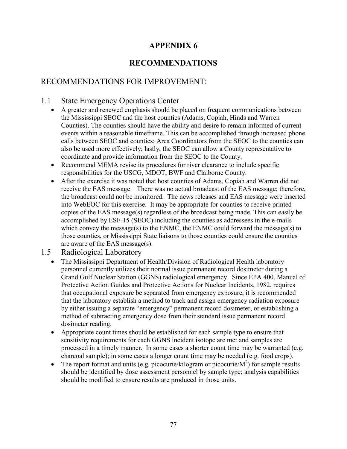# **APPENDIX 6**

# **RECOMMENDATIONS**

# RECOMMENDATIONS FOR IMPROVEMENT:

## 1.1 State Emergency Operations Center

- A greater and renewed emphasis should be placed on frequent communications between the Mississippi SEOC and the host counties (Adams, Copiah, Hinds and Warren Counties). The counties should have the ability and desire to remain informed of current events within a reasonable timeframe. This can be accomplished through increased phone calls between SEOC and counties; Area Coordinators from the SEOC to the counties can also be used more effectively; lastly, the SEOC can allow a County representative to coordinate and provide information from the SEOC to the County.
- Recommend MEMA revise its procedures for river clearance to include specific responsibilities for the USCG, MDOT, BWF and Claiborne County.
- After the exercise it was noted that host counties of Adams, Copiah and Warren did not receive the EAS message. There was no actual broadcast of the EAS message; therefore, the broadcast could not be monitored. The news releases and EAS message were inserted into WebEOC for this exercise. It may be appropriate for counties to receive printed copies of the EAS message(s) regardless of the broadcast being made. This can easily be accomplished by ESF-15 (SEOC) including the counties as addressees in the e-mails which convey the message(s) to the ENMC, the ENMC could forward the message(s) to those counties, or Mississippi State liaisons to those counties could ensure the counties are aware of the EAS message(s).

### 1.5 Radiological Laboratory

- The Mississippi Department of Health/Division of Radiological Health laboratory personnel currently utilizes their normal issue permanent record dosimeter during a Grand Gulf Nuclear Station (GGNS) radiological emergency. Since EPA 400, Manual of Protective Action Guides and Protective Actions for Nuclear Incidents, 1982, requires that occupational exposure be separated from emergency exposure, it is recommended that the laboratory establish a method to track and assign emergency radiation exposure by either issuing a separate "emergency" permanent record dosimeter, or establishing a method of subtracting emergency dose from their standard issue permanent record dosimeter reading.
- Appropriate count times should be established for each sample type to ensure that sensitivity requirements for each GGNS incident isotope are met and samples are processed in a timely manner. In some cases a shorter count time may be warranted (e.g. charcoal sample); in some cases a longer count time may be needed (e.g. food crops).
- The report format and units (e.g. picocurie/kilogram or picocurie/ $M^2$ ) for sample results should be identified by dose assessment personnel by sample type; analysis capabilities should be modified to ensure results are produced in those units.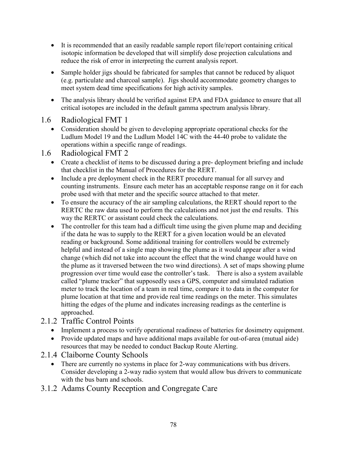- It is recommended that an easily readable sample report file/report containing critical isotopic information be developed that will simplify dose projection calculations and reduce the risk of error in interpreting the current analysis report.
- Sample holder jigs should be fabricated for samples that cannot be reduced by aliquot (e.g. particulate and charcoal sample). Jigs should accommodate geometry changes to meet system dead time specifications for high activity samples.
- The analysis library should be verified against EPA and FDA guidance to ensure that all critical isotopes are included in the default gamma spectrum analysis library.
- 1.6 Radiological FMT 1
	- Consideration should be given to developing appropriate operational checks for the Ludlum Model 19 and the Ludlum Model 14C with the 44-40 probe to validate the operations within a specific range of readings.
- 1.6 Radiological FMT 2
	- Create a checklist of items to be discussed during a pre-deployment briefing and include that checklist in the Manual of Procedures for the RERT.
	- Include a pre deployment check in the RERT procedure manual for all survey and counting instruments. Ensure each meter has an acceptable response range on it for each probe used with that meter and the specific source attached to that meter.
	- To ensure the accuracy of the air sampling calculations, the RERT should report to the RERTC the raw data used to perform the calculations and not just the end results. This way the RERTC or assistant could check the calculations.
	- The controller for this team had a difficult time using the given plume map and deciding if the data he was to supply to the RERT for a given location would be an elevated reading or background. Some additional training for controllers would be extremely helpful and instead of a single map showing the plume as it would appear after a wind change (which did not take into account the effect that the wind change would have on the plume as it traversed between the two wind directions). A set of maps showing plume progression over time would ease the controller's task. There is also a system available called "plume tracker" that supposedly uses a GPS, computer and simulated radiation meter to track the location of a team in real time, compare it to data in the computer for plume location at that time and provide real time readings on the meter. This simulates hitting the edges of the plume and indicates increasing readings as the centerline is approached.
- 2.1.2 Traffic Control Points
	- Implement a process to verify operational readiness of batteries for dosimetry equipment.
	- Provide updated maps and have additional maps available for out-of-area (mutual aide) resources that may be needed to conduct Backup Route Alerting.
- 2.1.4 Claiborne County Schools
	- There are currently no systems in place for 2-way communications with bus drivers. Consider developing a 2-way radio system that would allow bus drivers to communicate with the bus barn and schools.
- 3.1.2 Adams County Reception and Congregate Care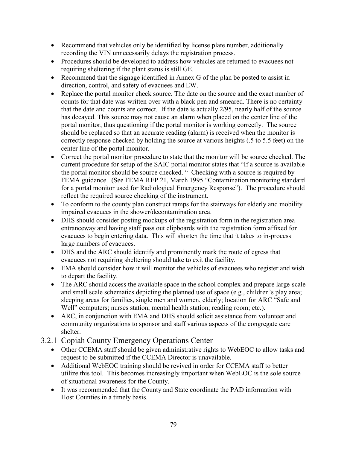- Recommend that vehicles only be identified by license plate number, additionally recording the VIN unnecessarily delays the registration process.
- Procedures should be developed to address how vehicles are returned to evacuees not requiring sheltering if the plant status is still GE.
- Recommend that the signage identified in Annex G of the plan be posted to assist in direction, control, and safety of evacuees and EW.
- Replace the portal monitor check source. The date on the source and the exact number of counts for that date was written over with a black pen and smeared. There is no certainty that the date and counts are correct. If the date is actually 2/95, nearly half of the source has decayed. This source may not cause an alarm when placed on the center line of the portal monitor, thus questioning if the portal monitor is working correctly. The source should be replaced so that an accurate reading (alarm) is received when the monitor is correctly response checked by holding the source at various heights (.5 to 5.5 feet) on the center line of the portal monitor.
- Correct the portal monitor procedure to state that the monitor will be source checked. The current procedure for setup of the SAIC portal monitor states that "If a source is available the portal monitor should be source checked. " Checking with a source is required by FEMA guidance. (See FEMA REP 21, March 1995 "Contamination monitoring standard for a portal monitor used for Radiological Emergency Response"). The procedure should reflect the required source checking of the instrument.
- To conform to the county plan construct ramps for the stairways for elderly and mobility impaired evacuees in the shower/decontamination area.
- DHS should consider posting mockups of the registration form in the registration area entranceway and having staff pass out clipboards with the registration form affixed for evacuees to begin entering data. This will shorten the time that it takes to in-process large numbers of evacuees.
- DHS and the ARC should identify and prominently mark the route of egress that evacuees not requiring sheltering should take to exit the facility.
- EMA should consider how it will monitor the vehicles of evacuees who register and wish to depart the facility.
- The ARC should access the available space in the school complex and prepare large-scale and small scale schematics depicting the planned use of space (e.g., children's play area; sleeping areas for families, single men and women, elderly; location for ARC "Safe and Well" computers; nurses station, mental health station; reading room; etc.).
- ARC, in conjunction with EMA and DHS should solicit assistance from volunteer and community organizations to sponsor and staff various aspects of the congregate care shelter.

# 3.2.1 Copiah County Emergency Operations Center

- Other CCEMA staff should be given administrative rights to WebEOC to allow tasks and request to be submitted if the CCEMA Director is unavailable.
- Additional WebEOC training should be revived in order for CCEMA staff to better utilize this tool. This becomes increasingly important when WebEOC is the sole source of situational awareness for the County.
- It was recommended that the County and State coordinate the PAD information with Host Counties in a timely basis.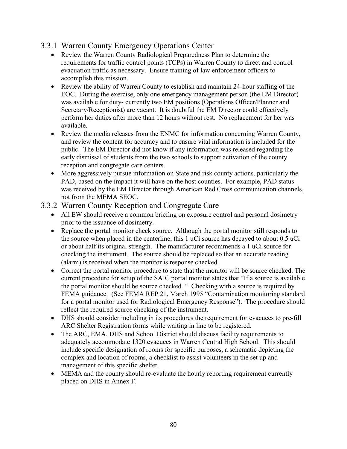## 3.3.1 Warren County Emergency Operations Center

- Review the Warren County Radiological Preparedness Plan to determine the requirements for traffic control points (TCPs) in Warren County to direct and control evacuation traffic as necessary. Ensure training of law enforcement officers to accomplish this mission.
- Review the ability of Warren County to establish and maintain 24-hour staffing of the EOC. During the exercise, only one emergency management person (the EM Director) was available for duty- currently two EM positions (Operations Officer/Planner and Secretary/Receptionist) are vacant. It is doubtful the EM Director could effectively perform her duties after more than 12 hours without rest. No replacement for her was available.
- Review the media releases from the ENMC for information concerning Warren County, and review the content for accuracy and to ensure vital information is included for the public. The EM Director did not know if any information was released regarding the early dismissal of students from the two schools to support activation of the county reception and congregate care centers.
- More aggressively pursue information on State and risk county actions, particularly the PAD, based on the impact it will have on the host counties. For example, PAD status was received by the EM Director through American Red Cross communication channels, not from the MEMA SEOC.

### 3.3.2 Warren County Reception and Congregate Care

- All EW should receive a common briefing on exposure control and personal dosimetry prior to the issuance of dosimetry.
- Replace the portal monitor check source. Although the portal monitor still responds to the source when placed in the centerline, this 1 uCi source has decayed to about 0.5 uCi or about half its original strength. The manufacturer recommends a 1 uCi source for checking the instrument. The source should be replaced so that an accurate reading (alarm) is received when the monitor is response checked.
- Correct the portal monitor procedure to state that the monitor will be source checked. The current procedure for setup of the SAIC portal monitor states that "If a source is available the portal monitor should be source checked. " Checking with a source is required by FEMA guidance. (See FEMA REP 21, March 1995 "Contamination monitoring standard for a portal monitor used for Radiological Emergency Response"). The procedure should reflect the required source checking of the instrument.
- DHS should consider including in its procedures the requirement for evacuees to pre-fill ARC Shelter Registration forms while waiting in line to be registered.
- The ARC, EMA, DHS and School District should discuss facility requirements to adequately accommodate 1320 evacuees in Warren Central High School. This should include specific designation of rooms for specific purposes, a schematic depicting the complex and location of rooms, a checklist to assist volunteers in the set up and management of this specific shelter.
- MEMA and the county should re-evaluate the hourly reporting requirement currently placed on DHS in Annex F.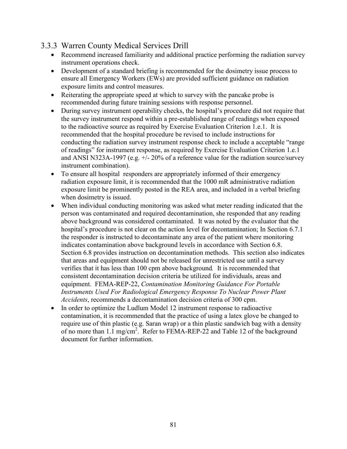# 3.3.3 Warren County Medical Services Drill

- Recommend increased familiarity and additional practice performing the radiation survey instrument operations check.
- Development of a standard briefing is recommended for the dosimetry issue process to ensure all Emergency Workers (EWs) are provided sufficient guidance on radiation exposure limits and control measures.
- Reiterating the appropriate speed at which to survey with the pancake probe is recommended during future training sessions with response personnel.
- During survey instrument operability checks, the hospital's procedure did not require that the survey instrument respond within a pre-established range of readings when exposed to the radioactive source as required by Exercise Evaluation Criterion 1.e.1. It is recommended that the hospital procedure be revised to include instructions for conducting the radiation survey instrument response check to include a acceptable "range of readings" for instrument response, as required by Exercise Evaluation Criterion 1.e.1 and ANSI N323A-1997 (e.g. +/- 20% of a reference value for the radiation source/survey instrument combination).
- To ensure all hospital responders are appropriately informed of their emergency radiation exposure limit, it is recommended that the 1000 mR administrative radiation exposure limit be prominently posted in the REA area, and included in a verbal briefing when dosimetry is issued.
- When individual conducting monitoring was asked what meter reading indicated that the person was contaminated and required decontamination, she responded that any reading above background was considered contaminated. It was noted by the evaluator that the hospital's procedure is not clear on the action level for decontamination; In Section 6.7.1 the responder is instructed to decontaminate any area of the patient where monitoring indicates contamination above background levels in accordance with Section 6.8. Section 6.8 provides instruction on decontamination methods. This section also indicates that areas and equipment should not be released for unrestricted use until a survey verifies that it has less than 100 cpm above background*.* It is recommended that consistent decontamination decision criteria be utilized for individuals, areas and equipment. FEMA-REP-22, *Contamination Monitoring Guidance For Portable Instruments Used For Radiological Emergency Response To Nuclear Power Plant Accidents*, recommends a decontamination decision criteria of 300 cpm.
- In order to optimize the Ludlum Model 12 instrument response to radioactive contamination, it is recommended that the practice of using a latex glove be changed to require use of thin plastic (e.g. Saran wrap) or a thin plastic sandwich bag with a density of no more than 1.1 mg/cm<sup>2</sup>. Refer to FEMA-REP-22 and Table 12 of the background document for further information.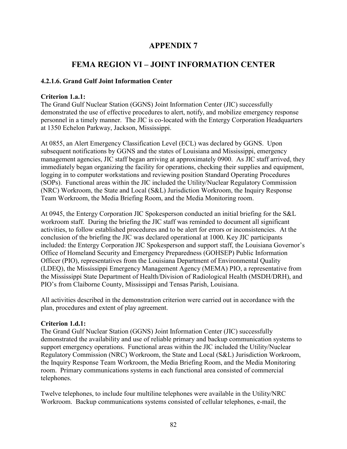## **APPENDIX 7**

# **FEMA REGION VI – JOINT INFORMATION CENTER**

#### **4.2.1.6. Grand Gulf Joint Information Center**

#### **Criterion 1.a.1:**

The Grand Gulf Nuclear Station (GGNS) Joint Information Center (JIC) successfully demonstrated the use of effective procedures to alert, notify, and mobilize emergency response personnel in a timely manner. The JIC is co-located with the Entergy Corporation Headquarters at 1350 Echelon Parkway, Jackson, Mississippi.

At 0855, an Alert Emergency Classification Level (ECL) was declared by GGNS. Upon subsequent notifications by GGNS and the states of Louisiana and Mississippi, emergency management agencies, JIC staff began arriving at approximately 0900. As JIC staff arrived, they immediately began organizing the facility for operations, checking their supplies and equipment, logging in to computer workstations and reviewing position Standard Operating Procedures (SOPs). Functional areas within the JIC included the Utility/Nuclear Regulatory Commission (NRC) Workroom, the State and Local (S&L) Jurisdiction Workroom, the Inquiry Response Team Workroom, the Media Briefing Room, and the Media Monitoring room.

At 0945, the Entergy Corporation JIC Spokesperson conducted an initial briefing for the S&L workroom staff. During the briefing the JIC staff was reminded to document all significant activities, to follow established procedures and to be alert for errors or inconsistencies. At the conclusion of the briefing the JIC was declared operational at 1000. Key JIC participants included: the Entergy Corporation JIC Spokesperson and support staff, the Louisiana Governor's Office of Homeland Security and Emergency Preparedness (GOHSEP) Public Information Officer (PIO), representatives from the Louisiana Department of Environmental Quality (LDEQ), the Mississippi Emergency Management Agency (MEMA) PIO, a representative from the Mississippi State Department of Health/Division of Radiological Health (MSDH/DRH), and PIO's from Claiborne County, Mississippi and Tensas Parish, Louisiana.

All activities described in the demonstration criterion were carried out in accordance with the plan, procedures and extent of play agreement.

#### **Criterion 1.d.1:**

The Grand Gulf Nuclear Station (GGNS) Joint Information Center (JIC) successfully demonstrated the availability and use of reliable primary and backup communication systems to support emergency operations. Functional areas within the JIC included the Utility/Nuclear Regulatory Commission (NRC) Workroom, the State and Local (S&L) Jurisdiction Workroom, the Inquiry Response Team Workroom, the Media Briefing Room, and the Media Monitoring room. Primary communications systems in each functional area consisted of commercial telephones.

Twelve telephones, to include four multiline telephones were available in the Utility/NRC Workroom. Backup communications systems consisted of cellular telephones, e-mail, the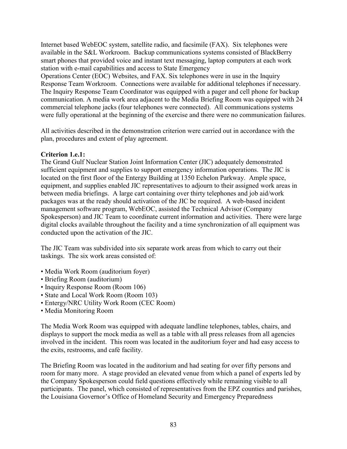Internet based WebEOC system, satellite radio, and facsimile (FAX). Six telephones were available in the S&L Workroom. Backup communications systems consisted of BlackBerry smart phones that provided voice and instant text messaging, laptop computers at each work station with e-mail capabilities and access to State Emergency

Operations Center (EOC) Websites, and FAX. Six telephones were in use in the Inquiry Response Team Workroom. Connections were available for additional telephones if necessary. The Inquiry Response Team Coordinator was equipped with a pager and cell phone for backup communication. A media work area adjacent to the Media Briefing Room was equipped with 24 commercial telephone jacks (four telephones were connected). All communications systems were fully operational at the beginning of the exercise and there were no communication failures.

All activities described in the demonstration criterion were carried out in accordance with the plan, procedures and extent of play agreement.

### **Criterion 1.e.1:**

The Grand Gulf Nuclear Station Joint Information Center (JIC) adequately demonstrated sufficient equipment and supplies to support emergency information operations. The JIC is located on the first floor of the Entergy Building at 1350 Echelon Parkway. Ample space, equipment, and supplies enabled JIC representatives to adjourn to their assigned work areas in between media briefings. A large cart containing over thirty telephones and job aid/work packages was at the ready should activation of the JIC be required. A web-based incident management software program, WebEOC, assisted the Technical Advisor (Company Spokesperson) and JIC Team to coordinate current information and activities. There were large digital clocks available throughout the facility and a time synchronization of all equipment was conducted upon the activation of the JIC.

The JIC Team was subdivided into six separate work areas from which to carry out their taskings. The six work areas consisted of:

- Media Work Room (auditorium foyer)
- Briefing Room (auditorium)
- Inquiry Response Room (Room 106)
- State and Local Work Room (Room 103)
- Entergy/NRC Utility Work Room (CEC Room)
- Media Monitoring Room

The Media Work Room was equipped with adequate landline telephones, tables, chairs, and displays to support the mock media as well as a table with all press releases from all agencies involved in the incident. This room was located in the auditorium foyer and had easy access to the exits, restrooms, and café facility.

The Briefing Room was located in the auditorium and had seating for over fifty persons and room for many more. A stage provided an elevated venue from which a panel of experts led by the Company Spokesperson could field questions effectively while remaining visible to all participants. The panel, which consisted of representatives from the EPZ counties and parishes, the Louisiana Governor's Office of Homeland Security and Emergency Preparedness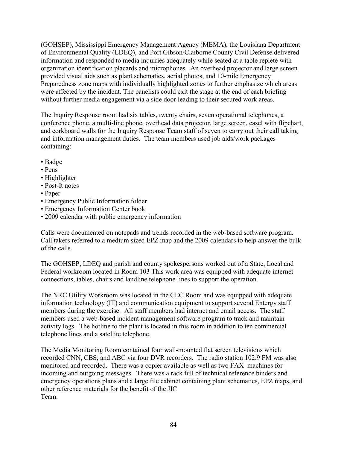(GOHSEP), Mississippi Emergency Management Agency (MEMA), the Louisiana Department of Environmental Quality (LDEQ), and Port Gibson/Claiborne County Civil Defense delivered information and responded to media inquiries adequately while seated at a table replete with organization identification placards and microphones. An overhead projector and large screen provided visual aids such as plant schematics, aerial photos, and 10-mile Emergency Preparedness zone maps with individually highlighted zones to further emphasize which areas were affected by the incident. The panelists could exit the stage at the end of each briefing without further media engagement via a side door leading to their secured work areas.

The Inquiry Response room had six tables, twenty chairs, seven operational telephones, a conference phone, a multi-line phone, overhead data projector, large screen, easel with flipchart, and corkboard walls for the Inquiry Response Team staff of seven to carry out their call taking and information management duties. The team members used job aids/work packages containing:

- Badge
- Pens
- Highlighter
- Post-It notes
- Paper
- Emergency Public Information folder
- Emergency Information Center book
- 2009 calendar with public emergency information

Calls were documented on notepads and trends recorded in the web-based software program. Call takers referred to a medium sized EPZ map and the 2009 calendars to help answer the bulk of the calls.

The GOHSEP, LDEQ and parish and county spokespersons worked out of a State, Local and Federal workroom located in Room 103 This work area was equipped with adequate internet connections, tables, chairs and landline telephone lines to support the operation.

The NRC Utility Workroom was located in the CEC Room and was equipped with adequate information technology (IT) and communication equipment to support several Entergy staff members during the exercise. All staff members had internet and email access. The staff members used a web-based incident management software program to track and maintain activity logs. The hotline to the plant is located in this room in addition to ten commercial telephone lines and a satellite telephone.

The Media Monitoring Room contained four wall-mounted flat screen televisions which recorded CNN, CBS, and ABC via four DVR recorders. The radio station 102.9 FM was also monitored and recorded. There was a copier available as well as two FAX machines for incoming and outgoing messages. There was a rack full of technical reference binders and emergency operations plans and a large file cabinet containing plant schematics, EPZ maps, and other reference materials for the benefit of the JIC Team.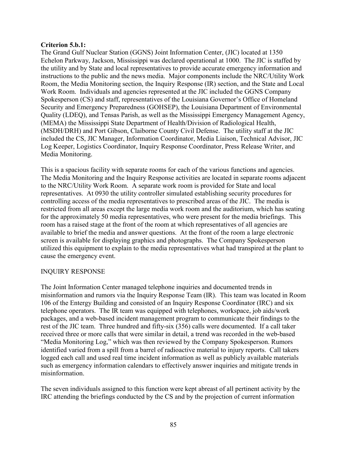#### **Criterion 5.b.1:**

The Grand Gulf Nuclear Station (GGNS) Joint Information Center, (JIC) located at 1350 Echelon Parkway, Jackson, Mississippi was declared operational at 1000. The JIC is staffed by the utility and by State and local representatives to provide accurate emergency information and instructions to the public and the news media. Major components include the NRC/Utility Work Room, the Media Monitoring section, the Inquiry Response (IR) section, and the State and Local Work Room. Individuals and agencies represented at the JIC included the GGNS Company Spokesperson (CS) and staff, representatives of the Louisiana Governor's Office of Homeland Security and Emergency Preparedness (GOHSEP), the Louisiana Department of Environmental Quality (LDEQ), and Tensas Parish, as well as the Mississippi Emergency Management Agency, (MEMA) the Mississippi State Department of Health/Division of Radiological Health, (MSDH/DRH) and Port Gibson, Claiborne County Civil Defense. The utility staff at the JIC included the CS, JIC Manager, Information Coordinator, Media Liaison, Technical Advisor, JIC Log Keeper, Logistics Coordinator, Inquiry Response Coordinator, Press Release Writer, and Media Monitoring.

This is a spacious facility with separate rooms for each of the various functions and agencies. The Media Monitoring and the Inquiry Response activities are located in separate rooms adjacent to the NRC/Utility Work Room. A separate work room is provided for State and local representatives. At 0930 the utility controller simulated establishing security procedures for controlling access of the media representatives to prescribed areas of the JIC. The media is restricted from all areas except the large media work room and the auditorium, which has seating for the approximately 50 media representatives, who were present for the media briefings. This room has a raised stage at the front of the room at which representatives of all agencies are available to brief the media and answer questions. At the front of the room a large electronic screen is available for displaying graphics and photographs. The Company Spokesperson utilized this equipment to explain to the media representatives what had transpired at the plant to cause the emergency event.

#### INQUIRY RESPONSE

The Joint Information Center managed telephone inquiries and documented trends in misinformation and rumors via the Inquiry Response Team (IR). This team was located in Room 106 of the Entergy Building and consisted of an Inquiry Response Coordinator (IRC) and six telephone operators. The IR team was equipped with telephones, workspace, job aids/work packages, and a web-based incident management program to communicate their findings to the rest of the JIC team. Three hundred and fifty-six (356) calls were documented. If a call taker received three or more calls that were similar in detail, a trend was recorded in the web-based "Media Monitoring Log," which was then reviewed by the Company Spokesperson. Rumors identified varied from a spill from a barrel of radioactive material to injury reports. Call takers logged each call and used real time incident information as well as publicly available materials such as emergency information calendars to effectively answer inquiries and mitigate trends in misinformation.

The seven individuals assigned to this function were kept abreast of all pertinent activity by the IRC attending the briefings conducted by the CS and by the projection of current information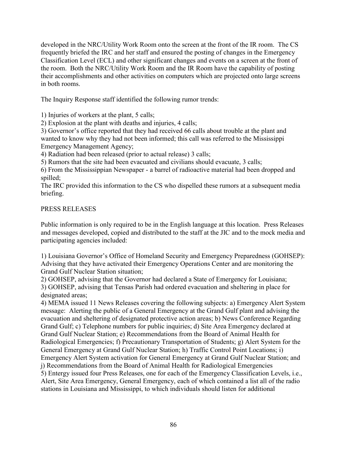developed in the NRC/Utility Work Room onto the screen at the front of the IR room. The CS frequently briefed the IRC and her staff and ensured the posting of changes in the Emergency Classification Level (ECL) and other significant changes and events on a screen at the front of the room. Both the NRC/Utility Work Room and the IR Room have the capability of posting their accomplishments and other activities on computers which are projected onto large screens in both rooms.

The Inquiry Response staff identified the following rumor trends:

1) Injuries of workers at the plant, 5 calls;

2) Explosion at the plant with deaths and injuries, 4 calls;

3) Governor's office reported that they had received 66 calls about trouble at the plant and wanted to know why they had not been informed; this call was referred to the Mississippi Emergency Management Agency;

4) Radiation had been released (prior to actual release) 3 calls;

5) Rumors that the site had been evacuated and civilians should evacuate, 3 calls;

6) From the Mississippian Newspaper - a barrel of radioactive material had been dropped and spilled;

The IRC provided this information to the CS who dispelled these rumors at a subsequent media briefing.

### PRESS RELEASES

Public information is only required to be in the English language at this location. Press Releases and messages developed, copied and distributed to the staff at the JIC and to the mock media and participating agencies included:

1) Louisiana Governor's Office of Homeland Security and Emergency Preparedness (GOHSEP): Advising that they have activated their Emergency Operations Center and are monitoring the Grand Gulf Nuclear Station situation;

2) GOHSEP, advising that the Governor had declared a State of Emergency for Louisiana; 3) GOHSEP, advising that Tensas Parish had ordered evacuation and sheltering in place for designated areas;

4) MEMA issued 11 News Releases covering the following subjects: a) Emergency Alert System message: Alerting the public of a General Emergency at the Grand Gulf plant and advising the evacuation and sheltering of designated protective action areas; b) News Conference Regarding Grand Gulf; c) Telephone numbers for public inquiries; d) Site Area Emergency declared at Grand Gulf Nuclear Station; e) Recommendations from the Board of Animal Health for Radiological Emergencies; f) Precautionary Transportation of Students; g) Alert System for the General Emergency at Grand Gulf Nuclear Station; h) Traffic Control Point Locations; i) Emergency Alert System activation for General Emergency at Grand Gulf Nuclear Station; and j) Recommendations from the Board of Animal Health for Radiological Emergencies 5) Entergy issued four Press Releases, one for each of the Emergency Classification Levels, i.e., Alert, Site Area Emergency, General Emergency, each of which contained a list all of the radio

stations in Louisiana and Mississippi, to which individuals should listen for additional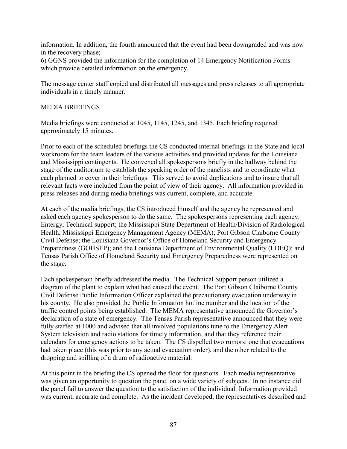information. In addition, the fourth announced that the event had been downgraded and was now in the recovery phase;

6) GGNS provided the information for the completion of 14 Emergency Notification Forms which provide detailed information on the emergency.

The message center staff copied and distributed all messages and press releases to all appropriate individuals in a timely manner.

#### MEDIA BRIEFINGS

Media briefings were conducted at 1045, 1145, 1245, and 1345. Each briefing required approximately 15 minutes.

Prior to each of the scheduled briefings the CS conducted internal briefings in the State and local workroom for the team leaders of the various activities and provided updates for the Louisiana and Mississippi contingents. He convened all spokespersons briefly in the hallway behind the stage of the auditorium to establish the speaking order of the panelists and to coordinate what each planned to cover in their briefings. This served to avoid duplications and to insure that all relevant facts were included from the point of view of their agency. All information provided in press releases and during media briefings was current, complete, and accurate.

At each of the media briefings, the CS introduced himself and the agency he represented and asked each agency spokesperson to do the same. The spokespersons representing each agency: Entergy; Technical support; the Mississippi State Department of Health/Division of Radiological Health; Mississippi Emergency Management Agency (MEMA); Port Gibson Claiborne County Civil Defense; the Louisiana Governor's Office of Homeland Security and Emergency Preparedness (GOHSEP); and the Louisiana Department of Environmental Quality (LDEQ); and Tensas Parish Office of Homeland Security and Emergency Preparedness were represented on the stage.

Each spokesperson briefly addressed the media. The Technical Support person utilized a diagram of the plant to explain what had caused the event. The Port Gibson Claiborne County Civil Defense Public Information Officer explained the precautionary evacuation underway in his county. He also provided the Public Information hotline number and the location of the traffic control points being established. The MEMA representative announced the Governor's declaration of a state of emergency. The Tensas Parish representative announced that they were fully staffed at 1000 and advised that all involved populations tune to the Emergency Alert System television and radio stations for timely information, and that they reference their calendars for emergency actions to be taken. The CS dispelled two rumors: one that evacuations had taken place (this was prior to any actual evacuation order), and the other related to the dropping and spilling of a drum of radioactive material.

At this point in the briefing the CS opened the floor for questions. Each media representative was given an opportunity to question the panel on a wide variety of subjects. In no instance did the panel fail to answer the question to the satisfaction of the individual. Information provided was current, accurate and complete. As the incident developed, the representatives described and